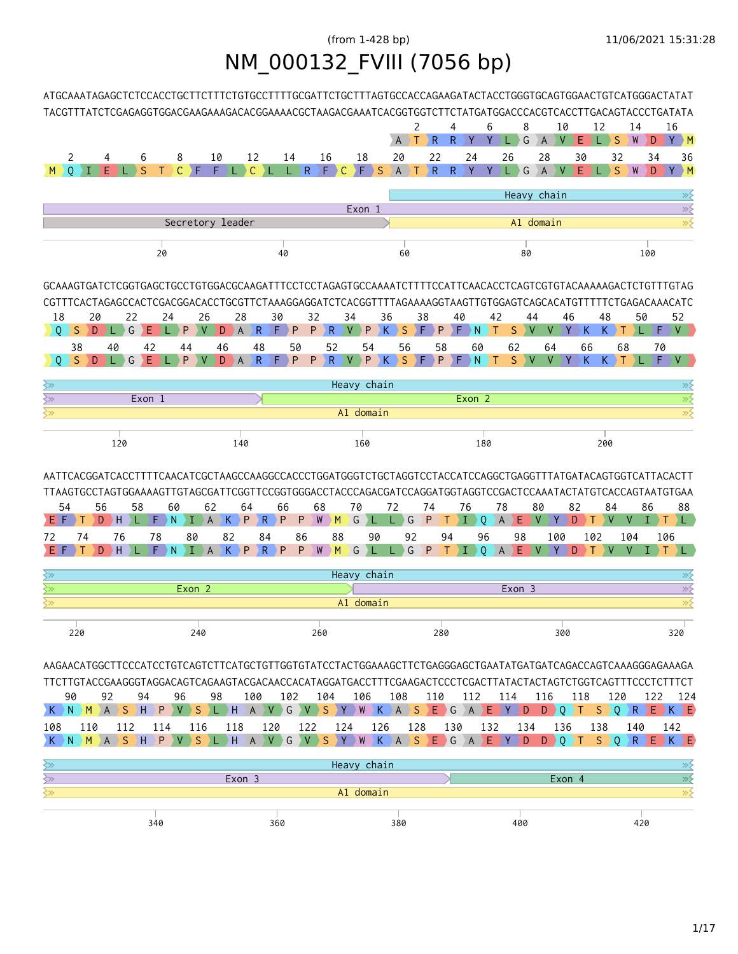## (from 1-428 bp) 11/06/2021 15:31:28 NM\_000132\_FVIII (7056 bp)



| ာ   |        | Heavy chain |     |        |     |
|-----|--------|-------------|-----|--------|-----|
|     | Exon 2 |             |     | Exon 3 |     |
|     |        | A1 domain   |     |        |     |
|     |        |             |     |        |     |
| 220 | 240    | 260         | 280 | 300    | 320 |

AAGAACATGGCTTCCCATCCTGTCAGTCTTCATGCTGTTGGTGTATCCTACTGGAAAGCTTCTGAGGGAGCTGAATATGATGATCAGACCAGTCAAAGGGAGAAAGA TTCTTGTACCGAAGGGTAGGACAGTCAGAAGTACGACAACCACATAGGATGACCTTTCGAAGACTCCCTCGACTTATACTACTAGTCTGGTCAGTTTCCCTCTTTCT

|  | 90 92                                                                                |  | 94 | - 96 | 98 |  |  |  |  |  | 100 102 104 106 108 110 112 114 116 118 120 122 124 |  |  |  |  |  |  |  |  |
|--|--------------------------------------------------------------------------------------|--|----|------|----|--|--|--|--|--|-----------------------------------------------------|--|--|--|--|--|--|--|--|
|  | K N M A S H P V S L H A V G V S Y W K A S E G A E Y D D Q T S Q R E K E              |  |    |      |    |  |  |  |  |  |                                                     |  |  |  |  |  |  |  |  |
|  | 108 110 112 114 116 118 120 122 124 126 128 130 132 134 136 138 140 142              |  |    |      |    |  |  |  |  |  |                                                     |  |  |  |  |  |  |  |  |
|  | K N <mark>M A S H P V S L H A V G V S Y W K A S E G A E Y D D Q T S Q R E K E</mark> |  |    |      |    |  |  |  |  |  |                                                     |  |  |  |  |  |  |  |  |

|     |        | Heavy chain |        |     |
|-----|--------|-------------|--------|-----|
|     | Exon 3 |             | Exon 4 |     |
|     |        | A1 domain   |        |     |
|     |        |             |        |     |
| 340 | 360    | 380         | 400    | 420 |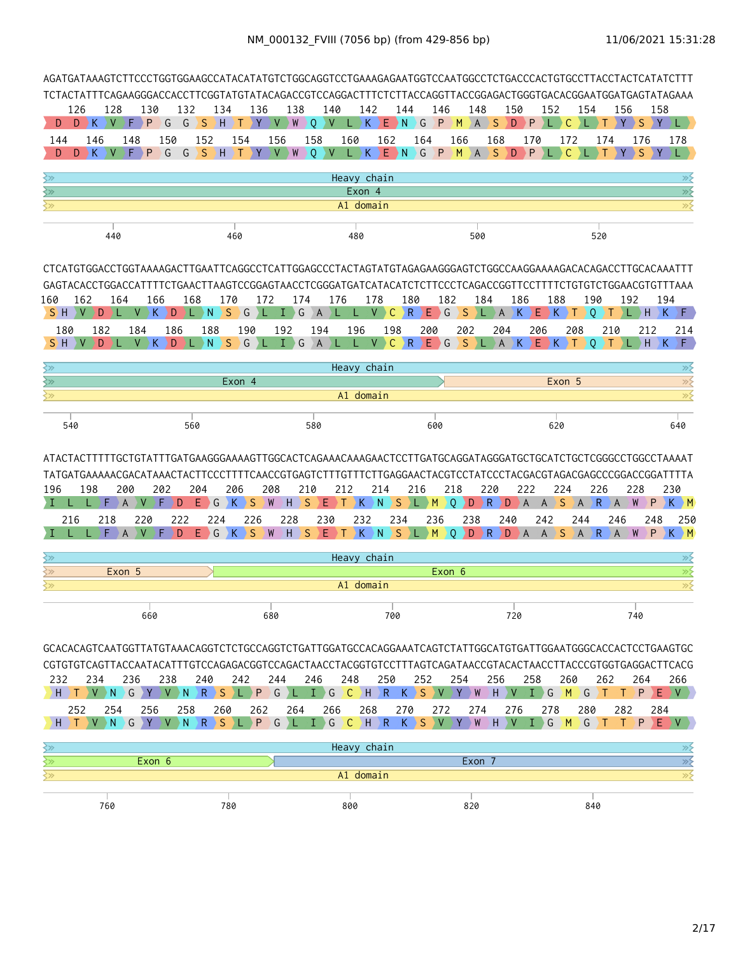|                                                      | AGATGATAAAGTCTTCCCTGGTGGAAGCCATACATATGTCTGGCAGGTCCTGAAAGAGAATGGTCCAATGGCCTCTGACCCACTGTGCCTTACCTACTCATATCTTT                                                                                                                                                     |                          |                                                    |                                |                               |                    |                                           |                       |                       |                                     |                                |            |                                                |                          |                               |                  |                       |                     |                              |                       |                                   |                                                                                                         |
|------------------------------------------------------|-----------------------------------------------------------------------------------------------------------------------------------------------------------------------------------------------------------------------------------------------------------------|--------------------------|----------------------------------------------------|--------------------------------|-------------------------------|--------------------|-------------------------------------------|-----------------------|-----------------------|-------------------------------------|--------------------------------|------------|------------------------------------------------|--------------------------|-------------------------------|------------------|-----------------------|---------------------|------------------------------|-----------------------|-----------------------------------|---------------------------------------------------------------------------------------------------------|
|                                                      | TCTACTATTTCAGAAGGGACCACCTTCGGTATGTATACAGACCGTCCAGGACTTTCTCTTACCAGGTTACCGGAGACTGGGTGACACGGAATGGATGAGTATAGAAA                                                                                                                                                     |                          |                                                    |                                |                               |                    |                                           |                       |                       |                                     |                                |            |                                                |                          |                               |                  |                       |                     |                              |                       |                                   |                                                                                                         |
| 126<br>D.                                            | 128<br>$D \rightarrow K$<br>$\vee$                                                                                                                                                                                                                              | 130<br>P<br>F            | 132<br>G<br>G                                      |                                | 134<br>$S$ $H$ $T$            | 136<br>Y.          | 138<br>$V$ )<br>W                         | O.                    | 140<br>V              | 142<br>K<br>L)                      | 144<br>E N                     | $\big)$ G  | 146<br>∤P.                                     | 148<br>MAS               |                               | 150<br>DP        | 152<br>- 7 L D        | $\mathsf{C}$        | 154<br>٠L.                   | 156<br>ΙY.<br>T       | DS.<br><b>IY</b>                  | 158<br>L)                                                                                               |
| 144<br>D                                             | 146<br>$D$ $K$ $V$                                                                                                                                                                                                                                              | 148<br>$F \rightarrow P$ | 150<br>G<br>$\left\langle G_{\alpha}\right\rangle$ | 152                            | SH)T                          | 154<br>Y.          | 156<br>V W                                | 158<br>$\overline{0}$ |                       | 160                                 | 162<br>V L K E N G P M A S D P | 164        | 166                                            |                          | 168                           |                  | 170                   | 172<br>$\mathsf{C}$ |                              | 174<br>Y              | 176<br>$\overline{\phantom{a}}$ S | 178<br>ΣY.                                                                                              |
| ≷≫                                                   |                                                                                                                                                                                                                                                                 |                          |                                                    |                                |                               |                    |                                           |                       |                       | Heavy chain                         |                                |            |                                                |                          |                               |                  |                       |                     |                              |                       |                                   | ≫                                                                                                       |
| ⊰≫                                                   |                                                                                                                                                                                                                                                                 |                          |                                                    |                                |                               |                    |                                           |                       |                       | Exon 4                              |                                |            |                                                |                          |                               |                  |                       |                     |                              |                       |                                   | $\overline{\gg}$                                                                                        |
| ≷≫                                                   |                                                                                                                                                                                                                                                                 |                          |                                                    |                                |                               |                    |                                           |                       |                       | A1 domain                           |                                |            |                                                |                          |                               |                  |                       |                     |                              |                       |                                   | $\gg$                                                                                                   |
|                                                      | 440                                                                                                                                                                                                                                                             |                          |                                                    |                                | 460                           |                    |                                           |                       |                       | 480                                 |                                |            |                                                | 500                      |                               |                  |                       |                     | 520                          |                       |                                   |                                                                                                         |
|                                                      | CTCATGTGGACCTGGTAAAAGACTTGAATTCAGGCCTCATTGGAGCCCTACTAGTATGTAGAGAAGGGAGTCTGGCCAAGGAAAAGACACAGACCTTGCACAAATTT                                                                                                                                                     |                          |                                                    |                                |                               |                    |                                           |                       |                       |                                     |                                |            |                                                |                          |                               |                  |                       |                     |                              |                       |                                   |                                                                                                         |
|                                                      | GAGTACACCTGGACCATTTTCTGAACTTAAGTCCGGAGTAACCTCGGGATGATCATACATCTTTCCCTCAGACCGGTTCCTTTTCTGTGTCTGGAACGTGTTTAAA                                                                                                                                                      |                          |                                                    |                                |                               |                    |                                           |                       |                       |                                     |                                |            |                                                |                          |                               |                  |                       |                     |                              |                       |                                   |                                                                                                         |
| 160<br>$S$ H $\vee$                                  | 162<br>164<br>D<br>ι.                                                                                                                                                                                                                                           | $V$ $K$                  | 166<br>D                                           | 168<br>$\rightarrow$ N<br>D.L. | 170                           | 172<br>SGL         | $I \ G$                                   | 174                   | 176<br>A              |                                     | 178<br>$V$ $C$ $R$             | 180        | 182<br>$E \ G$                                 | 184<br>$S \setminus L$   | $\rightarrow$ A $\rightarrow$ | 186<br>K.        |                       | 188<br>EXT)         | 190<br>$\circ$               | ) T .                 | 192                               | 194                                                                                                     |
| 180                                                  | 182                                                                                                                                                                                                                                                             | 184                      | 186                                                | 188                            |                               | 190                | 192                                       |                       | 194                   | L.<br>196                           | 198                            | 200        |                                                | 202                      | 204                           |                  | 206                   | 208                 |                              | 210                   | 212                               | 214                                                                                                     |
| S) H                                                 | D                                                                                                                                                                                                                                                               | V                        | K<br>D                                             | D N                            | <sub>S</sub>                  | $\bigcup$ G<br>ΣL. | Ι.                                        | $\big\} G$            | $\overline{A}$<br>) L | L.                                  | $\mathsf{C}$<br>V              | ∑R.        | $E \nvert G$                                   | <sub>S</sub>             | $\sum$ $A$                    |                  |                       | EXT                 | $\Omega$                     | ) T                   | $L$ $H$ $K$                       | ∑F.                                                                                                     |
| ≷≫                                                   |                                                                                                                                                                                                                                                                 |                          |                                                    |                                |                               |                    |                                           |                       |                       | Heavy chain                         |                                |            |                                                |                          |                               |                  |                       |                     |                              |                       |                                   | ≫⊱                                                                                                      |
|                                                      |                                                                                                                                                                                                                                                                 |                          |                                                    |                                | Exon 4                        |                    |                                           |                       |                       |                                     |                                |            |                                                |                          |                               |                  |                       | Exon 5              |                              |                       |                                   | $\overline{\gg}$                                                                                        |
| ≷≫                                                   |                                                                                                                                                                                                                                                                 |                          |                                                    |                                |                               |                    |                                           |                       |                       | A1 domain                           |                                |            |                                                |                          |                               |                  |                       |                     |                              |                       |                                   | $\gg$                                                                                                   |
| 540                                                  |                                                                                                                                                                                                                                                                 |                          |                                                    | 560                            |                               |                    |                                           | 580                   |                       |                                     |                                |            | 600                                            |                          |                               |                  |                       | 620                 |                              |                       |                                   | 640                                                                                                     |
|                                                      |                                                                                                                                                                                                                                                                 |                          |                                                    |                                |                               |                    |                                           |                       |                       |                                     |                                |            |                                                |                          |                               |                  |                       |                     |                              |                       |                                   |                                                                                                         |
| 196<br>216                                           | ATACTACTTTTTGCTGTATTTGATGAAGGGAAAAGTTGGCACTCAGAAACAAAGAACTCCTTGATGCAGGATAGGGATGCTGCATCTGCTCGGGCCTGGCCTAAAAT<br>TATGATGAAAAACGACATAAACTACTTCCCTTTTCAACCGTGAGTCTTTGTTTCTTGAGGAACTACGTCCTATCCCTACGACGTAGACGAGCCCGGACCGGATTTTA<br>198<br>218                        | 200<br>220<br>A          | 202<br>D<br>222<br>D.                              | 204<br>E.<br>E.                | 206<br>G<br>K<br>224<br>G K S | S<br>226           | 208<br>W<br>Н<br>228<br><b>W</b>          | 210<br>S<br>$H \ S$   | 212<br>Е<br>230       | K.<br>232                           | 214<br>S.<br>N<br>234          | 216<br>УL. | 218<br>O.<br>$\rightarrow$ M $_{\odot}$<br>236 | $D \rightarrow R$<br>238 | 220<br>D<br>240               | 222<br>$\lambda$ | A<br>242              | 224<br>S            | 226<br>۱A<br>R.<br>244       | A<br>246              | 228<br>W<br>P.<br>248             | 230<br>$K \rightarrow M$<br>250<br>E T K N S L M Q D R D A A S A R A W P K M                            |
|                                                      |                                                                                                                                                                                                                                                                 |                          |                                                    |                                |                               |                    |                                           |                       |                       |                                     |                                |            |                                                |                          |                               |                  |                       |                     |                              |                       |                                   |                                                                                                         |
| ≷≫<br>≷≫                                             |                                                                                                                                                                                                                                                                 | Exon 5                   |                                                    |                                |                               |                    |                                           |                       |                       | Heavy chain                         |                                |            | Exon 6                                         |                          |                               |                  |                       |                     |                              |                       |                                   | ⋙<br>$\gg$                                                                                              |
| ⊰≫                                                   |                                                                                                                                                                                                                                                                 |                          |                                                    |                                |                               |                    |                                           |                       |                       | A1 domain                           |                                |            |                                                |                          |                               |                  |                       |                     |                              |                       |                                   | $\overline{\gg}$                                                                                        |
|                                                      |                                                                                                                                                                                                                                                                 | 660                      |                                                    |                                |                               |                    | 680                                       |                       |                       |                                     | 700                            |            |                                                |                          |                               | 720              |                       |                     |                              |                       | 740                               |                                                                                                         |
| 232<br>$H \rightarrow T$<br>252<br>$H \rightarrow T$ | GCACACAGTCAATGGTTATGTAAACAGGTCTCTGCCAGGTCTGATTGGATGCCACAGGAAATCAGTCTATTGGCATGTGATTGGAATGGGCACCACTCCTGAAGTGC<br>CGTGTGTCAGTTACCAATACATTTGTCCAGAGACGGTCCAGACTAACCTACGGTGTCCTTTAGTCAGATAACCGTACACTAACCTTACCCGTGGTGAGGACTTCACG<br>234<br>254<br>V N G Y V N R S L P | 236<br>256               | 238<br>258                                         | 240                            | $R$ $S$ $L$ $P$<br>260        | 242<br>262         | 244<br>$G \setminus L$<br>$G \setminus L$ | 246<br>264            | $I \ G$<br>266        | 248<br>$\angle C$ $\angle H$<br>268 | 250<br>270<br>IGCHRKSVYW       | 252        | 254<br>$R$ $K$ $S$ $V$ $Y$ $W$<br>272          | 274                      | 256<br>$H$ $V$                | 276              | 258<br>$I \ G$<br>278 | 260                 | MG<br>280<br>H V I G M G T T | 262<br>T.<br>Т<br>282 | 264<br>P                          | 266<br>$E$ $V$ $>$<br>284<br>$\left  P \right\rangle$ $\left  E \right\rangle$ $\left  V \right\rangle$ |
| $\left\langle \gg \right\rangle$                     |                                                                                                                                                                                                                                                                 |                          |                                                    |                                |                               |                    |                                           |                       |                       | Heavy chain                         |                                |            |                                                |                          |                               |                  |                       |                     |                              |                       |                                   | ≫                                                                                                       |
| $\sum$                                               |                                                                                                                                                                                                                                                                 | Exon 6                   |                                                    |                                |                               |                    |                                           |                       |                       |                                     |                                |            |                                                | Exon 7                   |                               |                  |                       |                     |                              |                       |                                   | $\overline{\gg}$                                                                                        |
| $\overline{\mathbb{R}^2}$                            |                                                                                                                                                                                                                                                                 |                          |                                                    |                                |                               |                    |                                           |                       |                       | A1 domain                           |                                |            |                                                |                          |                               |                  |                       |                     |                              |                       |                                   | $\overline{\gg}$                                                                                        |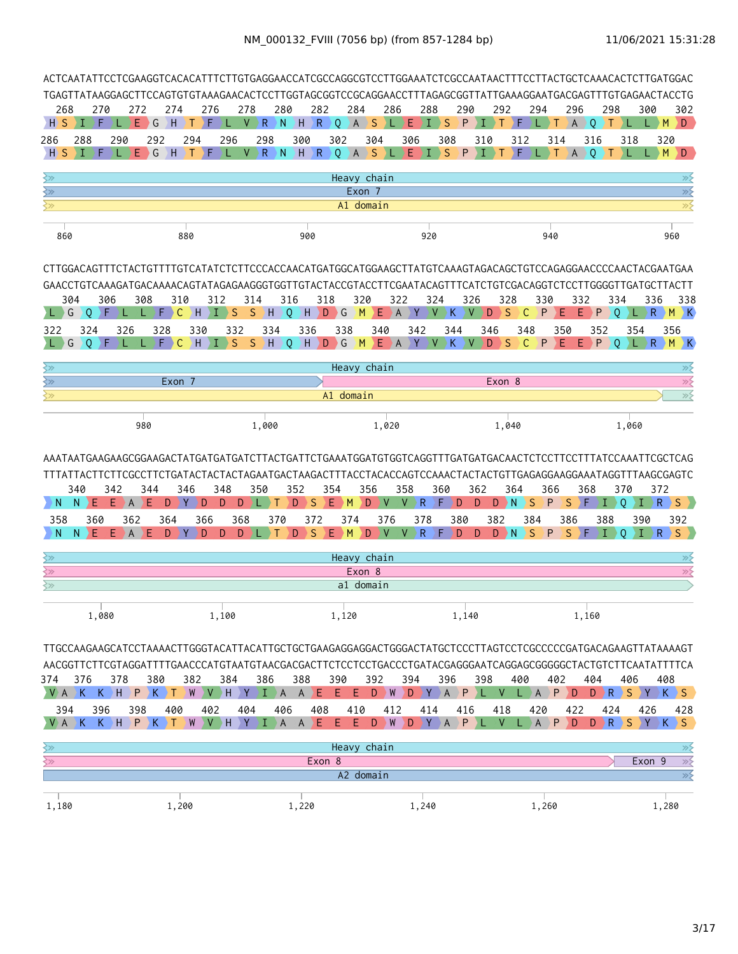|                 | ACTCAATATTCCTCGAAGGTCACACATTTCTTGTGAGGAACCATCGCCAGGCGTCCTTGGAAATCTCGCCAATAACTTTCCTTACTGCTCAAACACTCTTGATGGAC<br>TGAGTTATAAGGAGCTTCCAGTGTGTAAAGAACACTCCTTGGTAGCGGTCCGCAGGAACCTTTAGAGCGGTTATTGAAAGGAATGACGAGTTTGTGAGAACTACCTG<br>270<br>274<br>276<br>278<br>280<br>282<br>284<br>286<br>288<br>290<br>292<br>294<br>296<br>298<br>300<br>302<br>272<br>F<br>Ε<br>١F<br>R.<br>N.<br>$H \ R$<br>Q<br>$\left  A \right $<br><b>S</b><br>Ε<br>T<br><sub>S</sub><br>P<br>D<br>Т.<br>∤ G<br>ΣH<br>V.<br>¢<br>·F<br>A<br>$\circ$<br>т<br>$L$ $M$<br>п<br>Т<br>L.<br>L.<br>298<br>302<br>288<br>290<br>292<br>294<br>296<br>300<br>304<br>306<br>308<br>310<br>312<br>314<br>316<br>318<br>320<br>$\big) G$<br>١F<br>$V \ R$<br>N<br>$\rightarrow$ H<br>R<br>$\overline{Q}$<br>$\left  A \right $<br><sub>S</sub><br>Ε<br>$\mathbf{I}$ S<br>ΣF<br>$\overline{0}$<br>M<br>F<br>E.<br>H<br>P<br>T<br>A<br>T.<br>D<br>$\rightarrow$ T<br>т<br>Heavy chain<br>$\gg$<br>$\overline{\gg}$<br>Exon 7<br>$\overline{\gg}$<br>A1 domain<br>900<br>920<br>940<br>960<br>880<br>CTTGGACAGTTTCTACTGTTTTGTCATATCTCTTCCCACCAACATGATGGCATGGAAGCTTATGTCAAAGTAGACAGCTGTCCAGAGGAACCCCAACTACGAATGAA<br>GAACCTGTCAAAGATGACAAAACAGTATAGAGAAGGGTGGTTGTACTACCGTACCTTCGAATACAGTTTCATCTGTCGACAGGTCTCCTTGGGGTTGATGCTTACTT<br>304<br>306<br>308<br>310<br>312<br>314<br>316<br>318<br>320<br>322<br>326<br>328<br>330<br>332<br>334<br>336<br>324<br>338<br>$\mathsf{C}$<br>H.<br><b>S</b><br>S<br>$H$ O<br>HDG<br>M<br>$E$ $A$<br>Y<br>V<br>S<br>$\mathsf{C}$<br>P<br>P<br>R<br>G<br>F<br>F.<br>K.<br>∖ ∨<br>D<br>E.<br>$\Omega$<br>$M$ $K$<br>0<br>T<br>Е<br>L)<br>356<br>324<br>326<br>328<br>330<br>332<br>334<br>336<br>338<br>340<br>342<br>344<br>346<br>348<br>350<br>352<br>354<br>F<br>$\mathsf{C}$<br><sub>S</sub><br>S<br>$\big\} G$<br>S<br>$\mathsf{C}$<br>P<br>F<br>P<br>$R$ $M$<br>G<br>$\Omega$<br>١н<br>T<br>١H<br>$\circ$<br>H<br>D<br>M<br>Ε<br>V<br>K<br><b>V</b><br>D<br>Ε<br>F<br>⋅A<br>Y<br>$\Omega$<br>DK)<br>Heavy chain<br>≫<br>$\gg$<br>Exon 7<br>Exon 8<br>$\overline{\gg}$<br>A1 domain |            |                                                                                                                                                                                                                                                                                                                                                                       |            |     |     |       |                                                                                                         |     |     |     |                          |                                                                |     |              |     |     |                        |       |     |           |     |                        |            |       |     |                                                      |     |       |
|-----------------|----------------------------------------------------------------------------------------------------------------------------------------------------------------------------------------------------------------------------------------------------------------------------------------------------------------------------------------------------------------------------------------------------------------------------------------------------------------------------------------------------------------------------------------------------------------------------------------------------------------------------------------------------------------------------------------------------------------------------------------------------------------------------------------------------------------------------------------------------------------------------------------------------------------------------------------------------------------------------------------------------------------------------------------------------------------------------------------------------------------------------------------------------------------------------------------------------------------------------------------------------------------------------------------------------------------------------------------------------------------------------------------------------------------------------------------------------------------------------------------------------------------------------------------------------------------------------------------------------------------------------------------------------------------------------------------------------------------------------------------------------------------------------------------------------------------------------------------------------------------------------------------------------------------------------------------------------------------------------------------------------------------------------------------------------------------------------------|------------|-----------------------------------------------------------------------------------------------------------------------------------------------------------------------------------------------------------------------------------------------------------------------------------------------------------------------------------------------------------------------|------------|-----|-----|-------|---------------------------------------------------------------------------------------------------------|-----|-----|-----|--------------------------|----------------------------------------------------------------|-----|--------------|-----|-----|------------------------|-------|-----|-----------|-----|------------------------|------------|-------|-----|------------------------------------------------------|-----|-------|
| 268             |                                                                                                                                                                                                                                                                                                                                                                                                                                                                                                                                                                                                                                                                                                                                                                                                                                                                                                                                                                                                                                                                                                                                                                                                                                                                                                                                                                                                                                                                                                                                                                                                                                                                                                                                                                                                                                                                                                                                                                                                                                                                                  |            |                                                                                                                                                                                                                                                                                                                                                                       |            |     |     |       |                                                                                                         |     |     |     |                          |                                                                |     |              |     |     |                        |       |     |           |     |                        |            |       |     |                                                      |     |       |
| $H \setminus S$ |                                                                                                                                                                                                                                                                                                                                                                                                                                                                                                                                                                                                                                                                                                                                                                                                                                                                                                                                                                                                                                                                                                                                                                                                                                                                                                                                                                                                                                                                                                                                                                                                                                                                                                                                                                                                                                                                                                                                                                                                                                                                                  |            |                                                                                                                                                                                                                                                                                                                                                                       |            |     |     |       |                                                                                                         |     |     |     |                          |                                                                |     |              |     |     |                        |       |     |           |     |                        |            |       |     |                                                      |     |       |
| 286             |                                                                                                                                                                                                                                                                                                                                                                                                                                                                                                                                                                                                                                                                                                                                                                                                                                                                                                                                                                                                                                                                                                                                                                                                                                                                                                                                                                                                                                                                                                                                                                                                                                                                                                                                                                                                                                                                                                                                                                                                                                                                                  |            |                                                                                                                                                                                                                                                                                                                                                                       |            |     |     |       |                                                                                                         |     |     |     |                          |                                                                |     |              |     |     |                        |       |     |           |     |                        |            |       |     |                                                      |     |       |
| $H \setminus S$ |                                                                                                                                                                                                                                                                                                                                                                                                                                                                                                                                                                                                                                                                                                                                                                                                                                                                                                                                                                                                                                                                                                                                                                                                                                                                                                                                                                                                                                                                                                                                                                                                                                                                                                                                                                                                                                                                                                                                                                                                                                                                                  |            |                                                                                                                                                                                                                                                                                                                                                                       |            |     |     |       |                                                                                                         |     |     |     |                          |                                                                |     |              |     |     |                        |       |     |           |     |                        |            |       |     |                                                      |     |       |
| ≷≫              |                                                                                                                                                                                                                                                                                                                                                                                                                                                                                                                                                                                                                                                                                                                                                                                                                                                                                                                                                                                                                                                                                                                                                                                                                                                                                                                                                                                                                                                                                                                                                                                                                                                                                                                                                                                                                                                                                                                                                                                                                                                                                  |            |                                                                                                                                                                                                                                                                                                                                                                       |            |     |     |       |                                                                                                         |     |     |     |                          |                                                                |     |              |     |     |                        |       |     |           |     |                        |            |       |     |                                                      |     |       |
| ≷≫              |                                                                                                                                                                                                                                                                                                                                                                                                                                                                                                                                                                                                                                                                                                                                                                                                                                                                                                                                                                                                                                                                                                                                                                                                                                                                                                                                                                                                                                                                                                                                                                                                                                                                                                                                                                                                                                                                                                                                                                                                                                                                                  |            |                                                                                                                                                                                                                                                                                                                                                                       |            |     |     |       |                                                                                                         |     |     |     |                          |                                                                |     |              |     |     |                        |       |     |           |     |                        |            |       |     |                                                      |     |       |
| ≩≫              |                                                                                                                                                                                                                                                                                                                                                                                                                                                                                                                                                                                                                                                                                                                                                                                                                                                                                                                                                                                                                                                                                                                                                                                                                                                                                                                                                                                                                                                                                                                                                                                                                                                                                                                                                                                                                                                                                                                                                                                                                                                                                  |            |                                                                                                                                                                                                                                                                                                                                                                       |            |     |     |       |                                                                                                         |     |     |     |                          |                                                                |     |              |     |     |                        |       |     |           |     |                        |            |       |     |                                                      |     |       |
| 860             |                                                                                                                                                                                                                                                                                                                                                                                                                                                                                                                                                                                                                                                                                                                                                                                                                                                                                                                                                                                                                                                                                                                                                                                                                                                                                                                                                                                                                                                                                                                                                                                                                                                                                                                                                                                                                                                                                                                                                                                                                                                                                  |            |                                                                                                                                                                                                                                                                                                                                                                       |            |     |     |       |                                                                                                         |     |     |     |                          |                                                                |     |              |     |     |                        |       |     |           |     |                        |            |       |     |                                                      |     |       |
| 322<br>≷≫<br>≷≫ |                                                                                                                                                                                                                                                                                                                                                                                                                                                                                                                                                                                                                                                                                                                                                                                                                                                                                                                                                                                                                                                                                                                                                                                                                                                                                                                                                                                                                                                                                                                                                                                                                                                                                                                                                                                                                                                                                                                                                                                                                                                                                  |            |                                                                                                                                                                                                                                                                                                                                                                       |            |     |     |       |                                                                                                         |     |     |     |                          |                                                                |     |              |     |     |                        |       |     |           |     |                        |            |       |     |                                                      |     |       |
| ≷≫              |                                                                                                                                                                                                                                                                                                                                                                                                                                                                                                                                                                                                                                                                                                                                                                                                                                                                                                                                                                                                                                                                                                                                                                                                                                                                                                                                                                                                                                                                                                                                                                                                                                                                                                                                                                                                                                                                                                                                                                                                                                                                                  |            |                                                                                                                                                                                                                                                                                                                                                                       |            |     |     |       |                                                                                                         |     |     |     |                          |                                                                |     |              |     |     |                        |       |     |           |     |                        |            |       |     |                                                      |     |       |
|                 |                                                                                                                                                                                                                                                                                                                                                                                                                                                                                                                                                                                                                                                                                                                                                                                                                                                                                                                                                                                                                                                                                                                                                                                                                                                                                                                                                                                                                                                                                                                                                                                                                                                                                                                                                                                                                                                                                                                                                                                                                                                                                  |            | 980                                                                                                                                                                                                                                                                                                                                                                   |            |     |     |       |                                                                                                         |     |     |     |                          |                                                                |     |              |     |     |                        |       |     |           |     |                        |            |       |     |                                                      |     |       |
| <sup>N</sup>    | 1,000<br>1,020<br>1,040<br>1,060<br>372<br>340<br>342<br>344<br>346<br>348<br>350<br>352<br>354<br>356<br>358<br>360<br>362<br>364<br>366<br>368<br>370<br>D<br>S<br>R<br>F<br>S<br>P<br>S<br>F<br>Ε<br>E.<br>$\overline{A}$<br>Е<br>D<br>Y<br>D<br>D<br>D<br>Т<br>Ε<br>M<br>D<br>V<br>V<br>D<br>D<br>D<br>$\rightarrow$ N<br>L<br>D.<br>$\mathbf{I}$<br>$\langle R_{\perp} \rangle$<br>$S$ )<br>N<br>k.<br>388<br>392<br>360<br>362<br>364<br>366<br>368<br>370<br>372<br>374<br>376<br>378<br>380<br>382<br>384<br>386<br>390<br>$I \ R$<br>S<br>N.<br>Ε<br>EAE<br>$\mathbf{V}$<br>D<br>D<br>D<br>S<br>Ε<br>M<br>D<br>$R$ ) $F$<br>D<br>D<br>$D \rightarrow N$<br>$S \nvert P$<br>S.<br>ΣF<br>$\overline{0}$<br>D.<br>D.<br>V<br>V.<br>L<br>Т<br>H.<br>Heavy chain<br>$\gg$<br>Exon 8<br>$\gg$<br>a1 domain                                                                                                                                                                                                                                                                                                                                                                                                                                                                                                                                                                                                                                                                                                                                                                                                                                                                                                                                                                                                                                                                                                                                                                                                                                                                    |            |                                                                                                                                                                                                                                                                                                                                                                       |            |     |     |       |                                                                                                         |     |     |     |                          |                                                                |     |              |     |     |                        |       |     |           |     |                        |            |       |     |                                                      |     |       |
|                 |                                                                                                                                                                                                                                                                                                                                                                                                                                                                                                                                                                                                                                                                                                                                                                                                                                                                                                                                                                                                                                                                                                                                                                                                                                                                                                                                                                                                                                                                                                                                                                                                                                                                                                                                                                                                                                                                                                                                                                                                                                                                                  |            |                                                                                                                                                                                                                                                                                                                                                                       |            |     |     |       |                                                                                                         |     |     |     |                          |                                                                |     |              |     |     |                        |       |     |           |     |                        |            |       |     |                                                      |     |       |
| 358<br>N        |                                                                                                                                                                                                                                                                                                                                                                                                                                                                                                                                                                                                                                                                                                                                                                                                                                                                                                                                                                                                                                                                                                                                                                                                                                                                                                                                                                                                                                                                                                                                                                                                                                                                                                                                                                                                                                                                                                                                                                                                                                                                                  |            |                                                                                                                                                                                                                                                                                                                                                                       |            |     |     |       |                                                                                                         |     |     |     |                          |                                                                |     |              |     |     |                        |       |     |           |     |                        |            |       |     |                                                      |     |       |
|                 |                                                                                                                                                                                                                                                                                                                                                                                                                                                                                                                                                                                                                                                                                                                                                                                                                                                                                                                                                                                                                                                                                                                                                                                                                                                                                                                                                                                                                                                                                                                                                                                                                                                                                                                                                                                                                                                                                                                                                                                                                                                                                  |            |                                                                                                                                                                                                                                                                                                                                                                       |            |     |     |       |                                                                                                         |     |     |     |                          |                                                                |     |              |     |     |                        |       |     |           |     |                        |            |       |     |                                                      |     |       |
| ≷≫<br>≷≫        |                                                                                                                                                                                                                                                                                                                                                                                                                                                                                                                                                                                                                                                                                                                                                                                                                                                                                                                                                                                                                                                                                                                                                                                                                                                                                                                                                                                                                                                                                                                                                                                                                                                                                                                                                                                                                                                                                                                                                                                                                                                                                  |            |                                                                                                                                                                                                                                                                                                                                                                       |            |     |     |       |                                                                                                         |     |     |     |                          |                                                                |     |              |     |     |                        |       |     |           |     |                        |            |       |     |                                                      |     |       |
| ≷≫              |                                                                                                                                                                                                                                                                                                                                                                                                                                                                                                                                                                                                                                                                                                                                                                                                                                                                                                                                                                                                                                                                                                                                                                                                                                                                                                                                                                                                                                                                                                                                                                                                                                                                                                                                                                                                                                                                                                                                                                                                                                                                                  |            |                                                                                                                                                                                                                                                                                                                                                                       |            |     |     |       |                                                                                                         |     |     |     |                          |                                                                |     |              |     |     |                        |       |     |           |     |                        |            |       |     |                                                      |     |       |
|                 |                                                                                                                                                                                                                                                                                                                                                                                                                                                                                                                                                                                                                                                                                                                                                                                                                                                                                                                                                                                                                                                                                                                                                                                                                                                                                                                                                                                                                                                                                                                                                                                                                                                                                                                                                                                                                                                                                                                                                                                                                                                                                  |            |                                                                                                                                                                                                                                                                                                                                                                       |            |     |     |       |                                                                                                         |     |     |     |                          |                                                                |     |              |     |     |                        |       |     |           |     |                        |            |       |     |                                                      |     |       |
|                 |                                                                                                                                                                                                                                                                                                                                                                                                                                                                                                                                                                                                                                                                                                                                                                                                                                                                                                                                                                                                                                                                                                                                                                                                                                                                                                                                                                                                                                                                                                                                                                                                                                                                                                                                                                                                                                                                                                                                                                                                                                                                                  | 1,080      |                                                                                                                                                                                                                                                                                                                                                                       |            |     |     | 1,100 |                                                                                                         |     |     |     | 1,120                    |                                                                |     |              |     |     |                        | 1,140 |     |           |     |                        |            | 1,160 |     |                                                      |     |       |
| 374 376<br>394  |                                                                                                                                                                                                                                                                                                                                                                                                                                                                                                                                                                                                                                                                                                                                                                                                                                                                                                                                                                                                                                                                                                                                                                                                                                                                                                                                                                                                                                                                                                                                                                                                                                                                                                                                                                                                                                                                                                                                                                                                                                                                                  | 378<br>396 | TTGCCAAGAAGCATCCTAAAACTTGGGTACATTACATTGCTGCTGAAGAGAGGACTGGGACTATGCTCCCTTAGTCCTCGCCCCCGATGACAGAAGTTATAAAAGT<br>AACGGTTCTTCGTAGGATTTTGAACCCATGTAATGTAACGACGACTTCTCCTCCTGACCCTGATACGAGGGAATCAGGAGCGGGGCTACTGTCTTCAATATTTTCA<br>$V \wedge A \wedge K \wedge K \wedge H \wedge P \wedge K \wedge T$<br>398<br>Y}A <mark>}K }K }H }P }K }T }W }V }H }Y }I }A }A }E }</mark> | 380<br>400 | 382 | 402 | 384   | 386<br>$\langle W \rangle V \rangle H \rangle Y \rangle I \rangle A \rangle A \rangle E \rangle$<br>404 | 406 | 388 | 408 | 390<br>$E \rightarrow E$ | 410<br>$E$ $E$ $D$ $W$ $D$ $Y$ $A$ $P$ $L$ $V$ $L$ $A$ $P$ $D$ | 392 | D W X<br>412 | 394 | 414 | 396<br>$D$ $Y$ $A$ $P$ | 416   | 398 | V.<br>418 | 400 | $L$ $A$ $P$ $D$<br>420 | 402<br>422 | 404   | 424 | 406<br>$D \ R \ S \ Y \ K \ S$<br>426<br>D R S Y K S | 408 | 428   |
|                 |                                                                                                                                                                                                                                                                                                                                                                                                                                                                                                                                                                                                                                                                                                                                                                                                                                                                                                                                                                                                                                                                                                                                                                                                                                                                                                                                                                                                                                                                                                                                                                                                                                                                                                                                                                                                                                                                                                                                                                                                                                                                                  |            |                                                                                                                                                                                                                                                                                                                                                                       |            |     |     |       |                                                                                                         |     |     |     |                          | Heavy chain                                                    |     |              |     |     |                        |       |     |           |     |                        |            |       |     |                                                      |     | ⋙     |
|                 |                                                                                                                                                                                                                                                                                                                                                                                                                                                                                                                                                                                                                                                                                                                                                                                                                                                                                                                                                                                                                                                                                                                                                                                                                                                                                                                                                                                                                                                                                                                                                                                                                                                                                                                                                                                                                                                                                                                                                                                                                                                                                  |            |                                                                                                                                                                                                                                                                                                                                                                       |            |     |     |       |                                                                                                         |     |     |     | Exon 8                   |                                                                |     |              |     |     |                        |       |     |           |     |                        |            |       |     | Exon 9                                               |     | $\gg$ |

|       |       | A۷    |       |       |       |
|-------|-------|-------|-------|-------|-------|
|       |       |       |       |       |       |
| 1,180 | 1,200 | 1,220 | ⊥,240 | 1,260 | 1,280 |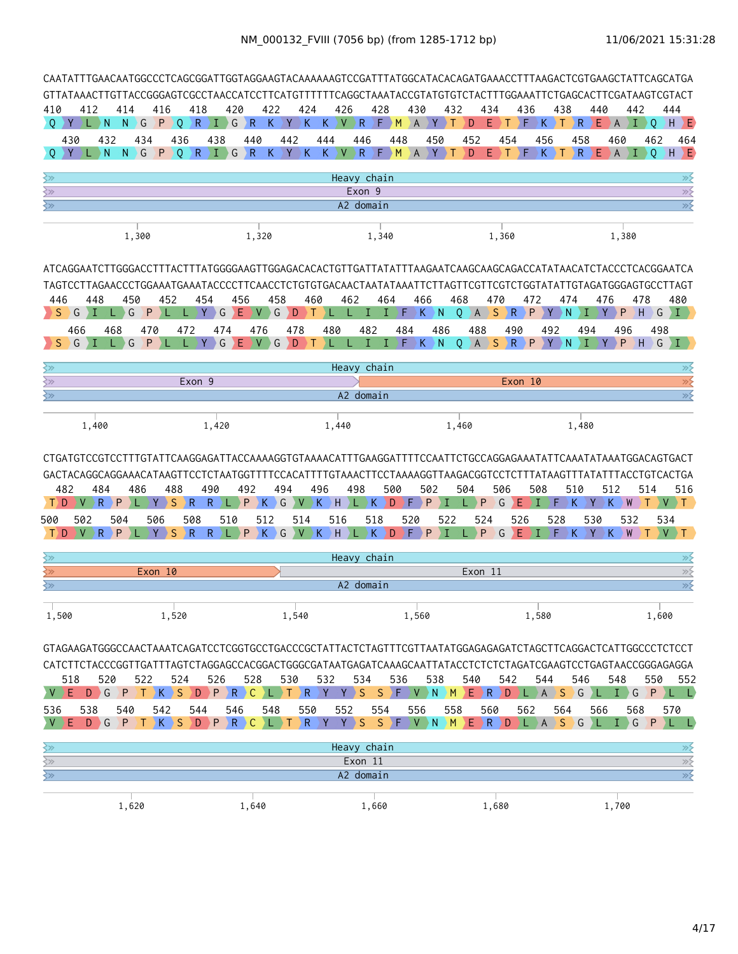| CAATATTTGAACAATGGCCCTCAGCGGATTGGTAGGAAGTACAAAAAAGTCCGATTTATGGCATACACAGATGAAACCTTTAAGACTCGTGAAGCTATTCAGCATGA                                                                                                                                |                           |                |            |         |                                      |                       |                 |      |                    |     |                                                                                                                                                                                                                                                                                                                                                                                                                                                                                 |     |         |           |         |                                                                         |          |         |                                                 |             |       |                   |     |             |     |                 |                                               |                   |                     |                                    |           |              |       |                                                                                     |
|--------------------------------------------------------------------------------------------------------------------------------------------------------------------------------------------------------------------------------------------|---------------------------|----------------|------------|---------|--------------------------------------|-----------------------|-----------------|------|--------------------|-----|---------------------------------------------------------------------------------------------------------------------------------------------------------------------------------------------------------------------------------------------------------------------------------------------------------------------------------------------------------------------------------------------------------------------------------------------------------------------------------|-----|---------|-----------|---------|-------------------------------------------------------------------------|----------|---------|-------------------------------------------------|-------------|-------|-------------------|-----|-------------|-----|-----------------|-----------------------------------------------|-------------------|---------------------|------------------------------------|-----------|--------------|-------|-------------------------------------------------------------------------------------|
| GTTATAAACTTGTTACCGGGAGTCGCCTAACCATCCTTCATGTTTTTTCAGGCTAAATACCGTATGTGTCTACTTTGGAAATTCTGAGCACTTCGATAAGTCGTACT<br>410                                                                                                                         | 412                       | 414            |            | 416     |                                      | 418                   |                 | 420  |                    | 422 |                                                                                                                                                                                                                                                                                                                                                                                                                                                                                 | 424 |         | 426       |         | 428                                                                     |          |         | 430                                             |             | 432   |                   | 434 |             |     | 436             |                                               | 438               |                     | 440                                |           | 442          |       | 444                                                                                 |
| $Q$ $Y$                                                                                                                                                                                                                                    | D DN                      | N              | G          | P       | Q                                    | $R \nightharpoonup I$ |                 | G    | $\overline{R}$     |     | $K$ $Y$                                                                                                                                                                                                                                                                                                                                                                                                                                                                         | K   |         | K.        |         | V R F M                                                                 |          |         | A                                               | $ Y\rangle$ | Т     | D                 | Ε   | $\top$      |     | ) F.            | $\rightarrow$ K $\rightarrow$ T $\rightarrow$ |                   | $\setminus$ R       |                                    |           |              |       | $E$ $\rightarrow$ A $\rightarrow$ I $\rightarrow$ Q $\rightarrow$ H $\rightarrow$ E |
| 430                                                                                                                                                                                                                                        | 432                       |                | 434        |         | 436                                  |                       | 438             |      | 440                |     | 442                                                                                                                                                                                                                                                                                                                                                                                                                                                                             |     |         | 444       |         | 446                                                                     | 448      |         |                                                 | 450         |       | 452               |     | 454         |     |                 | 456                                           |                   | 458                 |                                    | 460       |              | 462   | 464                                                                                 |
| $O'$ $Y$                                                                                                                                                                                                                                   | $L \rightarrow N$         | N.             | $\big) G$  | P       | Q                                    | $R$ $I$ $G$           |                 |      | $R_{\odot}$        |     | $K$ $Y$ $K$                                                                                                                                                                                                                                                                                                                                                                                                                                                                     |     |         |           |         | $K$ $V$ $R$ $F$ $M$ $A$ $Y$ $T$                                         |          |         |                                                 |             |       | D                 |     | $E$ ) t $E$ |     |                 | $\langle \mathsf{K}_{\perp} \rangle$ T .      |                   | $\langle R \rangle$ |                                    |           |              |       | $E$ $\rightarrow$ A $\rightarrow$ I $\rightarrow$ O $\rightarrow$ H $\rightarrow$ E |
| ≷≫                                                                                                                                                                                                                                         |                           |                |            |         |                                      |                       |                 |      |                    |     |                                                                                                                                                                                                                                                                                                                                                                                                                                                                                 |     |         |           |         | Heavy chain                                                             |          |         |                                                 |             |       |                   |     |             |     |                 |                                               |                   |                     |                                    |           |              |       | ≫≶                                                                                  |
| $\overline{\mathbb{R}^2}$                                                                                                                                                                                                                  |                           |                |            |         |                                      |                       |                 |      |                    |     |                                                                                                                                                                                                                                                                                                                                                                                                                                                                                 |     |         |           |         | Exon 9                                                                  |          |         |                                                 |             |       |                   |     |             |     |                 |                                               |                   |                     |                                    |           |              |       | $\overline{\gg}$                                                                    |
| ≷≫                                                                                                                                                                                                                                         |                           |                |            |         |                                      |                       |                 |      |                    |     |                                                                                                                                                                                                                                                                                                                                                                                                                                                                                 |     |         |           |         | A2 domain                                                               |          |         |                                                 |             |       |                   |     |             |     |                 |                                               |                   |                     |                                    |           |              |       | $\overline{\gg}$                                                                    |
|                                                                                                                                                                                                                                            |                           |                | 1,300      |         |                                      |                       |                 |      | 1,320              |     |                                                                                                                                                                                                                                                                                                                                                                                                                                                                                 |     |         |           |         | 1,340                                                                   |          |         |                                                 |             |       |                   |     | 1,360       |     |                 |                                               |                   |                     |                                    | 1,380     |              |       |                                                                                     |
|                                                                                                                                                                                                                                            |                           |                |            |         |                                      |                       |                 |      |                    |     |                                                                                                                                                                                                                                                                                                                                                                                                                                                                                 |     |         |           |         |                                                                         |          |         |                                                 |             |       |                   |     |             |     |                 |                                               |                   |                     |                                    |           |              |       |                                                                                     |
|                                                                                                                                                                                                                                            |                           |                |            |         |                                      |                       |                 |      |                    |     |                                                                                                                                                                                                                                                                                                                                                                                                                                                                                 |     |         |           |         |                                                                         |          |         |                                                 |             |       |                   |     |             |     |                 |                                               |                   |                     |                                    |           |              |       |                                                                                     |
| 446                                                                                                                                                                                                                                        | 448                       |                | 450        | 452     |                                      | 454                   |                 | 456  |                    |     | 458                                                                                                                                                                                                                                                                                                                                                                                                                                                                             |     | 460     |           | 462     |                                                                         | 464      |         | 466                                             |             | 468   |                   |     | 470         |     | 472             |                                               | 474               |                     | 476                                |           | 478          |       | 480                                                                                 |
| S.<br>G                                                                                                                                                                                                                                    |                           | G              | P          |         |                                      | Y.                    | G               | ΣE   | V.                 |     | G                                                                                                                                                                                                                                                                                                                                                                                                                                                                               | D   | Т       | л.        | L       | T                                                                       | I.       |         | $\rightarrow$ F $\rightarrow$ K $\rightarrow$ N |             |       | $Q$ $A$ $S$ $R$   |     |             |     | P               |                                               | $Y \rightarrow N$ | Ι                   | Y.                                 | DР        | H            |       | $G \setminus I$                                                                     |
| 466                                                                                                                                                                                                                                        |                           | 468            | 470        |         | 472                                  |                       | 474             |      | 476                |     |                                                                                                                                                                                                                                                                                                                                                                                                                                                                                 | 478 |         | 480       |         | 482                                                                     |          | 484     |                                                 | 486         |       | 488               |     |             | 490 |                 | 492                                           |                   | 494                 |                                    | 496       |              | 498   |                                                                                     |
| G<br><sub>S</sub>                                                                                                                                                                                                                          | ГI                        | L G            | P.         |         |                                      |                       |                 |      | $Y$ G $E$ $V$ G    |     | $\overline{D}$                                                                                                                                                                                                                                                                                                                                                                                                                                                                  | DТ  |         | <b>IV</b> |         | $L$ $\rightarrow$ $I$ $\rightarrow$ $F$ $\rightarrow$ $K$ $\rightarrow$ |          |         |                                                 | N           |       | $0$ $A$           |     |             |     | SRPYN           |                                               |                   | E (                 | $\rightarrow$ Y $\rightarrow$      | P         |              |       |                                                                                     |
| ≷≫.                                                                                                                                                                                                                                        |                           |                |            |         |                                      |                       |                 |      |                    |     |                                                                                                                                                                                                                                                                                                                                                                                                                                                                                 |     |         |           |         | Heavy chain                                                             |          |         |                                                 |             |       |                   |     |             |     |                 |                                               |                   |                     |                                    |           |              |       | ≫                                                                                   |
| ≷≫                                                                                                                                                                                                                                         |                           |                |            |         |                                      | Exon 9                |                 |      |                    |     |                                                                                                                                                                                                                                                                                                                                                                                                                                                                                 |     |         |           |         |                                                                         |          |         |                                                 |             |       |                   |     |             |     | Exon 10         |                                               |                   |                     |                                    |           |              |       | $\gg$                                                                               |
| ≷≫                                                                                                                                                                                                                                         |                           |                |            |         |                                      |                       |                 |      |                    |     |                                                                                                                                                                                                                                                                                                                                                                                                                                                                                 |     |         |           |         | A2 domain                                                               |          |         |                                                 |             |       |                   |     |             |     |                 |                                               |                   |                     |                                    |           |              |       | $\overline{\mathscr{D}}$                                                            |
|                                                                                                                                                                                                                                            | 1,400                     |                |            |         |                                      |                       | 1,420           |      |                    |     |                                                                                                                                                                                                                                                                                                                                                                                                                                                                                 |     |         | 1,440     |         |                                                                         |          |         |                                                 |             | 1,460 |                   |     |             |     |                 |                                               |                   | 1,480               |                                    |           |              |       |                                                                                     |
| CTGATGTCCGTCCTTTGTATTCAAGGAGATTACCAAAAGGTGTAAAACATTTGAAGGATTTTCCAATTCTGCCAGGAGAAATATTCAAATATAAATGGACAGTGACT<br>GACTACAGGCAGGAAACATAAGTTCCTCTAATGGTTTTCCACATTTTGTAAACTTCCTAAAAGGTTAAGACGGTCCTCTTTATAAGTTTATATTTACCTGTCACTGA<br>482<br>$T$ D | 484<br>$\mathsf{R}$<br>V. | $\overline{P}$ | 486<br>٠L. | Y       | 488<br><sub>S</sub><br>$\setminus$ R | 490                   | $\mathsf{R}$    | >L > | 492<br>$P$ $K$ $G$ |     | 494                                                                                                                                                                                                                                                                                                                                                                                                                                                                             |     | 496     |           | 498     | $V$ $K$ $H$ $L$ $K$                                                     | 500<br>D |         | 502<br>$F$ $P$                                  | ΣI          |       | 504               | P   | 506<br>G    | Ε   | 508<br>ÞІ       |                                               | $F \rightarrow K$ | 510                 | $\langle \, \mathrm{Y} \, \rangle$ | 512<br>K  | 514<br>$W$ T |       | 516<br>$V$ T                                                                        |
| 500                                                                                                                                                                                                                                        | 502                       | 504            |            | 506     |                                      | 508                   |                 | 510  |                    | 512 |                                                                                                                                                                                                                                                                                                                                                                                                                                                                                 | 514 |         | 516       |         | 518                                                                     |          | 520     |                                                 |             | 522   |                   | 524 |             | 526 |                 | 528                                           |                   |                     | 530                                |           | 532          | 534   |                                                                                     |
| T) D                                                                                                                                                                                                                                       | ) R∶<br>V                 | P              |            | Y       | <sub>S</sub><br>$\setminus$ R        |                       | $R_{\parallel}$ | ∖∟∋  | $P$ K              |     | G                                                                                                                                                                                                                                                                                                                                                                                                                                                                               | V   | K       | H         |         | L)K                                                                     | D        | ) F.    | P                                               | л           |       |                   | P   | G           | Ε   | $\blacklozenge$ | F.                                            |                   | K.                  | Y                                  | K         | W            |       | V<br>$\top$                                                                         |
| ≩≫                                                                                                                                                                                                                                         |                           |                |            |         |                                      |                       |                 |      |                    |     |                                                                                                                                                                                                                                                                                                                                                                                                                                                                                 |     |         |           |         | Heavy chain                                                             |          |         |                                                 |             |       |                   |     |             |     |                 |                                               |                   |                     |                                    |           |              |       | ≫                                                                                   |
|                                                                                                                                                                                                                                            |                           |                |            | Exon 10 |                                      |                       |                 |      |                    |     |                                                                                                                                                                                                                                                                                                                                                                                                                                                                                 |     |         |           |         |                                                                         |          |         |                                                 |             |       | Exon 11           |     |             |     |                 |                                               |                   |                     |                                    |           |              |       | $\gg$                                                                               |
| रे≫                                                                                                                                                                                                                                        |                           |                |            |         |                                      |                       |                 |      |                    |     |                                                                                                                                                                                                                                                                                                                                                                                                                                                                                 |     |         |           |         | A2 domain                                                               |          |         |                                                 |             |       |                   |     |             |     |                 |                                               |                   |                     |                                    |           |              |       | $\overline{\gg}$                                                                    |
| 1,500                                                                                                                                                                                                                                      |                           |                |            |         | 1,520                                |                       |                 |      |                    |     | 1,540                                                                                                                                                                                                                                                                                                                                                                                                                                                                           |     |         |           |         |                                                                         |          |         | 1,560                                           |             |       |                   |     |             |     | 1,580           |                                               |                   |                     |                                    |           |              | 1,600 |                                                                                     |
|                                                                                                                                                                                                                                            |                           |                |            |         |                                      |                       |                 |      |                    |     |                                                                                                                                                                                                                                                                                                                                                                                                                                                                                 |     |         |           |         |                                                                         |          |         |                                                 |             |       |                   |     |             |     |                 |                                               |                   |                     |                                    |           |              |       |                                                                                     |
|                                                                                                                                                                                                                                            |                           |                |            |         |                                      |                       |                 |      |                    |     |                                                                                                                                                                                                                                                                                                                                                                                                                                                                                 |     |         |           |         |                                                                         |          |         |                                                 |             |       |                   |     |             |     |                 |                                               |                   |                     |                                    |           |              |       |                                                                                     |
| 518                                                                                                                                                                                                                                        | 520                       |                | 522        |         | 524                                  |                       | 526             |      | 528                |     | 530                                                                                                                                                                                                                                                                                                                                                                                                                                                                             |     |         | 532       |         | 534                                                                     | 536      |         |                                                 | 538         |       | 540               |     | 542         |     |                 | 544                                           |                   | 546                 |                                    | 548       |              | 550   | 552                                                                                 |
| $\vee$<br>E.                                                                                                                                                                                                                               | $D \bigcirc G$            |                | $P$ T      | $K$ $S$ |                                      | DPR                   |                 |      | $\mathsf{C}$       |     | $\top$                                                                                                                                                                                                                                                                                                                                                                                                                                                                          | R   |         | Y         | $Y \ S$ |                                                                         | S.       | ) F : ) |                                                 |             |       | V N M E R D L A S |     |             |     |                 |                                               |                   | $\bigcirc$          |                                    | 2 L I I D | G            | P     | YE YE                                                                               |
| 536<br>E.<br>$\mathsf{V}$ :                                                                                                                                                                                                                | 538<br>DGPTKSDPRC         | 540            |            | 542     |                                      | 544                   |                 | 546  |                    | 548 | $\overline{\phantom{a}}$ $\overline{\phantom{a}}$ $\overline{\phantom{a}}$ $\overline{\phantom{a}}$ $\overline{\phantom{a}}$ $\overline{\phantom{a}}$ $\overline{\phantom{a}}$ $\overline{\phantom{a}}$ $\overline{\phantom{a}}$ $\overline{\phantom{a}}$ $\overline{\phantom{a}}$ $\overline{\phantom{a}}$ $\overline{\phantom{a}}$ $\overline{\phantom{a}}$ $\overline{\phantom{a}}$ $\overline{\phantom{a}}$ $\overline{\phantom{a}}$ $\overline{\phantom{a}}$ $\overline{\$ | 550 | $R$ $Y$ | 552       | Y > S   | 554                                                                     |          |         | 556                                             |             | 558   |                   | 560 |             |     | 562             |                                               | 564               |                     | 566                                |           | 568          |       | 570<br>SFVNMMERDLASGLIGPLL                                                          |
|                                                                                                                                                                                                                                            |                           |                |            |         |                                      |                       |                 |      |                    |     |                                                                                                                                                                                                                                                                                                                                                                                                                                                                                 |     |         |           |         |                                                                         |          |         |                                                 |             |       |                   |     |             |     |                 |                                               |                   |                     |                                    |           |              |       |                                                                                     |
| $\overline{\mathbb{R}^2}$<br>$\sum$                                                                                                                                                                                                        |                           |                |            |         |                                      |                       |                 |      |                    |     |                                                                                                                                                                                                                                                                                                                                                                                                                                                                                 |     |         |           |         | Heavy chain<br>Exon 11                                                  |          |         |                                                 |             |       |                   |     |             |     |                 |                                               |                   |                     |                                    |           |              |       | $\gg$                                                                               |
| $\overline{\mathbb{R}^2}$                                                                                                                                                                                                                  |                           |                |            |         |                                      |                       |                 |      |                    |     |                                                                                                                                                                                                                                                                                                                                                                                                                                                                                 |     |         |           |         | A2 domain                                                               |          |         |                                                 |             |       |                   |     |             |     |                 |                                               |                   |                     |                                    |           |              |       | $\frac{\pi}{2}$                                                                     |
|                                                                                                                                                                                                                                            |                           |                |            |         |                                      |                       |                 |      |                    |     |                                                                                                                                                                                                                                                                                                                                                                                                                                                                                 |     |         |           |         |                                                                         |          |         |                                                 |             |       |                   |     |             |     |                 |                                               |                   |                     |                                    |           |              |       |                                                                                     |
|                                                                                                                                                                                                                                            |                           | 1,620          |            |         |                                      |                       |                 |      | 1,640              |     |                                                                                                                                                                                                                                                                                                                                                                                                                                                                                 |     |         |           |         | 1,660                                                                   |          |         |                                                 |             |       |                   |     | 1,680       |     |                 |                                               |                   |                     |                                    | 1,700     |              |       |                                                                                     |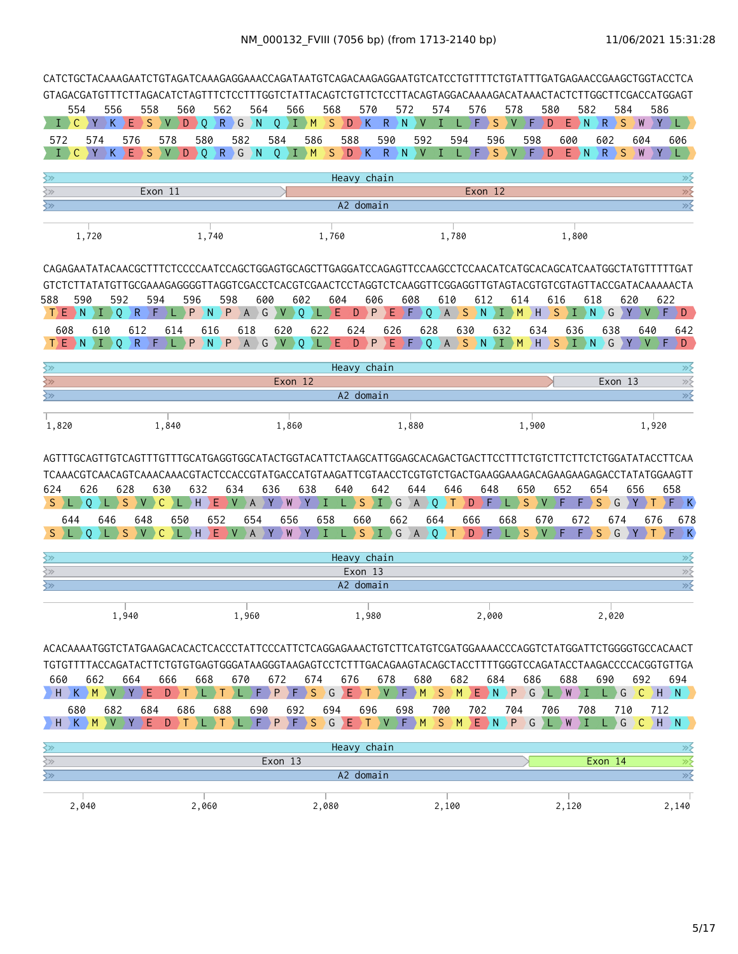| CATCTGCTACAAAGAATCTGTAGATCAAAGAGGAAACCAGATAATGTCAGACAAGAGGAATGTCATCCTGTTTTCTGTATTTGATGAGAACCGAAGCTGGTACCTCA                                                                                                                                                                                                                       |                              |                                                                   |                               |                                       |                                                            |                                         |                                          |                    |                                                                                |                                    |                                                                      |                                                               |                                                                                                                               |            |                                        |                             |                       |                          |                            |          |                    |                                                                                                            |
|-----------------------------------------------------------------------------------------------------------------------------------------------------------------------------------------------------------------------------------------------------------------------------------------------------------------------------------|------------------------------|-------------------------------------------------------------------|-------------------------------|---------------------------------------|------------------------------------------------------------|-----------------------------------------|------------------------------------------|--------------------|--------------------------------------------------------------------------------|------------------------------------|----------------------------------------------------------------------|---------------------------------------------------------------|-------------------------------------------------------------------------------------------------------------------------------|------------|----------------------------------------|-----------------------------|-----------------------|--------------------------|----------------------------|----------|--------------------|------------------------------------------------------------------------------------------------------------|
| GTAGACGATGTTTCTTAGACATCTAGTTTCTCCTTTGGTCTATTACAGTCTGTTCTCCTTACAGTAGGACAAAAGACATAAACTACTCTTGGCTTCGACCATGGAGT                                                                                                                                                                                                                       |                              |                                                                   |                               |                                       |                                                            |                                         |                                          |                    |                                                                                |                                    |                                                                      |                                                               |                                                                                                                               |            |                                        |                             |                       |                          |                            |          |                    |                                                                                                            |
| 554                                                                                                                                                                                                                                                                                                                               | 556                          | 558                                                               | 560                           |                                       | 562                                                        | 564                                     | 566                                      |                    | 568                                                                            | 570                                | 572                                                                  |                                                               | 574                                                                                                                           | 576        | 578                                    |                             | 580                   | 582                      |                            | 584      | 586                |                                                                                                            |
| $\bot$ ) C                                                                                                                                                                                                                                                                                                                        | Y>K                          | DΕ<br>S                                                           | V D Q                         |                                       | $R \nvert G$                                               | $\sum_{i=1}^{n}$                        | $\circ$                                  | $\overline{I}$ $M$ | S.                                                                             | D K                                | $\mathsf{R}$<br>N                                                    | V                                                             |                                                                                                                               | F          | S<br>V                                 | F                           | D                     | $E$ N                    | $\langle R \rangle S$      |          | W                  | $Y$ ) L $Y$                                                                                                |
| 572                                                                                                                                                                                                                                                                                                                               | 574                          | 576                                                               | 578                           | 580                                   | 582                                                        |                                         | 584                                      | 586                | 588                                                                            |                                    | 590                                                                  | 592                                                           | 594                                                                                                                           |            | 596                                    | 598                         |                       | 600                      | 602                        |          | 604                | 606                                                                                                        |
| $\mathsf{C}$<br>Т.                                                                                                                                                                                                                                                                                                                | $Y$ $K$                      | Ε<br>-S                                                           | $\vee$<br>D                   | D.                                    | RGN                                                        |                                         | $O$ $I$ $M$                              |                    | S.                                                                             | D K                                | $R \nightharpoonup N$                                                |                                                               | V I                                                                                                                           | F)         | S.<br>$\mathbf{V}$                     | $\left  \mathsf{F} \right $ | D                     | $E$ $N$                  | R > S                      |          | $\mathbf{Y}$<br>W  |                                                                                                            |
| ≷≫                                                                                                                                                                                                                                                                                                                                |                              |                                                                   |                               |                                       |                                                            |                                         |                                          |                    | Heavy chain                                                                    |                                    |                                                                      |                                                               |                                                                                                                               |            |                                        |                             |                       |                          |                            |          |                    | ≫≶                                                                                                         |
| ≷≫                                                                                                                                                                                                                                                                                                                                |                              |                                                                   | Exon 11                       |                                       |                                                            |                                         |                                          |                    |                                                                                |                                    |                                                                      |                                                               |                                                                                                                               | Exon 12    |                                        |                             |                       |                          |                            |          |                    | $\gg$                                                                                                      |
| ≷≫                                                                                                                                                                                                                                                                                                                                |                              |                                                                   |                               |                                       |                                                            |                                         |                                          |                    |                                                                                | A2 domain                          |                                                                      |                                                               |                                                                                                                               |            |                                        |                             |                       |                          |                            |          |                    | $\overline{\gg}$                                                                                           |
|                                                                                                                                                                                                                                                                                                                                   |                              |                                                                   |                               |                                       |                                                            |                                         |                                          |                    |                                                                                |                                    |                                                                      |                                                               |                                                                                                                               |            |                                        |                             |                       |                          |                            |          |                    |                                                                                                            |
|                                                                                                                                                                                                                                                                                                                                   | 1,720                        |                                                                   |                               | 1,740                                 |                                                            |                                         |                                          |                    | 1,760                                                                          |                                    |                                                                      |                                                               | 1,780                                                                                                                         |            |                                        |                             |                       | 1,800                    |                            |          |                    |                                                                                                            |
| CAGAGAATATACAACGCTTTCTCCCCAATCCAGCTGGAGTGCAGCTTGAGGATCCAGAGTTCCAAGCCTCCAACATCATGCACAGCATCAATGGCTATGTTTTTGAT<br>GTCTCTTATATGTTGCGAAAGAGGGGGTTAGGTCGACCTCACGTCGAACTCCTAGGTCTCAAGGTTCGGAGGTTGTAGTACGTGTCGTAGTTACCGATACAAAAACTA<br>588<br>T E N I 0<br>608                                                                            | 590<br>610                   | 592<br>∑R.<br>612<br>$T \n\in N \n\in I \n\vee Q \n\in R \n\in F$ | 594<br>2F.<br>L.<br>614<br>L) | 596<br>P<br>$\rightarrow$ N<br>616    | 598<br>P<br>618<br>P N P A G V Q                           | 600<br>AG                               | $V$ 0<br>620                             | 602                | 604<br>)L }E<br>622                                                            | 606<br>$\rightarrow$ P<br>D<br>624 | Ε.<br>626                                                            | 608<br>$\blacktriangleright$ F $\blacktriangleright$ Q<br>628 | 610<br>AS<br>630<br>)L E D P E F Q A S N I M H S I N G Y V )                                                                  | 612<br>D N | $\rightarrow$ I $\rightarrow$ M<br>632 | 614<br>2 H<br>634           | 616                   | $S \mid I \mid N$<br>636 | 618<br>$\bigcirc$ G<br>638 | 620<br>Y | V > F ><br>640     | 622<br>D.<br>642<br>$F \ D$                                                                                |
|                                                                                                                                                                                                                                                                                                                                   |                              |                                                                   |                               |                                       |                                                            |                                         |                                          |                    |                                                                                |                                    |                                                                      |                                                               |                                                                                                                               |            |                                        |                             |                       |                          |                            |          |                    |                                                                                                            |
| ≷≫                                                                                                                                                                                                                                                                                                                                |                              |                                                                   |                               |                                       |                                                            |                                         |                                          |                    | Heavy chain                                                                    |                                    |                                                                      |                                                               |                                                                                                                               |            |                                        |                             |                       |                          |                            |          |                    | ≫≶                                                                                                         |
| $\left\langle \gamma \right\rangle$<br>≷≫                                                                                                                                                                                                                                                                                         |                              |                                                                   |                               |                                       |                                                            |                                         | Exon <sub>12</sub>                       |                    |                                                                                | A2 domain                          |                                                                      |                                                               |                                                                                                                               |            |                                        |                             |                       |                          | Exon 13                    |          |                    | $\gg$<br>$\overline{\gg}$                                                                                  |
|                                                                                                                                                                                                                                                                                                                                   |                              |                                                                   |                               |                                       |                                                            |                                         |                                          |                    |                                                                                |                                    |                                                                      |                                                               |                                                                                                                               |            |                                        |                             |                       |                          |                            |          |                    |                                                                                                            |
| 1,820                                                                                                                                                                                                                                                                                                                             |                              |                                                                   | 1,840                         |                                       |                                                            |                                         | 1,860                                    |                    |                                                                                |                                    |                                                                      | 1,880                                                         |                                                                                                                               |            |                                        | 1,900                       |                       |                          |                            |          | 1,920              |                                                                                                            |
| 624<br>S E<br>644<br>S.<br>≷≫                                                                                                                                                                                                                                                                                                     | 626<br>0<br>646<br>0         | 628<br><sub>S</sub><br>V.<br>648<br>S                             | 630<br>C<br>650<br>C          | 632<br>$L$ $\rightarrow$ H<br>$H$ $E$ | 634<br>E.<br>$\mathsf{V}$<br>652<br>$\mathsf{V}$           | $\overline{A}$<br>654<br>$\overline{A}$ | 636<br>Y W Y<br>656<br>$\mathsf{W}$<br>Y | 638<br>DY.         | 640<br>I<br>$L \rightarrow S$<br>658<br>$L \rightarrow S$<br>I.<br>Heavy chain | 660                                | 642<br>$\left( \begin{array}{cc} 1 & G \end{array} \right)$ A<br>662 | 644                                                           | 646<br>$\overline{Q}$<br>$\left  \cdot \right $<br>664<br>$\{I\}$ G $\{A\}$ Q $\{T\}$ D $\{F\}$ L $\{S\}$ V $\{F\}$ F $\{S\}$ | D<br>666   | 648<br>DE.<br>668                      | 650<br>S                    | 652<br>V.<br>F<br>670 | F)<br>672                | 654<br>S<br>674            | G Y      | 656<br>676<br>SCYT | 658<br>$F$ $K$<br>678<br>$F \rightarrow K$<br>≫                                                            |
| $\gtrsim$                                                                                                                                                                                                                                                                                                                         |                              |                                                                   |                               |                                       |                                                            |                                         |                                          |                    |                                                                                | Exon 13                            |                                                                      |                                                               |                                                                                                                               |            |                                        |                             |                       |                          |                            |          |                    | $\gg$                                                                                                      |
| ≷≫                                                                                                                                                                                                                                                                                                                                |                              |                                                                   |                               |                                       |                                                            |                                         |                                          |                    |                                                                                | A2 domain                          |                                                                      |                                                               |                                                                                                                               |            |                                        |                             |                       |                          |                            |          |                    | $\overline{\gg}$                                                                                           |
|                                                                                                                                                                                                                                                                                                                                   |                              | 1,940                                                             |                               |                                       | 1,960                                                      |                                         |                                          |                    |                                                                                | 1,980                              |                                                                      |                                                               |                                                                                                                               |            | 2,000                                  |                             |                       |                          | 2,020                      |          |                    |                                                                                                            |
| ACACAAAATGGTCTATGAAGACACACTCACCCTATTCCCATTCTCAGGAGAAACTGTCTTCATGTCGATGGAAAACCCAGGTCTATGGATTCTGGGGTGCCACAACT<br>TGTGTTTTACCAGATACTTCTGTGTGAGTGGGATAAGGGTAAGAGTCCTCTTTGACAGAAGTACAGCTACCTTTTGGGTCCAGATACCTAAGACCCCACGGTGTTGA<br>660<br>H.<br>680<br>$\overline{\mathbb{R}^2}$<br>$\overline{\mathbb{R}}$<br>$\overline{\mathbb{R}}$ | 662<br>$K$ >M >V >Y ><br>682 | 664<br>E.<br>684<br>E.                                            | 666<br>D<br>D.T<br>686<br>D   | 668                                   | 670<br>YL YT.<br>УL.<br>688<br>T L T L F P F S G E T V F M | 690                                     | 672<br>692<br>Exon 13                    | 674                | 676<br>$F$ $P$ $F$ $S$ $G$ $E$ $T$ $V$ $F$ $M$<br>694<br>Heavy chain           | 696<br>A2 domain                   | 678<br>698                                                           | 680                                                           | 682<br>$\left S\right\rangle$ M<br>700<br>SM                                                                                  | 702        | 684<br>ENP)<br>704<br>$E$ $N$ $P$      | 686<br>G                    | 706<br>G L W          | 688<br>L W I<br>708      | 690<br>Exon 14             | 710<br>G | 692<br>712         | 694<br>$L$ G $\overline{C}$ H $\overline{N}$<br>$(C)$ H $>N$<br>≫⋛<br>$\overline{\gg}$<br>$\overline{\gg}$ |
|                                                                                                                                                                                                                                                                                                                                   |                              |                                                                   |                               |                                       |                                                            |                                         |                                          |                    |                                                                                |                                    |                                                                      |                                                               |                                                                                                                               |            |                                        |                             |                       |                          |                            |          |                    |                                                                                                            |
| 2,040                                                                                                                                                                                                                                                                                                                             |                              |                                                                   |                               | 2,060                                 |                                                            |                                         |                                          |                    | 2,080                                                                          |                                    |                                                                      |                                                               | 2,100                                                                                                                         |            |                                        |                             |                       | 2,120                    |                            |          |                    | 2,140                                                                                                      |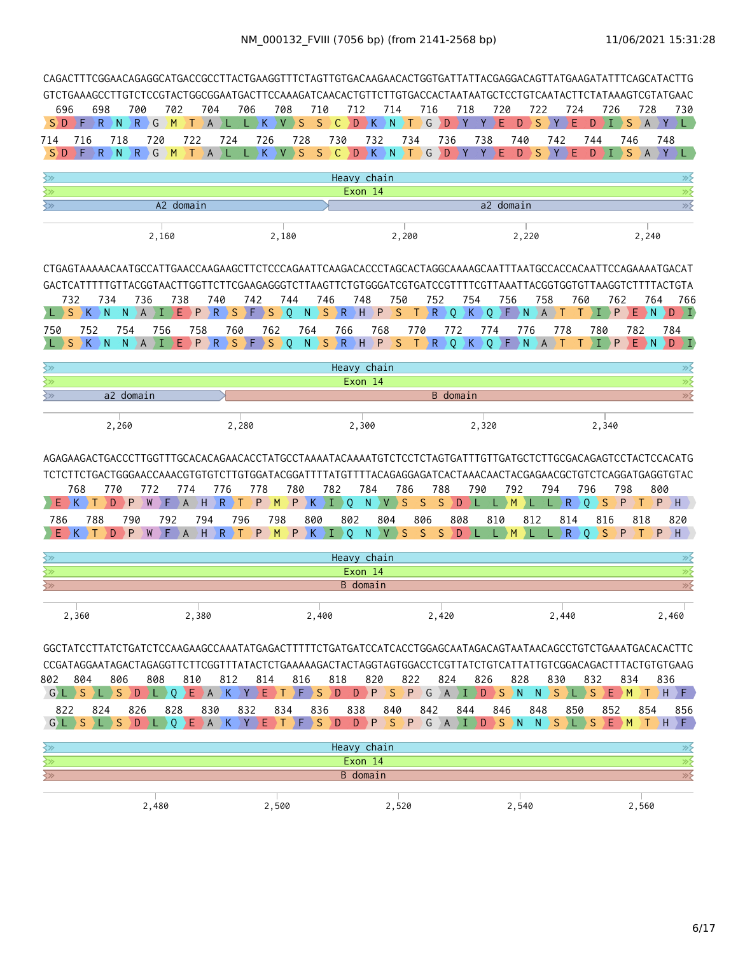|                           |          |                  |                |                            |                          |          |                     |                     |                                     |                    |                 |                                                          |                           |                 |                                     |                     |                      | CAGACTTTCGGAACAGAGGCATGACCGCCTTACTGAAGGTTTCTAGTTGTGACAAGAACACTGGTGATTATTACGAGGACAGTTATGAAGATATTTCAGCATACTTG                                                                                                                                   |                 |                |          |                       |                     |                |          |              |              |           |                   |
|---------------------------|----------|------------------|----------------|----------------------------|--------------------------|----------|---------------------|---------------------|-------------------------------------|--------------------|-----------------|----------------------------------------------------------|---------------------------|-----------------|-------------------------------------|---------------------|----------------------|-----------------------------------------------------------------------------------------------------------------------------------------------------------------------------------------------------------------------------------------------|-----------------|----------------|----------|-----------------------|---------------------|----------------|----------|--------------|--------------|-----------|-------------------|
| 696                       |          | 698              |                | 700                        | 702                      |          | 704                 |                     | 706                                 | 708                |                 | 710                                                      | 712                       |                 | 714                                 |                     | 716                  | GTCTGAAAGCCTTGTCTCCGTACTGGCGGAATGACTTCCAAAGATCAACACTGTTCTTGTGACCACTAATAATGCTCCTGTCAATACTTCTATAAAGTCGTATGAAC<br>718                                                                                                                            |                 | 720            |          | 722                   |                     | 724            |          | 726          | 728          |           | 730               |
| S D                       | F        | $\mathsf{R}$     | $\overline{N}$ | $\mathsf{R}$<br>$\big\} G$ | M                        | т        | $\overline{A}$      |                     | K                                   | V                  | S               | S                                                        | C<br>D                    | K               | N                                   | Т                   | G                    | D<br>Y                                                                                                                                                                                                                                        |                 | F              | D        | S                     | Y                   | Е              | D<br>T.  | S            | A            | Y         | L.                |
| 714<br>$S$ D              | 716      | R                | 718<br>N       | 720<br>$\setminus$ R<br>G  | $\mathsf{M}$             | 722<br>т | $\mathsf{A}$        | 724                 | 726                                 | $\mathsf{V}$<br>K. | 728<br>S        | S                                                        | 730<br>D.<br>$\mathsf{C}$ | 732<br>K        | $\setminus$ N                       | 734<br>ΣT           | G                    | 736<br>D                                                                                                                                                                                                                                      | 738             |                | 740<br>D | S                     | 742                 |                | 744<br>D | 746<br>S     |              | 748<br>Y  |                   |
| ≷≫                        |          |                  |                |                            |                          |          |                     |                     |                                     |                    |                 |                                                          | Heavy chain               |                 |                                     |                     |                      |                                                                                                                                                                                                                                               |                 |                |          |                       |                     |                |          |              |              |           | $\gg$             |
| ≷≫                        |          |                  |                |                            |                          |          |                     |                     |                                     |                    |                 |                                                          |                           | Exon 14         |                                     |                     |                      |                                                                                                                                                                                                                                               |                 |                |          |                       |                     |                |          |              |              |           | ≫⋛                |
| ≷≫                        |          |                  |                |                            | A2 domain                |          |                     |                     |                                     |                    |                 |                                                          |                           |                 |                                     |                     |                      |                                                                                                                                                                                                                                               |                 | a2 domain      |          |                       |                     |                |          |              |              |           | $\gg$             |
|                           |          |                  |                |                            | 2,160                    |          |                     |                     |                                     | 2,180              |                 |                                                          |                           |                 |                                     | 2,200               |                      |                                                                                                                                                                                                                                               |                 |                | 2,220    |                       |                     |                |          |              | 2,240        |           |                   |
|                           |          |                  |                |                            |                          |          |                     |                     |                                     |                    |                 |                                                          |                           |                 |                                     |                     |                      | CTGAGTAAAAACAATGCCATTGAACCAAGAAGCTTCTCCCAGAATTCAAGACACCCTAGCACTAGGCAAAAGCAATTTAATGCCACCACAATTCCAGAAAATGACAT                                                                                                                                   |                 |                |          |                       |                     |                |          |              |              |           |                   |
|                           |          |                  |                |                            |                          |          |                     |                     |                                     |                    |                 |                                                          |                           |                 |                                     |                     |                      | GACTCATTTTTGTTACGGTAACTTGGTTCTTCGAAGAGGGGTCTTAAGTTCTGTGGGATCGTGATCCGTTTTCGTTAAATTACGGTGGTGTTAAGGTCTTTTACTGTA                                                                                                                                  |                 |                |          |                       |                     |                |          |              |              |           |                   |
|                           | 732<br>S | 734<br>N         | N              | 736<br>A                   | 738                      | Е<br>P   | 740<br>$\mathsf{R}$ | S                   | 742<br>› F                          | S                  | 744<br>0 I      | 746<br>N                                                 | $S \ R \ H$               | 748             | 750<br>$\mathsf{P}$<br><sub>S</sub> | Τ                   | 752<br>$\setminus$ R | 754<br>$\circ$                                                                                                                                                                                                                                | K               | 756<br>$\circ$ | $F \ N$  | 758<br>$\overline{A}$ |                     | 760            |          | 762<br>P     | 764<br>E N   | D         | 766<br>) I)       |
| 750                       | 752      |                  | 754            |                            | 756                      | 758      |                     | 760                 |                                     | 762                |                 | 764                                                      | 766                       |                 | 768                                 | 770                 |                      | 772                                                                                                                                                                                                                                           | 774             |                | 776      |                       | 778                 |                | 780      |              | 782          | 784       |                   |
|                           | K.<br>S. | N.               | N.             | A.                         | T                        | P<br>E.  | $\mathsf{R}$        | S.                  | ΣF                                  | <b>S</b>           | $\rightarrow$ 0 | N                                                        | $S$ $R$ $H$               |                 | P<br><sub>S</sub>                   | $\top$              | R                    | Q                                                                                                                                                                                                                                             | $K \setminus Q$ |                | $F \ N$  |                       | A) T                |                | ۰T.      | P            | $E$ N        |           | $D \rightarrow I$ |
| ≷≫                        |          |                  |                |                            |                          |          |                     |                     |                                     |                    |                 |                                                          | Heavy chain               |                 |                                     |                     |                      |                                                                                                                                                                                                                                               |                 |                |          |                       |                     |                |          |              |              |           | ≫                 |
| ≷≫                        |          |                  |                |                            |                          |          |                     |                     |                                     |                    |                 |                                                          |                           | Exon 14         |                                     |                     |                      |                                                                                                                                                                                                                                               |                 |                |          |                       |                     |                |          |              |              |           | $\overline{\gg}$  |
| ≷≫                        |          |                  |                | a2 domain                  |                          |          |                     |                     |                                     |                    |                 |                                                          |                           |                 |                                     |                     |                      | <b>B</b> domain                                                                                                                                                                                                                               |                 |                |          |                       |                     |                |          |              |              |           | $\overline{\gg}$  |
|                           |          |                  | 2,260          |                            |                          |          |                     |                     | 2,280                               |                    |                 |                                                          |                           | 2,300           |                                     |                     |                      |                                                                                                                                                                                                                                               | 2,320           |                |          |                       |                     |                | 2,340    |              |              |           |                   |
|                           | 768<br>Κ |                  | 770<br>P<br>D  | 772                        | F                        | 774<br>A | H.                  | 776<br>$\mathsf{R}$ | 778<br>P<br>т.                      | M                  | 780<br>) P∶     | K.                                                       | 782<br>Æ<br>0             | 784<br>N        | V                                   | 786<br><sub>S</sub> | S.                   | AGAGAAGACTGACCCTTGGTTTGCACACAGAACACCTATGCCTAAAATACAAAATGTCTCCTCTAGTGATTTGTTGATGCTCTTGCGACAGAGTCCTACTCCACATG<br>TCTCTTCTGACTGGGAACCAAACGTGTGTCTTGTGGATACGGATTTTATGTTTTACAGAGGGAGATCACTAAACAACTACGAGAACGCTGTCTCAGGATGAGGTGTAC<br>788<br>S.<br>D | 790<br>¢        | L.             | 792<br>M |                       | 794<br>$\mathsf{R}$ | 796<br>$\circ$ | S        | 798<br>P     |              | 800<br>P. | $H$ .             |
| 786                       |          | 788              | 790            |                            | 792                      |          | 794                 |                     | 796                                 | 798                |                 | 800                                                      | 802                       |                 | 804                                 |                     | 806                  | 808                                                                                                                                                                                                                                           |                 | 810            |          | 812                   | 814                 |                | 816      |              | 818          |           | 820               |
|                           | K.       |                  | P<br>D         | W                          | ۱F.                      | A        | H                   | $R \rightarrow T$   | P.                                  | M                  |                 |                                                          | $P$ $K$ $I$ $O$           | $N_{\odot}$     | $V \rightarrow S$                   |                     | <sub>S</sub>         | $S$ $D$ $L$                                                                                                                                                                                                                                   |                 | L M            |          |                       | $\mathsf{R}$<br>L.  | $\mathbf{0}$   | S        | $\mathsf{P}$ |              | $P$ $H$   |                   |
| ≷≫                        |          |                  |                |                            |                          |          |                     |                     |                                     |                    |                 |                                                          | Heavy chain               |                 |                                     |                     |                      |                                                                                                                                                                                                                                               |                 |                |          |                       |                     |                |          |              |              |           | ≫≶                |
| ⊰≫                        |          |                  |                |                            |                          |          |                     |                     |                                     |                    |                 |                                                          |                           | Exon 14         |                                     |                     |                      |                                                                                                                                                                                                                                               |                 |                |          |                       |                     |                |          |              |              |           | $\overline{\gg}$  |
| ≷≫                        |          |                  |                |                            |                          |          |                     |                     |                                     |                    |                 |                                                          |                           | B domain        |                                     |                     |                      |                                                                                                                                                                                                                                               |                 |                |          |                       |                     |                |          |              |              |           | $\overline{\gg}$  |
|                           | 2,360    |                  |                |                            |                          | 2,380    |                     |                     |                                     |                    |                 | 2,400                                                    |                           |                 |                                     |                     |                      | 2,420                                                                                                                                                                                                                                         |                 |                |          |                       | 2,440               |                |          |              |              | 2,460     |                   |
|                           |          |                  |                |                            |                          |          |                     |                     |                                     |                    |                 |                                                          |                           |                 |                                     |                     |                      | GGCTATCCTTATCTGATCTCCAAGAAGCCAAATATGAGACTTTTTCTGATGATCCATCACCTGGAGCAATAGACAGTAATAACAGCCTGTCTGAAATGACACACTTC                                                                                                                                   |                 |                |          |                       |                     |                |          |              |              |           |                   |
|                           |          |                  |                |                            |                          |          |                     |                     |                                     |                    |                 |                                                          |                           |                 |                                     |                     |                      | CCGATAGGAATAGACTAGAGGTTCTTCGGTTTATACTCTGAAAAAGACTACTAGGTAGTGGACCTCGTTATCTGTCATTATTGTCGGACAGACTTTACTGTGTGAAG                                                                                                                                   |                 |                |          |                       |                     |                |          |              |              |           |                   |
| 802                       | 804      |                  | 806            | 808                        |                          | 810      |                     | 812                 | 814                                 |                    | 816             |                                                          | 818                       | 820             |                                     | 822                 |                      | 824                                                                                                                                                                                                                                           | 826             |                | 828      |                       | 830                 |                | 832      | 834          |              | 836       |                   |
|                           | GLSL     |                  | S.             | DDL)                       |                          |          |                     |                     | $Q$ $E$ $A$ $K$ $Y$ $E$ $T$ $F$ $S$ |                    |                 |                                                          | D                         |                 | D P S                               |                     |                      | PGAIDSN                                                                                                                                                                                                                                       |                 |                |          | N                     | $S \ L S$           |                |          | $E$ $M$      |              | $T$ H $F$ |                   |
| 822<br>G L S              |          | 824<br>$ L $ $S$ |                | 826<br>D                   | 828<br>$L$ 0 $E$ A $K$ Y |          | 830                 |                     | 832                                 | 834<br>ED T        |                 | 836<br>$\left  \begin{array}{c} F \end{array} \right $ S | 838<br>D                  |                 | 840                                 |                     | 842                  | 844<br>D P S P G A I D S N N S L S E M                                                                                                                                                                                                        |                 | 846            |          | 848                   |                     | 850            | 852      |              | 854<br>$T$ H |           | 856<br>$F$ .      |
| $\overline{\mathbb{R}^2}$ |          |                  |                |                            |                          |          |                     |                     |                                     |                    |                 |                                                          | Heavy chain               |                 |                                     |                     |                      |                                                                                                                                                                                                                                               |                 |                |          |                       |                     |                |          |              |              |           | ≫⊱                |
| $\overline{\mathbb{R}^2}$ |          |                  |                |                            |                          |          |                     |                     |                                     |                    |                 |                                                          |                           | Exon 14         |                                     |                     |                      |                                                                                                                                                                                                                                               |                 |                |          |                       |                     |                |          |              |              |           | $\overline{\gg}$  |
| $\overline{\mathbb{R}^2}$ |          |                  |                |                            |                          |          |                     |                     |                                     |                    |                 |                                                          |                           | <b>B</b> domain |                                     |                     |                      |                                                                                                                                                                                                                                               |                 |                |          |                       |                     |                |          |              |              |           | $\gg$             |
|                           |          |                  |                | 2,480                      |                          |          |                     |                     |                                     | 2,500              |                 |                                                          |                           |                 | 2,520                               |                     |                      |                                                                                                                                                                                                                                               |                 |                | 2,540    |                       |                     |                |          |              | 2,560        |           |                   |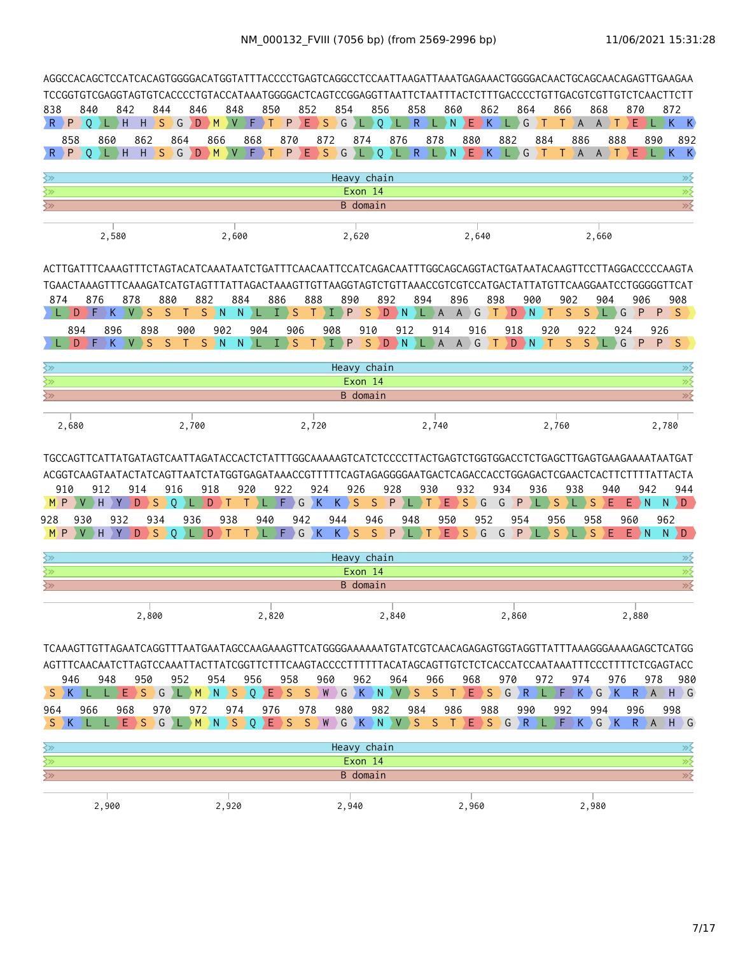| AGGCCACAGCTCCATCACAGTGGGGACATGGTATTTACCCCTGAGTCAGGCCTCCAATTAAGATTAAATGAGAAACTGGGGACAACTGCAGCAACAGAGTTGAAGAA                                                                                                                                             |                       |                      |                  |                             |                             |                          |              |                                   |                                           |                                |          |                            |                                             |                       |                         |            |                |                  |              |                 |              |                              |                 |                                                                                |
|---------------------------------------------------------------------------------------------------------------------------------------------------------------------------------------------------------------------------------------------------------|-----------------------|----------------------|------------------|-----------------------------|-----------------------------|--------------------------|--------------|-----------------------------------|-------------------------------------------|--------------------------------|----------|----------------------------|---------------------------------------------|-----------------------|-------------------------|------------|----------------|------------------|--------------|-----------------|--------------|------------------------------|-----------------|--------------------------------------------------------------------------------|
| TCCGGTGTCGAGGTAGTGTCACCCCTGTACCATAAATGGGGACTCAGTCCGGAGGTTAATTCTAATTTACTCTTTGACCCCTGTTGACGTCGTTGTCTCAACTTCTT                                                                                                                                             |                       |                      |                  |                             |                             |                          |              |                                   |                                           |                                |          |                            |                                             |                       |                         |            |                |                  |              |                 |              |                              |                 |                                                                                |
| 838<br>840<br>$R$ $P$ $Q$ $L$ $H$                                                                                                                                                                                                                       | 842                   | 844<br>S<br>$H$ )    | G                | 846<br>D<br>$\rightarrow$ M | 848<br>V                    | 850<br>$\bullet$<br>.) T | P            | 852<br>Ε                          | 854<br>G<br>$\rightarrow$ S $\rightarrow$ | L)Q                            | 856      | 858<br>$\mathsf{R}$<br>2LD | $\left\langle L_{\parallel}\right\rangle$ N | 860                   | $E$ $K$                 | 862        | 864<br>L G     | ΣT.              | 866<br>T.    | A               | 868<br>$A$ T | 870<br>Ε                     |                 | 872<br>$\blacktriangleright$ L $\blacktriangleright$ K $\blacktriangleright$ K |
| 858<br>$R$ $P$<br>$\overline{0}$                                                                                                                                                                                                                        | 860<br>L)H            | 862<br>$H \ S$       | 864<br>$\big)$ G | 866<br>$\overline{D}$<br>M  | $\vee$                      | 868<br>F.<br>.) T        | 870<br>P     |                                   | 872                                       | 874<br>$E$ SG L Q              | 876      |                            | 878                                         |                       | 880<br>EK LG            | 882        |                | 884<br>$\bullet$ | $\top$       | 886<br>AAT      | 888          |                              | 890             | 892<br>$E$ ) L $K$ K                                                           |
| ≷≫                                                                                                                                                                                                                                                      |                       |                      |                  |                             |                             |                          |              |                                   |                                           | Heavy chain                    |          |                            |                                             |                       |                         |            |                |                  |              |                 |              |                              |                 | ≫≶                                                                             |
| ≷≫                                                                                                                                                                                                                                                      |                       |                      |                  |                             |                             |                          |              |                                   |                                           | Exon 14                        |          |                            |                                             |                       |                         |            |                |                  |              |                 |              |                              |                 | $\overline{\gg}$                                                               |
| ⊰≫                                                                                                                                                                                                                                                      |                       |                      |                  |                             |                             |                          |              |                                   |                                           | B domain                       |          |                            |                                             |                       |                         |            |                |                  |              |                 |              |                              |                 | $\overline{\gg}$                                                               |
|                                                                                                                                                                                                                                                         | 2,580                 |                      |                  |                             | 2,600                       |                          |              |                                   |                                           | 2,620                          |          |                            |                                             |                       | 2,640                   |            |                |                  |              |                 | 2,660        |                              |                 |                                                                                |
| ACTTGATTTCAAAGTTTCTAGTACATCAAATAATCTGATTTCAACAATTCCATCAGACAATTTGGCAGCAGGTACTGATAATACAAGTTCCTTAGGACCCCCAAGTA                                                                                                                                             |                       |                      |                  |                             |                             |                          |              |                                   |                                           |                                |          |                            |                                             |                       |                         |            |                |                  |              |                 |              |                              |                 |                                                                                |
| TGAACTAAAGTTTCAAAGATCATGTAGTTTATTAGACTAAAGTTGTTAAGGTAGTCTGTTAAACCGTCGTCCATGACTATTATGTTCAAGGAATCCTGGGGGTTCAT                                                                                                                                             |                       |                      |                  |                             |                             |                          |              |                                   |                                           |                                |          |                            |                                             |                       |                         |            |                |                  |              |                 |              |                              |                 |                                                                                |
| 874<br>D                                                                                                                                                                                                                                                | 876<br>F<br>K.<br>⊢V  | 878<br>S             | 880<br>S<br>T.   | 882<br>S.                   | 884<br>$\rightarrow$ N<br>N | L.                       | 886<br>I > S | 888<br>T.                         | DР<br>Σ.                                  | 890<br>$\mathsf S$             | 892<br>D | 894<br>$\mathbb{R}$<br>Æ   | A                                           | 896                   | $A \cap G$              | 898<br>۰T. | D N            | 900<br>) T       | 902<br>S     | $\mathsf S$     | 904          | 906<br>P<br>G                | P               | 908<br><b>S</b>                                                                |
| 894                                                                                                                                                                                                                                                     | 896                   | 898                  | 900              |                             | 902                         | 904                      | 906          |                                   | 908                                       | 910                            |          | 912                        | 914                                         |                       | 916                     |            | 918            | 920              |              | 922             |              | 924                          | 926             |                                                                                |
| D                                                                                                                                                                                                                                                       | F<br>K                | S                    | S<br>т           | S.                          | $\rightarrow$ N<br>N.       | L                        | S<br>T.      | т                                 | $\mathsf{P}$<br>٠I.                       | $S$ D                          |          | $\rightarrow$ N            |                                             |                       | LAAGT                   |            | D N            | ١T               | <sub>S</sub> | S               |              | G<br>P                       | P               | <b>S</b>                                                                       |
| ≷≫                                                                                                                                                                                                                                                      |                       |                      |                  |                             |                             |                          |              |                                   |                                           | Heavy chain                    |          |                            |                                             |                       |                         |            |                |                  |              |                 |              |                              |                 | ≫⋛                                                                             |
| $\sum$                                                                                                                                                                                                                                                  |                       |                      |                  |                             |                             |                          |              |                                   |                                           | Exon 14                        |          |                            |                                             |                       |                         |            |                |                  |              |                 |              |                              |                 | $\gg$                                                                          |
| $\overline{\left\langle \mathbf{1}\right\rangle }$                                                                                                                                                                                                      |                       |                      |                  |                             |                             |                          |              |                                   |                                           | <b>B</b> domain                |          |                            |                                             |                       |                         |            |                |                  |              |                 |              |                              |                 | $\overline{\mathscr{D}}$                                                       |
| 2,680                                                                                                                                                                                                                                                   |                       |                      |                  | 2,700                       |                             |                          |              | 2,720                             |                                           |                                |          |                            | 2,740                                       |                       |                         |            |                |                  | 2,760        |                 |              |                              | 2,780           |                                                                                |
| TGCCAGTTCATTATGATAGTCAATTAGATACCACTCTATTTGGCAAAAAGTCATCTCCCCTTACTGAGTCTGGTGGACCTCTGAGCTTGAGTGAAGAAAATAATGAT<br>ACGGTCAAGTAATACTATCAGTTAATCTATGGTGAGATAAACCGTTTTTCAGTAGAGGGGAATGACTCAGACCACCTGGAGACTCGAACTCACTTCTTTTATTACTA<br>910<br>M) P<br>930<br>928 | 912<br>Y<br>H.<br>932 | 914<br>S<br>D<br>934 | 916<br>0         | 918<br>D<br>936             | 938                         | 920<br>940               | 922<br>F     | 924<br>G<br>$\overline{K}$<br>942 | K.<br>944                                 | 926<br>S<br>$\mathsf S$<br>946 | 928<br>P | 948                        | 930                                         | Ε<br>950              | 932<br>S<br>G<br>952    | 934<br>G   | P<br>954       | 936              | S<br>956     | 938<br>S<br>958 | 940<br>Ε     | E.<br>$\rightarrow$ N<br>960 | 942<br>N<br>962 | 944<br>D.                                                                      |
| M P                                                                                                                                                                                                                                                     | V DH<br>Y             | D                    | $S \setminus 0$  | D                           | ÞТ                          | L)<br>T                  | $F$ )        | GK                                | $K \ S$                                   |                                | $S$ $P$  |                            | ŀТ                                          | E.<br>$\rightarrow$ S | G                       | G          | P <sub>L</sub> |                  | S.           | S               | Ε            | $E \rightarrow N$            |                 | $N \ D$                                                                        |
| ≷≫                                                                                                                                                                                                                                                      |                       |                      |                  |                             |                             |                          |              |                                   |                                           | Heavy chain                    |          |                            |                                             |                       |                         |            |                |                  |              |                 |              |                              |                 | ≫                                                                              |
| ≷≫<br>$\left\langle \gg \right\rangle$                                                                                                                                                                                                                  |                       |                      |                  |                             |                             |                          |              |                                   |                                           | Exon 14<br><b>B</b> domain     |          |                            |                                             |                       |                         |            |                |                  |              |                 |              |                              |                 | $\overline{\gg}$<br>$\gg$                                                      |
|                                                                                                                                                                                                                                                         |                       |                      |                  |                             |                             |                          |              |                                   |                                           |                                |          |                            |                                             |                       |                         |            |                |                  |              |                 |              |                              |                 |                                                                                |
|                                                                                                                                                                                                                                                         |                       | 2,800                |                  |                             |                             | 2,820                    |              |                                   |                                           |                                | 2,840    |                            |                                             |                       |                         |            | 2,860          |                  |              |                 |              | 2,880                        |                 |                                                                                |
| TCAAAGTTGTTAGAATCAGGTTTAATGAATAGCCAAGAAAGTTCATGGGGAAAAAATGTATCGTCAACAGAGAGTGGTAGGTTATTTAAAGGGAAAAGAGCTCATGG                                                                                                                                             |                       |                      |                  |                             |                             |                          |              |                                   |                                           |                                |          |                            |                                             |                       |                         |            |                |                  |              |                 |              |                              |                 |                                                                                |
| AGTTTCAACAATCTTAGTCCAAATTACTTATCGGTTCTTTCAAGTACCCCTTTTTTACATAGCAGTTGTCTCTCACCATCCAATAAATTTCCCTTTTCTCGAGTACC<br>946                                                                                                                                      | 948                   | 950                  | 952              | 954                         |                             | 956                      | 958          |                                   | 960                                       | 962                            | 964      |                            | 966                                         |                       | 968                     | 970        |                | 972              |              | 974             | 976          |                              | 978             | 980                                                                            |
| $S$ $K$ $L$                                                                                                                                                                                                                                             |                       | LESGLM               |                  |                             | N > S                       | $0$ $E$                  | <sub>S</sub> | S.                                |                                           | WGKNVS                         |          |                            | S.                                          | T.                    | $E \rightarrow S$       |            | $G \ R$        |                  | F)           | KGK             |              |                              |                 | R A H G                                                                        |
| 966<br>964                                                                                                                                                                                                                                              | 968                   | 970                  |                  | 972                         | 974                         | 976                      |              | 978                               | 980                                       |                                | 982      | 984                        |                                             | 986                   |                         | 988        | 990            |                  | 992          |                 | 994          | 996                          |                 | 998                                                                            |
| $S$ $K$ $L$                                                                                                                                                                                                                                             | E<br>L)               |                      |                  |                             |                             | SGLMNSQESSWGKNVSST       |              |                                   |                                           |                                |          |                            |                                             |                       | $E$ $S$ $G$ $R$ $L$ $)$ |            |                |                  |              | $F$ $K$ $G$ $K$ |              |                              |                 | $R$ $A$ $H$ $G$                                                                |
| ≷≫                                                                                                                                                                                                                                                      |                       |                      |                  |                             |                             |                          |              |                                   |                                           | Heavy chain                    |          |                            |                                             |                       |                         |            |                |                  |              |                 |              |                              |                 | ≫⊱                                                                             |
| $\sum$<br>$\overline{\mathbb{R}^2}$                                                                                                                                                                                                                     |                       |                      |                  |                             |                             |                          |              |                                   |                                           | Exon 14<br>B domain            |          |                            |                                             |                       |                         |            |                |                  |              |                 |              |                              |                 | $\overline{\gg}$<br>$\overline{\mathscr{D}}$                                   |
|                                                                                                                                                                                                                                                         |                       |                      |                  |                             |                             |                          |              |                                   |                                           |                                |          |                            |                                             |                       |                         |            |                |                  |              |                 |              |                              |                 |                                                                                |
|                                                                                                                                                                                                                                                         | 2,900                 |                      |                  |                             | 2,920                       |                          |              |                                   |                                           | 2,940                          |          |                            |                                             |                       | 2,960                   |            |                |                  |              | 2,980           |              |                              |                 |                                                                                |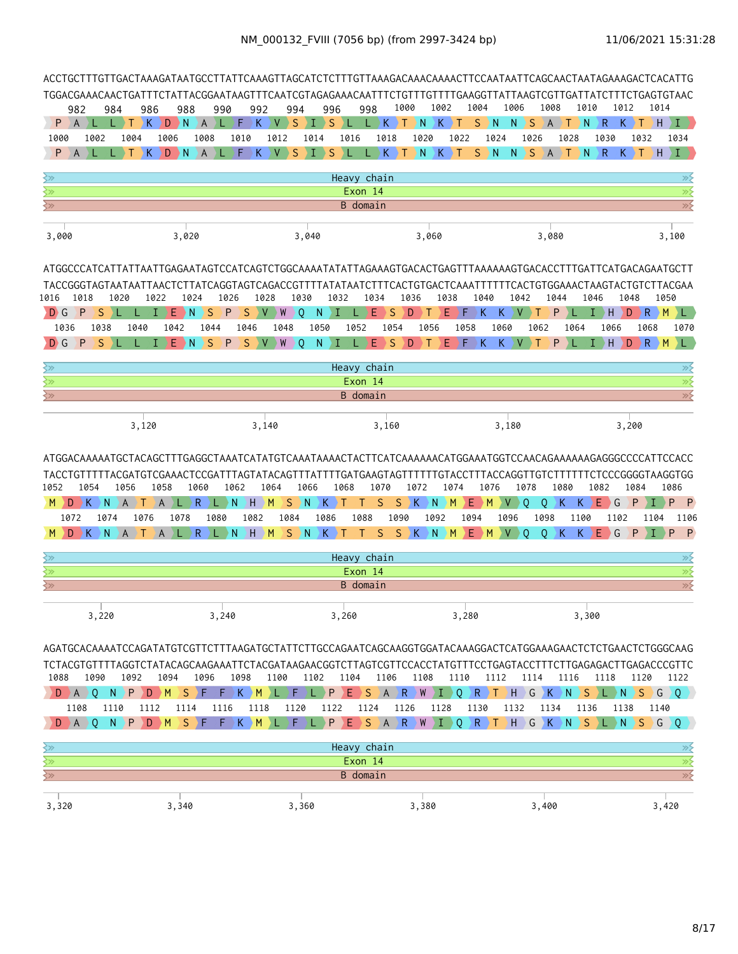|                                                                                                                                                                                                                                    |                                                                                                                                                                                                                                                                                                                                                                                                                                                                                                                                                                                                                                                                                                                                                                                                                   |      |                                     |       |                        |      |       |                    |         |                        |                |                 |         | 1000                  |      | 1002                  |       | 1004                 | 1006 |              | 1008 |                        | 1010          | 1012              |                       | 1014                                                                    |  |
|------------------------------------------------------------------------------------------------------------------------------------------------------------------------------------------------------------------------------------|-------------------------------------------------------------------------------------------------------------------------------------------------------------------------------------------------------------------------------------------------------------------------------------------------------------------------------------------------------------------------------------------------------------------------------------------------------------------------------------------------------------------------------------------------------------------------------------------------------------------------------------------------------------------------------------------------------------------------------------------------------------------------------------------------------------------|------|-------------------------------------|-------|------------------------|------|-------|--------------------|---------|------------------------|----------------|-----------------|---------|-----------------------|------|-----------------------|-------|----------------------|------|--------------|------|------------------------|---------------|-------------------|-----------------------|-------------------------------------------------------------------------|--|
| 982<br>P A                                                                                                                                                                                                                         |                                                                                                                                                                                                                                                                                                                                                                                                                                                                                                                                                                                                                                                                                                                                                                                                                   | 984  | 986<br>Т                            | $K$ ) | 988<br>$D \ N \ A \ L$ |      | 990   | 992<br>$F$ $K$ $V$ |         | 994<br>$\rightarrow$ S | 996<br>$I \ S$ | L L K T N       | 998     |                       |      | K.                    | T     | $S \nvert N$         | N    | <sub>S</sub> | A    | Т                      | ١N            | $\mathsf{R}$<br>Κ |                       | XH.<br>L                                                                |  |
| 1000                                                                                                                                                                                                                               | 1002                                                                                                                                                                                                                                                                                                                                                                                                                                                                                                                                                                                                                                                                                                                                                                                                              |      | 1004                                | 1006  |                        | 1008 |       | 1010               | 1012    | 1014                   |                | 1016            |         | 1018                  | 1020 |                       | 1022  | 1024                 |      | 1026         |      | 1028                   |               | 1030              | 1032                  | 1034                                                                    |  |
| P                                                                                                                                                                                                                                  |                                                                                                                                                                                                                                                                                                                                                                                                                                                                                                                                                                                                                                                                                                                                                                                                                   |      | $\mathsf{K}$                        |       | $D \rightarrow N$      | AL   |       | $F$ )<br>K.        | $\vee$  | S                      | S              |                 |         | $K \nightharpoonup T$ | ) N  | $K \nightharpoonup T$ |       | S.<br>$\overline{N}$ | N    | S A          |      | $\left  \cdot \right $ | $\setminus$ N | $\mathsf{R}$      | $K \nightharpoonup T$ | H<br>Ι.                                                                 |  |
| ≷≫                                                                                                                                                                                                                                 |                                                                                                                                                                                                                                                                                                                                                                                                                                                                                                                                                                                                                                                                                                                                                                                                                   |      |                                     |       |                        |      |       |                    |         |                        |                | Heavy chain     |         |                       |      |                       |       |                      |      |              |      |                        |               |                   |                       | ≫                                                                       |  |
| $\overline{\left\langle \mathbf{2}\right\rangle }$                                                                                                                                                                                 |                                                                                                                                                                                                                                                                                                                                                                                                                                                                                                                                                                                                                                                                                                                                                                                                                   |      |                                     |       |                        |      |       |                    |         |                        |                |                 | Exon 14 |                       |      |                       |       |                      |      |              |      |                        |               |                   |                       | $\overline{\gg}$                                                        |  |
| $\Leftrightarrow$                                                                                                                                                                                                                  |                                                                                                                                                                                                                                                                                                                                                                                                                                                                                                                                                                                                                                                                                                                                                                                                                   |      |                                     |       |                        |      |       |                    |         |                        |                |                 |         |                       |      |                       |       |                      |      |              |      |                        |               |                   |                       | $\overline{\gg}$                                                        |  |
| 3,000                                                                                                                                                                                                                              |                                                                                                                                                                                                                                                                                                                                                                                                                                                                                                                                                                                                                                                                                                                                                                                                                   |      |                                     |       |                        |      |       |                    |         |                        |                |                 |         |                       |      |                       |       |                      |      |              |      |                        |               |                   |                       | 3,100                                                                   |  |
|                                                                                                                                                                                                                                    | 1046<br>1048<br>1050<br>1018<br>1020<br>1022<br>1024<br>1026<br>1028<br>1030<br>1032<br>1034<br>1036<br>1038<br>1040<br>1042<br>1044<br>S<br>Е<br>S<br>P<br>S<br>W<br>0<br>N<br>E.<br>S<br>D<br>Е<br>P<br>R<br>M<br>P<br>DΝ<br>V<br>T.<br>F<br>K<br>K.<br>V<br>H<br>D<br>1038<br>1042<br>1044<br>1048<br>1050<br>1052<br>1054<br>1056<br>1058<br>1060<br>1062<br>1064<br>1066<br>1068<br>1040<br>1046<br>S<br>E.<br>S<br>S<br>W<br>$\circ$<br>N.<br>T<br>Е<br>S<br>Е<br>$K_{-}$<br>$\vee$<br>P<br>H.<br>Ð<br>$\rightarrow$ R<br>M<br>P<br>$\rightarrow$ N<br>P<br>V<br>D<br>F<br>K<br>T.<br>DТ<br>Heavy chain<br>Exon 14<br>B domain<br>3,180<br>3,120<br>3,140<br>3,160<br>3,200<br>1056<br>1072<br>1080<br>1082<br>1054<br>1058<br>1060<br>1062<br>1064<br>1066<br>1068<br>1070<br>1074<br>1076<br>1078<br>1084 |      |                                     |       |                        |      |       |                    |         |                        |                |                 |         |                       |      |                       |       |                      |      |              |      |                        |               |                   |                       |                                                                         |  |
|                                                                                                                                                                                                                                    | YE.                                                                                                                                                                                                                                                                                                                                                                                                                                                                                                                                                                                                                                                                                                                                                                                                               |      |                                     |       |                        |      |       |                    |         |                        |                |                 |         |                       |      |                       |       |                      |      |              |      |                        |               |                   |                       |                                                                         |  |
| 1016                                                                                                                                                                                                                               | ATGGCCCATCATTATTAATTGAGAATAGTCCATCAGTCTGGCAAAATATATTAGAAAGTGACACTGAGTTTAAAAAAGTGACACCTTTGATTCATGACAGAATGCTT<br>TACCGGGTAGTAATTAATTAACTCTTATCAGGTAGTCAGACCGTTTTATATAATCTTTCACTGTGACTCAAATTTTTTCACTGTGGAAACTAAGTACTGTCTTACGAA<br>1086                                                                                                                                                                                                                                                                                                                                                                                                                                                                                                                                                                               |      |                                     |       |                        |      |       |                    |         |                        |                |                 |         |                       |      |                       |       |                      |      |              |      |                        |               |                   |                       |                                                                         |  |
|                                                                                                                                                                                                                                    | 3,020<br>3,060<br>3,080<br>3,040<br>D G<br>1036<br>$H$ $M$<br>$S \ N$<br>N<br>E.<br>N<br>A<br>$R_{\parallel}$<br>$\mathsf{N}$<br>$K \nightharpoonup T$<br>S.<br>$S$ $K$<br>$\setminus$ M<br>Ε<br>M<br>V<br>$\circ$<br>K<br>K<br>G<br>P<br>P<br>۰D.<br>D K.<br>$\rightarrow$ A $\rightarrow$<br>T<br>L.<br>L<br>T.<br>0<br>1080<br>1082<br>1084<br>1098<br>1072<br>1074<br>1076<br>1078<br>1086<br>1088<br>1090<br>1092<br>1096<br>1102<br>1094<br>1100<br>1104<br>$S$ $K$ $N$<br>P<br>$\langle R \rangle L \rangle N$<br>HM<br>$S \ N$<br>$\rightarrow$ K $\rightarrow$<br><sub>S</sub><br>Ε<br>$\circ$<br>Е.<br>) G<br>N.<br>A)L)<br>♦<br>$\mathcal{M}$<br>M<br>0<br>K.<br>K<br>P<br>D<br>⇒K.<br>$A$ $\rightarrow$ T<br>$\vee$<br>Ι.<br>л.<br>Heavy chain<br>Exon 14                                             |      |                                     |       |                        |      |       |                    |         |                        |                |                 |         |                       |      |                       |       |                      |      |              |      |                        |               |                   |                       |                                                                         |  |
| D G                                                                                                                                                                                                                                |                                                                                                                                                                                                                                                                                                                                                                                                                                                                                                                                                                                                                                                                                                                                                                                                                   |      |                                     |       |                        |      |       |                    |         |                        |                |                 |         |                       |      |                       |       |                      |      |              |      |                        |               |                   |                       |                                                                         |  |
|                                                                                                                                                                                                                                    |                                                                                                                                                                                                                                                                                                                                                                                                                                                                                                                                                                                                                                                                                                                                                                                                                   |      |                                     |       |                        |      |       |                    |         |                        |                |                 |         |                       |      |                       |       |                      |      |              |      |                        |               |                   |                       |                                                                         |  |
| ≷≫                                                                                                                                                                                                                                 | <b>B</b> domain                                                                                                                                                                                                                                                                                                                                                                                                                                                                                                                                                                                                                                                                                                                                                                                                   |      |                                     |       |                        |      |       |                    |         |                        |                |                 |         |                       |      |                       |       |                      |      |              |      |                        |               |                   |                       |                                                                         |  |
| ≩≫<br>$\overline{\mathbb{R}^2}$                                                                                                                                                                                                    |                                                                                                                                                                                                                                                                                                                                                                                                                                                                                                                                                                                                                                                                                                                                                                                                                   |      |                                     |       |                        |      |       |                    |         |                        |                |                 |         |                       |      |                       |       |                      |      |              |      |                        |               |                   |                       |                                                                         |  |
|                                                                                                                                                                                                                                    | 1070<br>≫≶<br>$\overline{\gg}$<br>$\gg$<br>ATGGACAAAAATGCTACAGCTTTGAGGCTAAATCATATGTCAAATAAAACTACTTCATCAAAAAACATGGAAATGGTCCAACAGAAAAAAGAGGGCCCCATTCCACC<br>TACCTGTTTTTACGATGTCGAAACTCCGATTTAGTATACAGTTTATTTTGATGAAGTAGTTTTTTGTACCTTTTACCAGGTTGTCTTTTTTCTCCCGGGGTAAGGTGG<br>- P<br>1106                                                                                                                                                                                                                                                                                                                                                                                                                                                                                                                             |      |                                     |       |                        |      |       |                    |         |                        |                |                 |         |                       |      |                       |       |                      |      |              |      |                        |               |                   |                       |                                                                         |  |
|                                                                                                                                                                                                                                    |                                                                                                                                                                                                                                                                                                                                                                                                                                                                                                                                                                                                                                                                                                                                                                                                                   |      |                                     |       |                        |      |       |                    |         |                        |                |                 |         |                       |      |                       |       |                      |      |              |      |                        |               |                   |                       |                                                                         |  |
| 1052<br>M.                                                                                                                                                                                                                         | P<br>≫≶<br>$\gg$<br>$\overline{\gg}$<br><b>B</b> domain                                                                                                                                                                                                                                                                                                                                                                                                                                                                                                                                                                                                                                                                                                                                                           |      |                                     |       |                        |      |       |                    |         |                        |                |                 |         |                       |      |                       |       |                      |      |              |      |                        |               |                   |                       |                                                                         |  |
| M                                                                                                                                                                                                                                  |                                                                                                                                                                                                                                                                                                                                                                                                                                                                                                                                                                                                                                                                                                                                                                                                                   |      |                                     |       |                        |      |       |                    |         |                        |                |                 |         |                       |      |                       |       |                      |      |              |      |                        |               |                   |                       |                                                                         |  |
| ≷≫                                                                                                                                                                                                                                 |                                                                                                                                                                                                                                                                                                                                                                                                                                                                                                                                                                                                                                                                                                                                                                                                                   |      |                                     |       |                        |      |       |                    |         |                        |                |                 |         |                       |      |                       |       |                      |      |              |      |                        |               |                   |                       |                                                                         |  |
| ≷≫                                                                                                                                                                                                                                 |                                                                                                                                                                                                                                                                                                                                                                                                                                                                                                                                                                                                                                                                                                                                                                                                                   |      |                                     |       |                        |      |       |                    |         |                        |                |                 |         |                       |      |                       |       |                      |      |              |      |                        |               |                   |                       |                                                                         |  |
| $\overline{\left\langle \mathrm{p}\right\rangle }$                                                                                                                                                                                 |                                                                                                                                                                                                                                                                                                                                                                                                                                                                                                                                                                                                                                                                                                                                                                                                                   |      |                                     |       |                        |      |       |                    |         |                        |                |                 |         |                       |      |                       |       |                      |      |              |      |                        |               |                   |                       |                                                                         |  |
|                                                                                                                                                                                                                                    | 3,220                                                                                                                                                                                                                                                                                                                                                                                                                                                                                                                                                                                                                                                                                                                                                                                                             |      |                                     |       |                        |      | 3,240 |                    |         |                        |                | 3,260           |         |                       |      |                       | 3,280 |                      |      |              |      |                        | 3,300         |                   |                       |                                                                         |  |
| AGATGCACAAAATCCAGATATGTCGTTCTTTAAGATGCTATTCTTGCCAGAATCAGCAAGGTGGATACAAAGGACTCATGGAAAGAACTCTCTGAACTCTGGGCAAG<br>TCTACGTGTTTTAGGTCTATACAGCAAGAAATTCTACGATAAGAACGGTCTTAGTCGTTCCACCTATGTTTCCTGAGTACCTTTCTTGAGAGACTTGAGACCCGTTC<br>1088 | 1090                                                                                                                                                                                                                                                                                                                                                                                                                                                                                                                                                                                                                                                                                                                                                                                                              |      | 1092                                | 1094  |                        | 1096 |       | 1098               | 1100    | 1102                   |                | 1104            |         | 1106                  | 1108 |                       | 1110  | 1112                 |      | 1114         |      | 1116                   |               | 1118              | 1120                  | 1122                                                                    |  |
|                                                                                                                                                                                                                                    |                                                                                                                                                                                                                                                                                                                                                                                                                                                                                                                                                                                                                                                                                                                                                                                                                   |      |                                     |       |                        |      |       |                    |         |                        |                |                 |         |                       |      |                       |       |                      |      |              |      |                        |               |                   |                       | D A Q N P D M S F F K M L F L P E S A R W I Q R T H G K N S L N S G Q ) |  |
| 1108                                                                                                                                                                                                                               |                                                                                                                                                                                                                                                                                                                                                                                                                                                                                                                                                                                                                                                                                                                                                                                                                   | 1110 | 1112                                |       | 1114                   |      | 1116  | 1118               |         | 1120                   | 1122           |                 | 1124    | 1126                  |      | 1128                  | 1130  |                      | 1132 |              | 1134 |                        | 1136          | 1138              |                       | 1140                                                                    |  |
| $D \rightarrow A \rightarrow O$                                                                                                                                                                                                    |                                                                                                                                                                                                                                                                                                                                                                                                                                                                                                                                                                                                                                                                                                                                                                                                                   |      | $N$ $P$ $D$ $M$ $S$ $F$ $F$ $K$ $M$ |       |                        |      |       |                    | )L )F ) |                        |                |                 |         |                       |      |                       |       |                      |      |              |      |                        |               |                   |                       | L P E S A R W I Q R T H G K N S L N S G Q }                             |  |
| $\left\langle \gg \right\rangle$                                                                                                                                                                                                   |                                                                                                                                                                                                                                                                                                                                                                                                                                                                                                                                                                                                                                                                                                                                                                                                                   |      |                                     |       |                        |      |       |                    |         |                        |                | Heavy chain     |         |                       |      |                       |       |                      |      |              |      |                        |               |                   |                       | ≫⊱                                                                      |  |
| ╳╳                                                                                                                                                                                                                                 |                                                                                                                                                                                                                                                                                                                                                                                                                                                                                                                                                                                                                                                                                                                                                                                                                   |      |                                     |       |                        |      |       |                    |         |                        |                |                 | Exon 14 |                       |      |                       |       |                      |      |              |      |                        |               |                   |                       | <u>»{</u>                                                               |  |
| $\overline{\mathbb{R}^2}$                                                                                                                                                                                                          |                                                                                                                                                                                                                                                                                                                                                                                                                                                                                                                                                                                                                                                                                                                                                                                                                   |      |                                     |       |                        |      |       |                    |         |                        |                | <b>B</b> domain |         |                       |      |                       |       |                      |      |              |      |                        |               |                   |                       | $\gg$                                                                   |  |

| 3,320 | 340 | 360           | .380 | , 400 | 420 |
|-------|-----|---------------|------|-------|-----|
|       |     | $\sim$ $\sim$ |      |       | ℸ∠、 |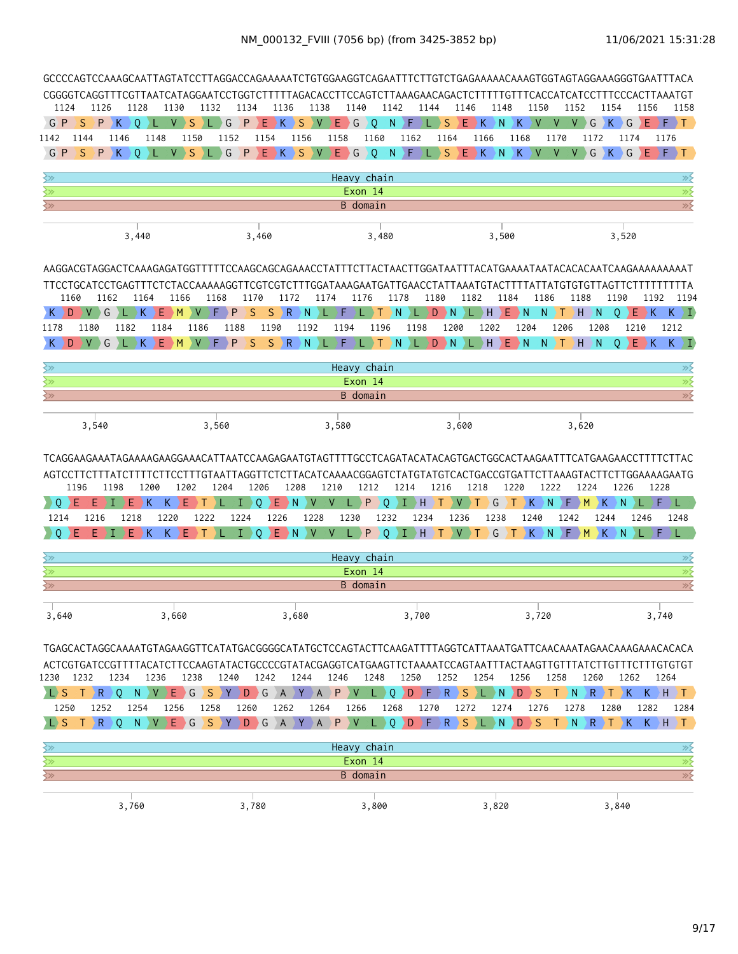|                                        | GCCCCAGTCCAAAGCAATTAGTATCCTTAGGACCAGAAAAATCTGTGGAAGGTCAGAATTTCTTGTCTGAGAAAAACAAAGTGGTAGTAGGAAAGGGTGAATTTACA<br>CGGGGTCAGGTTTCGTTAATCATAGGAATCCTGGTCTTTTTAGACACCTTCCAGTCTTAAAGAACAGACTCTTTTTGTTTCACCATCATCCTTTCCCACTTAAATGT<br>1126<br>1136<br>1138<br>1140<br>1142<br>1148<br>1150<br>1154<br>1124<br>1128<br>1130<br>1132<br>1134<br>1144<br>1146<br>1152<br>1156<br>1158<br>S<br>E.<br>G P<br>P<br>$\kappa$<br>$\circ$<br>S<br>G<br>P<br>$E$ $K$<br>$\vee$<br>Е.<br>G<br>$\circ$<br>N.<br>) F<br>S<br>ΣK<br>N<br>G<br>К<br>G<br>Ε<br>$F \rightarrow T$<br>S<br>v<br>K<br>$\vee$<br>V<br>V<br>L.<br>1146<br>1150<br>1154<br>1156<br>1158<br>1160<br>1162<br>1164<br>1166<br>1168<br>1170<br>1172<br>1176<br>1142<br>1144<br>1148<br>1152<br>1174<br>$P$ $K$ $O$<br>$V \rightarrow S$<br>G<br>S<br>$E \nvert G$<br>Q<br>$N$ $F$<br>S.<br>$\left\langle E\right\rangle K$ )<br>N<br>K ) V ) V ) V } G } K } G<br>EPFT.<br>G P<br>S.<br>$P$ $E$ $K$ $\rightarrow$<br>V<br>) L<br>$\mathbf{L}$<br>Heavy chain |                                                                                                           |                      |                 |                                                 |           |           |                  |                      |              |                                  |                            |                |       |                                    |                             |                |                    |             |                   |                       |        |                |                         |                                 |                      |             |                         |              |                                               |           |                |                  |
|----------------------------------------|------------------------------------------------------------------------------------------------------------------------------------------------------------------------------------------------------------------------------------------------------------------------------------------------------------------------------------------------------------------------------------------------------------------------------------------------------------------------------------------------------------------------------------------------------------------------------------------------------------------------------------------------------------------------------------------------------------------------------------------------------------------------------------------------------------------------------------------------------------------------------------------------------------------------------------------------------------------------------------------------------------|-----------------------------------------------------------------------------------------------------------|----------------------|-----------------|-------------------------------------------------|-----------|-----------|------------------|----------------------|--------------|----------------------------------|----------------------------|----------------|-------|------------------------------------|-----------------------------|----------------|--------------------|-------------|-------------------|-----------------------|--------|----------------|-------------------------|---------------------------------|----------------------|-------------|-------------------------|--------------|-----------------------------------------------|-----------|----------------|------------------|
|                                        |                                                                                                                                                                                                                                                                                                                                                                                                                                                                                                                                                                                                                                                                                                                                                                                                                                                                                                                                                                                                            |                                                                                                           |                      |                 |                                                 |           |           |                  |                      |              |                                  |                            |                |       |                                    |                             |                |                    |             |                   |                       |        |                |                         |                                 |                      |             |                         |              |                                               |           |                |                  |
|                                        |                                                                                                                                                                                                                                                                                                                                                                                                                                                                                                                                                                                                                                                                                                                                                                                                                                                                                                                                                                                                            |                                                                                                           |                      |                 |                                                 |           |           |                  |                      |              |                                  |                            |                |       |                                    |                             |                |                    |             |                   |                       |        |                |                         |                                 |                      |             |                         |              |                                               |           |                |                  |
|                                        |                                                                                                                                                                                                                                                                                                                                                                                                                                                                                                                                                                                                                                                                                                                                                                                                                                                                                                                                                                                                            |                                                                                                           |                      |                 |                                                 |           |           |                  |                      |              |                                  |                            |                |       |                                    |                             |                |                    |             |                   |                       |        |                |                         |                                 |                      |             |                         |              |                                               |           |                |                  |
|                                        |                                                                                                                                                                                                                                                                                                                                                                                                                                                                                                                                                                                                                                                                                                                                                                                                                                                                                                                                                                                                            |                                                                                                           |                      |                 |                                                 |           |           |                  |                      |              |                                  |                            |                |       |                                    |                             |                |                    |             |                   |                       |        |                |                         |                                 |                      |             |                         |              |                                               |           |                |                  |
|                                        |                                                                                                                                                                                                                                                                                                                                                                                                                                                                                                                                                                                                                                                                                                                                                                                                                                                                                                                                                                                                            |                                                                                                           |                      |                 |                                                 |           |           |                  |                      |              |                                  |                            |                |       |                                    |                             |                |                    |             |                   |                       |        |                |                         |                                 |                      |             |                         |              |                                               |           |                |                  |
| ≷≫                                     |                                                                                                                                                                                                                                                                                                                                                                                                                                                                                                                                                                                                                                                                                                                                                                                                                                                                                                                                                                                                            |                                                                                                           |                      |                 |                                                 |           |           |                  |                      |              |                                  |                            |                |       |                                    |                             |                |                    |             |                   |                       |        |                |                         |                                 |                      |             |                         |              |                                               |           |                | $\gg$            |
| ≷≫                                     |                                                                                                                                                                                                                                                                                                                                                                                                                                                                                                                                                                                                                                                                                                                                                                                                                                                                                                                                                                                                            |                                                                                                           |                      |                 |                                                 |           |           |                  |                      |              |                                  |                            |                |       | Exon 14                            |                             |                |                    |             |                   |                       |        |                |                         |                                 |                      |             |                         |              |                                               |           |                | $\overline{\gg}$ |
| ≷≫                                     | B domain<br>3,480<br>3,440<br>3,460<br>3,500<br>3,520                                                                                                                                                                                                                                                                                                                                                                                                                                                                                                                                                                                                                                                                                                                                                                                                                                                                                                                                                      |                                                                                                           |                      |                 |                                                 |           |           |                  |                      |              |                                  |                            |                |       |                                    | $\gg$                       |                |                    |             |                   |                       |        |                |                         |                                 |                      |             |                         |              |                                               |           |                |                  |
|                                        |                                                                                                                                                                                                                                                                                                                                                                                                                                                                                                                                                                                                                                                                                                                                                                                                                                                                                                                                                                                                            |                                                                                                           |                      |                 |                                                 |           |           |                  |                      |              |                                  |                            |                |       |                                    |                             |                |                    |             |                   |                       |        |                |                         |                                 |                      |             |                         |              |                                               |           |                |                  |
|                                        |                                                                                                                                                                                                                                                                                                                                                                                                                                                                                                                                                                                                                                                                                                                                                                                                                                                                                                                                                                                                            |                                                                                                           |                      |                 |                                                 |           |           |                  |                      |              |                                  |                            |                |       |                                    |                             |                |                    |             |                   |                       |        |                |                         |                                 |                      |             |                         |              |                                               |           |                |                  |
|                                        |                                                                                                                                                                                                                                                                                                                                                                                                                                                                                                                                                                                                                                                                                                                                                                                                                                                                                                                                                                                                            |                                                                                                           |                      |                 |                                                 |           |           |                  |                      |              |                                  |                            |                |       |                                    |                             |                |                    |             |                   |                       |        |                |                         |                                 |                      |             |                         |              |                                               |           |                |                  |
|                                        | 1160                                                                                                                                                                                                                                                                                                                                                                                                                                                                                                                                                                                                                                                                                                                                                                                                                                                                                                                                                                                                       | 1162                                                                                                      |                      | 1164            | 1166                                            |           | 1168      |                  | 1170                 |              | 1172                             |                            | 1174           |       | 1176                               |                             | 1178           |                    | 1180        |                   | 1182                  |        | 1184           |                         |                                 | 1186                 |             | 1188                    |              | 1190                                          |           | 1192           | 1194             |
| K                                      | D<br>V.                                                                                                                                                                                                                                                                                                                                                                                                                                                                                                                                                                                                                                                                                                                                                                                                                                                                                                                                                                                                    | G                                                                                                         |                      | E.<br>К         | M                                               | V         | F.        | P                | S                    | <sub>S</sub> | R                                | N                          |                | F     |                                    |                             | <sup>N</sup>   |                    | D.          | D N.              | л.                    | H.     | Ε              | $\big\} N$              |                                 | N                    | ) T         | УH                      | N            | 0                                             | E.        | D K …          | $K \setminus I$  |
| 1178                                   | 1180                                                                                                                                                                                                                                                                                                                                                                                                                                                                                                                                                                                                                                                                                                                                                                                                                                                                                                                                                                                                       |                                                                                                           | 1182                 | 1184            |                                                 | 1186      |           | 1188             |                      | 1190         |                                  | 1192                       |                | 1194  |                                    | 1196                        |                | 1198               |             | 1200              |                       | 1202   |                | 1204                    |                                 |                      | 1206        |                         | 1208         |                                               | 1210      | 1212           |                  |
| K                                      | D<br>V                                                                                                                                                                                                                                                                                                                                                                                                                                                                                                                                                                                                                                                                                                                                                                                                                                                                                                                                                                                                     | G                                                                                                         |                      | K<br>F          | M                                               | V         | F.        | P                | S                    | S.           | R                                | $\mathsf{N}$               | л              | F     |                                    | т                           | $\mathsf{N}$   | л                  |             | $D \rightarrow N$ |                       | >L > H |                | $E$ N                   |                                 | N<br>$\rightarrow$ T |             | УH                      | <sup>N</sup> | $\Omega$                                      | E.<br>DK. |                | $K \setminus I$  |
|                                        |                                                                                                                                                                                                                                                                                                                                                                                                                                                                                                                                                                                                                                                                                                                                                                                                                                                                                                                                                                                                            |                                                                                                           |                      |                 |                                                 |           |           |                  |                      |              |                                  |                            |                |       |                                    |                             |                |                    |             |                   |                       |        |                |                         |                                 |                      |             |                         |              |                                               |           |                |                  |
| ≷≫<br>$\overline{\mathbb{Z}}$          |                                                                                                                                                                                                                                                                                                                                                                                                                                                                                                                                                                                                                                                                                                                                                                                                                                                                                                                                                                                                            |                                                                                                           |                      |                 |                                                 |           |           |                  |                      |              |                                  |                            |                |       | Heavy chain<br>Exon 14             |                             |                |                    |             |                   |                       |        |                |                         |                                 |                      |             |                         |              |                                               |           |                | ≫<br>$\gg$       |
| $\overline{\mathbb{R}^2}$              |                                                                                                                                                                                                                                                                                                                                                                                                                                                                                                                                                                                                                                                                                                                                                                                                                                                                                                                                                                                                            |                                                                                                           |                      |                 |                                                 |           |           |                  |                      |              |                                  |                            |                |       | B domain                           |                             |                |                    |             |                   |                       |        |                |                         |                                 |                      |             |                         |              |                                               |           |                | $\gg$            |
|                                        |                                                                                                                                                                                                                                                                                                                                                                                                                                                                                                                                                                                                                                                                                                                                                                                                                                                                                                                                                                                                            |                                                                                                           |                      |                 |                                                 |           |           |                  |                      |              |                                  |                            |                |       |                                    |                             |                |                    |             |                   |                       |        |                |                         |                                 |                      |             |                         |              |                                               |           |                |                  |
|                                        | 3,540                                                                                                                                                                                                                                                                                                                                                                                                                                                                                                                                                                                                                                                                                                                                                                                                                                                                                                                                                                                                      |                                                                                                           |                      |                 |                                                 |           | 3,560     |                  |                      |              |                                  |                            |                | 3,580 |                                    |                             |                |                    |             |                   | 3,600                 |        |                |                         |                                 |                      |             | 3,620                   |              |                                               |           |                |                  |
| $\rightarrow$ 0<br>1214<br>0 (         | 1196<br>ΣE<br>F<br>1216                                                                                                                                                                                                                                                                                                                                                                                                                                                                                                                                                                                                                                                                                                                                                                                                                                                                                                                                                                                    | 1198                                                                                                      | Е<br>1218<br>$E$ $K$ | 1200<br>K       | 1202<br>Е<br>K.<br>1220<br>$K_{\parallel}$<br>Е | 1222<br>T | 1204      | T)<br>1224<br>I, | 1206<br>0<br>$\circ$ | E.<br>1226   | 1208<br>$\rightarrow$ N<br>$E$ N | <b>V</b><br>1228<br>$\vee$ | 1210<br>V<br>V | 1230  | 1212<br>P<br>$L$ $\rightarrow$ $P$ | $\Omega$<br>1232<br>$\circ$ | 1214<br>Ι<br>Ø | ΣH<br>1234<br>D H. | $\lambda$ T | 1216              | <b>V</b><br>1236<br>V | 1218   | G<br>1238<br>G | 1220<br>$\blacklozenge$ | K.<br>1240<br>$ {\bf K}\rangle$ | 1222<br>N<br>N F M   | ۰F.<br>1242 | 1224<br>$\rightarrow$ M | K<br>1244    | 1226<br>N.<br>$\rightarrow$ K $\rightarrow$ N | 1246      | 1228<br>F<br>F | T.<br>1248       |
|                                        |                                                                                                                                                                                                                                                                                                                                                                                                                                                                                                                                                                                                                                                                                                                                                                                                                                                                                                                                                                                                            |                                                                                                           |                      |                 |                                                 |           |           |                  |                      |              |                                  |                            |                |       |                                    |                             |                |                    |             |                   |                       |        |                |                         |                                 |                      |             |                         |              |                                               |           |                |                  |
| ≷≫<br>$\left\langle \gg \right\rangle$ |                                                                                                                                                                                                                                                                                                                                                                                                                                                                                                                                                                                                                                                                                                                                                                                                                                                                                                                                                                                                            |                                                                                                           |                      |                 |                                                 |           |           |                  |                      |              |                                  |                            |                |       | Heavy chain<br>Exon 14             |                             |                |                    |             |                   |                       |        |                |                         |                                 |                      |             |                         |              |                                               |           |                | $\gg$<br>≫       |
| $\left\langle \gg \right\rangle$       |                                                                                                                                                                                                                                                                                                                                                                                                                                                                                                                                                                                                                                                                                                                                                                                                                                                                                                                                                                                                            |                                                                                                           |                      |                 |                                                 |           |           |                  |                      |              |                                  |                            |                |       | B domain                           |                             |                |                    |             |                   |                       |        |                |                         |                                 |                      |             |                         |              |                                               |           |                | $\gg$            |
|                                        |                                                                                                                                                                                                                                                                                                                                                                                                                                                                                                                                                                                                                                                                                                                                                                                                                                                                                                                                                                                                            |                                                                                                           |                      |                 |                                                 |           |           |                  |                      |              |                                  |                            |                |       |                                    |                             |                |                    |             |                   |                       |        |                |                         |                                 |                      |             |                         |              |                                               |           |                |                  |
| 3,640                                  |                                                                                                                                                                                                                                                                                                                                                                                                                                                                                                                                                                                                                                                                                                                                                                                                                                                                                                                                                                                                            |                                                                                                           |                      |                 | 3,660                                           |           |           |                  |                      |              | 3,680                            |                            |                |       |                                    |                             |                | 3,700              |             |                   |                       |        |                |                         | 3,720                           |                      |             |                         |              |                                               |           | 3,740          |                  |
|                                        | TGAGCACTAGGCAAAATGTAGAAGGTTCATATGACGGGGCATATGCTCCAGTACTTCAAGATTTTAGGTCATTAAATGATTCAACAAATAGAACAAAGAAACACACA                                                                                                                                                                                                                                                                                                                                                                                                                                                                                                                                                                                                                                                                                                                                                                                                                                                                                                |                                                                                                           |                      |                 |                                                 |           |           |                  |                      |              |                                  |                            |                |       |                                    |                             |                |                    |             |                   |                       |        |                |                         |                                 |                      |             |                         |              |                                               |           |                |                  |
|                                        |                                                                                                                                                                                                                                                                                                                                                                                                                                                                                                                                                                                                                                                                                                                                                                                                                                                                                                                                                                                                            | ACTCGTGATCCGTTTTACATCTTCCAAGTATACTGCCCCGTATACGAGGTCATGAAGTTCTAAAATCCAGTAATTTACTAAGTTGTTTATCTTTTCTTTGTGTGT |                      | 1236            |                                                 | 1238      |           | 1240             |                      | 1242         |                                  | 1244                       |                | 1246  |                                    | 1248                        |                | 1250               |             | 1252              |                       | 1254   |                | 1256                    |                                 | 1258                 |             | 1260                    |              | 1262                                          |           | 1264           |                  |
|                                        | 1230 1232                                                                                                                                                                                                                                                                                                                                                                                                                                                                                                                                                                                                                                                                                                                                                                                                                                                                                                                                                                                                  | 1234                                                                                                      |                      |                 |                                                 |           |           |                  |                      |              |                                  |                            |                |       |                                    |                             |                |                    |             |                   |                       |        |                |                         |                                 |                      |             |                         |              |                                               |           |                |                  |
| $L$ S                                  |                                                                                                                                                                                                                                                                                                                                                                                                                                                                                                                                                                                                                                                                                                                                                                                                                                                                                                                                                                                                            | TR O                                                                                                      |                      | $N$ $V$ $E$ $G$ |                                                 |           | SYDGAYA)  |                  |                      |              |                                  |                            |                | P V   |                                    | L O                         |                | DFRS               |             |                   |                       |        |                | L N D S                 |                                 |                      |             |                         |              | TNRTK                                         |           | K H T          |                  |
| 1250                                   |                                                                                                                                                                                                                                                                                                                                                                                                                                                                                                                                                                                                                                                                                                                                                                                                                                                                                                                                                                                                            | 1252                                                                                                      | 1254                 |                 | 1256                                            |           | 1258      |                  | 1260                 |              | 1262                             |                            | 1264           |       | 1266                               |                             | 1268           |                    | 1270        |                   | 1272                  |        | 1274           |                         | 1276                            |                      | 1278        |                         |              | 1280                                          | 1282      |                | 1284             |
| <b>L</b> S                             |                                                                                                                                                                                                                                                                                                                                                                                                                                                                                                                                                                                                                                                                                                                                                                                                                                                                                                                                                                                                            | $T$ $R$ $Q$                                                                                               |                      | N V E G         |                                                 |           | SYDGAYAPV |                  |                      |              |                                  |                            |                |       |                                    |                             |                |                    |             |                   |                       |        |                |                         |                                 |                      |             |                         |              | L Q D F R S L N D S T N R T K                 |           | $K$ $H$ $T$    |                  |
|                                        |                                                                                                                                                                                                                                                                                                                                                                                                                                                                                                                                                                                                                                                                                                                                                                                                                                                                                                                                                                                                            |                                                                                                           |                      |                 |                                                 |           |           |                  |                      |              |                                  |                            |                |       |                                    |                             |                |                    |             |                   |                       |        |                |                         |                                 |                      |             |                         |              |                                               |           |                |                  |
| ≩≫<br>$\overline{\mathbb{R}^2}$        |                                                                                                                                                                                                                                                                                                                                                                                                                                                                                                                                                                                                                                                                                                                                                                                                                                                                                                                                                                                                            |                                                                                                           |                      |                 |                                                 |           |           |                  |                      |              |                                  |                            |                |       | Heavy chain<br>Exon 14             |                             |                |                    |             |                   |                       |        |                |                         |                                 |                      |             |                         |              |                                               |           |                | ≫⊱<br>$\gg$      |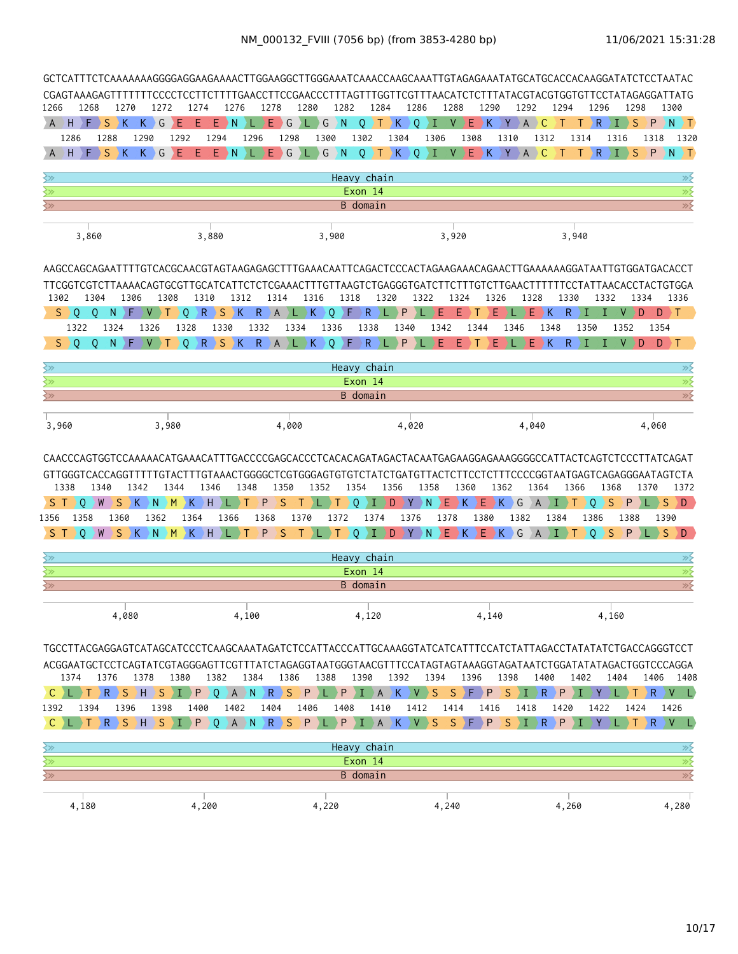| 1266<br>A                                                                       | 1268<br>H<br>F | <sub>S</sub>    | 1270<br>$\mathcal{R}$   | 1272<br>K<br>G | Ε                             | 1274<br>Ε   | Е<br>۰N           | 1276     | 1278<br>E. | $\big\} G$                                  | 1280<br>$L$ G | 1282<br>$\mathsf{N}$  | 0                                                                                                     | 1284<br>K                                               | 1286<br>$\circ$                             | 1288<br>I.<br>V | Ε                                                       | 1290<br>) K∶ | $\mathbf{V}$<br>$\overline{A}$ | 1292<br>$\mathsf{C}$   | 1294<br>$\top$  | Τ         | 1296<br>∖R   | ) I )                               | 1298<br>S<br>P | 1300<br>$N \rightarrow T$                                                                                                                                                                                                                      |
|---------------------------------------------------------------------------------|----------------|-----------------|-------------------------|----------------|-------------------------------|-------------|-------------------|----------|------------|---------------------------------------------|---------------|-----------------------|-------------------------------------------------------------------------------------------------------|---------------------------------------------------------|---------------------------------------------|-----------------|---------------------------------------------------------|--------------|--------------------------------|------------------------|-----------------|-----------|--------------|-------------------------------------|----------------|------------------------------------------------------------------------------------------------------------------------------------------------------------------------------------------------------------------------------------------------|
|                                                                                 | 1286           | 1288            | 1290                    |                | 1292                          |             | 1294              | 1296     |            | 1298                                        |               | 1300                  | 1302                                                                                                  | 1304                                                    |                                             | 1306            | 1308                                                    |              | 1310                           | 1312                   |                 | 1314      |              | 1316                                | 1318           | 1320                                                                                                                                                                                                                                           |
|                                                                                 | H              | $S$ $K$         |                         | $K$ )<br>G     | Ε                             | Ε           | E<br>$\mathsf{N}$ | <b>I</b> | E.         | $\big\} G$                                  | <b>DE D</b>   | $G$ $N$               | $Q \rightarrow T$                                                                                     | K                                                       | $0 \rightarrow I$                           |                 | V                                                       |              | $E$ $K$ $Y$ $A$ $C$            |                        | $\top$          | T.        | $\mathsf{R}$ | $\left\langle \Gamma \right\rangle$ | <sub>S</sub>   | $P$ N T                                                                                                                                                                                                                                        |
|                                                                                 |                |                 |                         |                |                               |             |                   |          |            |                                             |               |                       |                                                                                                       |                                                         |                                             |                 |                                                         |              |                                |                        |                 |           |              |                                     |                |                                                                                                                                                                                                                                                |
| ≷≫                                                                              |                |                 |                         |                |                               |             |                   |          |            |                                             |               |                       | Heavy chain                                                                                           |                                                         |                                             |                 |                                                         |              |                                |                        |                 |           |              |                                     |                | ≫                                                                                                                                                                                                                                              |
| $\overline{\mathbb{R}^2}$<br>$\overline{\left\langle \mathrm{y}\right\rangle }$ |                |                 |                         |                |                               |             |                   |          |            |                                             |               |                       | Exon 14<br>B domain                                                                                   |                                                         |                                             |                 |                                                         |              |                                |                        |                 |           |              |                                     |                | $\overline{\gg}$<br>$\overline{\gg}$                                                                                                                                                                                                           |
|                                                                                 |                |                 |                         |                |                               |             |                   |          |            |                                             |               |                       |                                                                                                       |                                                         |                                             |                 |                                                         |              |                                |                        |                 |           |              |                                     |                |                                                                                                                                                                                                                                                |
|                                                                                 | 3,860          |                 |                         |                |                               | 3,880       |                   |          |            |                                             |               | 3,900                 |                                                                                                       |                                                         |                                             | 3,920           |                                                         |              |                                |                        |                 | 3,940     |              |                                     |                |                                                                                                                                                                                                                                                |
|                                                                                 |                |                 |                         |                |                               |             |                   |          |            |                                             |               |                       |                                                                                                       |                                                         |                                             |                 |                                                         |              |                                |                        |                 |           |              |                                     |                | AAGCCAGCAGAATTTTGTCACGCAACGTAGTAAGAGAGCTTTGAAACAATTCAGACTCCCACTAGAAGAAACAGAACTTGAAAAAAGGATAATTGTGGATGACACCT                                                                                                                                    |
|                                                                                 |                |                 |                         |                |                               |             |                   |          |            |                                             |               |                       |                                                                                                       |                                                         |                                             |                 |                                                         |              |                                |                        |                 |           |              |                                     |                | TTCGGTCGTCTTAAAACAGTGCGTTGCATCATTCTCTCGAAACTTTGTTAAGTCTGAGGGTGATCTTCTTTGTCTTGAACTTTTTTCCTATTAACACCTACTGTGGA                                                                                                                                    |
| 1302                                                                            | 1304           |                 | 1306                    | 1308           |                               | 1310        |                   | 1312     |            | 1314                                        | 1316          |                       | 1318                                                                                                  | 1320                                                    | 1322                                        |                 | 1324                                                    | 1326         |                                | 1328                   |                 | 1330      | 1332         |                                     | 1334           | 1336                                                                                                                                                                                                                                           |
| $S \supset 0$                                                                   | $\circ$        | N               | ) F.                    | V              | $\circ$                       |             | $R$ $S$ $K$       |          |            | $R$ $A$ $L$ $K$                             |               | $\overline{Q}$<br>ΣF  | $\mathsf{R}$                                                                                          | P                                                       |                                             | Ε               | Е                                                       | Е            |                                | Е.                     | K               | R.<br>п   |              | V                                   | D              | $D \rightarrow T$                                                                                                                                                                                                                              |
|                                                                                 | 1322           | 1324            |                         | 1326           | 1328                          |             | 1330              |          | 1332       | 1334                                        |               | 1336                  | 1338                                                                                                  | 1340                                                    |                                             | 1342            | 1344                                                    |              | 1346                           |                        | 1348            |           | 1350         | 1352                                |                | 1354                                                                                                                                                                                                                                           |
| S.                                                                              | 0<br>0         | N               | ΣF                      | V.             | $\Omega$                      |             | $R$ $S$ $K$       |          |            | $\langle R \rangle$ A $\rangle$ L $\rangle$ | K             | $\overline{O}$<br>DE. | $\mathsf{R}$                                                                                          | P                                                       |                                             | Ε               | E                                                       | Е            |                                | E.                     | ŀΚ              | R.<br>Ι   |              | V                                   | D              | $\mathsf{F}$<br>D.                                                                                                                                                                                                                             |
| ≷≫                                                                              |                |                 |                         |                |                               |             |                   |          |            |                                             |               |                       | Heavy chain                                                                                           |                                                         |                                             |                 |                                                         |              |                                |                        |                 |           |              |                                     |                | $\gg$                                                                                                                                                                                                                                          |
| ╳╳                                                                              |                |                 |                         |                |                               |             |                   |          |            |                                             |               |                       | Exon 14                                                                                               |                                                         |                                             |                 |                                                         |              |                                |                        |                 |           |              |                                     |                | $\gg$                                                                                                                                                                                                                                          |
| $\overline{\text{S}}$                                                           |                |                 |                         |                |                               |             |                   |          |            |                                             |               |                       | <b>B</b> domain                                                                                       |                                                         |                                             |                 |                                                         |              |                                |                        |                 |           |              |                                     |                | $\overline{\gg}$                                                                                                                                                                                                                               |
|                                                                                 |                |                 |                         |                |                               |             |                   |          |            |                                             |               |                       |                                                                                                       |                                                         |                                             |                 |                                                         |              |                                |                        |                 |           |              |                                     |                |                                                                                                                                                                                                                                                |
| 3,960                                                                           |                |                 |                         | 3,980          |                               |             |                   |          |            | 4,000                                       |               |                       |                                                                                                       | 4,020                                                   |                                             |                 |                                                         |              |                                | 4,040                  |                 |           |              |                                     | 4,060          |                                                                                                                                                                                                                                                |
| 1338<br>S T                                                                     | $\mathbf 0$    | 1340<br>S.<br>W | 1342<br>Ж               | N              | 1344<br>$\rightarrow$ M<br>ΣK | 1346<br>∋ H |                   | 1348     | P          | 1350<br>S                                   | 1352<br>Τ     | Τ                     | 1354<br>0<br>T.                                                                                       | 1356<br>D                                               | 1358<br>$\mathsf{Y} \rightarrow \mathsf{N}$ | Ε               | 1360<br>DK.                                             | E.<br>DK.    | 1362<br>G                      | 1364<br>$\overline{A}$ | $\blacklozenge$ | 1366<br>Т | 0            | 1368<br>S<br>P                      | 1370           | CAACCCAGTGGTCCAAAAACATGAAACATTTGACCCCGAGCACCCTCACACAGATAGACTACAATGAGAAGGAGAAAGGGGCCATTACTCAGTCTCCCTTATCAGAT<br>GTTGGGTCACCAGGTTTTTGTACTTTGTAAACTGGGGCTCGTGGGAGTGTGTCTATCTGATGTTACTCTTCCTCTTTCCCCGGTAATGAGTCAGAGGGAATAGTCTA<br>1372<br>S.<br>D. |
| 1356                                                                            | 1358           | 1360            |                         | 1362           |                               | 1364        | 1366              |          | 1368       |                                             | 1370          | 1372                  | 1374                                                                                                  | 1376                                                    |                                             | 1378            |                                                         | 1380         | 1382                           |                        | 1384            |           | 1386         | 1388                                |                | 1390                                                                                                                                                                                                                                           |
| S.                                                                              | $\Omega$       | W               |                         |                |                               |             |                   |          | P          | S                                           |               | Τ                     | $\circ$<br>Ι                                                                                          | D                                                       | $Y$ $N$                                     |                 | $\left  \mathsf{E} \right $ $\left  \mathsf{K} \right $ |              | EKGAI                          |                        |                 |           | $\Omega$     | S<br>P                              |                | S<br>D                                                                                                                                                                                                                                         |
| ≷≫                                                                              |                |                 |                         |                |                               |             |                   |          |            |                                             |               |                       | Heavy chain                                                                                           |                                                         |                                             |                 |                                                         |              |                                |                        |                 |           |              |                                     |                | ≫⋛                                                                                                                                                                                                                                             |
| ≷≫                                                                              |                |                 |                         |                |                               |             |                   |          |            |                                             |               |                       | Exon 14                                                                                               |                                                         |                                             |                 |                                                         |              |                                |                        |                 |           |              |                                     |                | $\overline{\gg}$                                                                                                                                                                                                                               |
| $\gtrsim$                                                                       |                |                 |                         |                |                               |             |                   |          |            |                                             |               |                       | B domain                                                                                              |                                                         |                                             |                 |                                                         |              |                                |                        |                 |           |              |                                     |                | $\overline{\gg}$                                                                                                                                                                                                                               |
|                                                                                 |                |                 | 4,080                   |                |                               |             |                   | 4,100    |            |                                             |               |                       | 4,120                                                                                                 |                                                         |                                             |                 |                                                         | 4,140        |                                |                        |                 |           |              | 4,160                               |                |                                                                                                                                                                                                                                                |
|                                                                                 | 1374           | 1376            | 1378                    |                | 1380                          |             | 1382              | 1384     |            | 1386                                        |               | 1388                  |                                                                                                       | 1390 1392 1394                                          |                                             |                 | 1396                                                    |              | 1398                           | 1400                   |                 | 1402      |              | 1404                                |                | TGCCTTACGAGGAGTCATAGCATCCCTCAAGCAATAGATCTCCATTACCCATTGCAAAGGTATCATCATTTCCATCTATTAGACCTATATATCTGACCAGGGTCCT<br>ACGGAATGCTCCTCAGTATCGTAGGGAGTTCGTTTATCTAGAGGTAATGGGTAACGTTTCCATAGTAGTAAAGGTAGATAATCTGGATATATAGACTGGTCCCAGGA<br>1406 1408         |
| C <sub>I</sub> L                                                                |                |                 |                         |                |                               |             |                   |          |            |                                             |               |                       |                                                                                                       | T R S H S I P Q A N R S P L P I A K V S S F P S I R P I |                                             |                 |                                                         |              |                                |                        |                 |           | ∑Y.          |                                     |                | $\rightarrow$ R $\rightarrow$ V $\rightarrow$ L $\rightarrow$                                                                                                                                                                                  |
| 1392                                                                            | 1394           |                 | 1396                    | 1398           |                               | 1400        |                   | 1402     | 1404       |                                             | 1406          | 1408                  |                                                                                                       | 1410                                                    | 1412                                        | 1414            |                                                         | 1416         |                                | 1418                   | 1420            |           | 1422         |                                     | 1424           | 1426                                                                                                                                                                                                                                           |
| $\mathsf{C}^-$                                                                  |                |                 | T R S H S I P Q A N R S |                |                               |             |                   |          |            |                                             |               |                       | $\left  P \right\rangle L \left  P \right\rangle L \left  A \right\rangle K \left  V \right\rangle S$ |                                                         |                                             |                 |                                                         |              | S F P S I R P I Y              |                        |                 |           |              |                                     |                | $R$ $V$ $L$                                                                                                                                                                                                                                    |
|                                                                                 |                |                 |                         |                |                               |             |                   |          |            |                                             |               |                       |                                                                                                       |                                                         |                                             |                 |                                                         |              |                                |                        |                 |           |              | LD T.                               |                |                                                                                                                                                                                                                                                |
|                                                                                 |                |                 |                         |                |                               |             |                   |          |            |                                             |               |                       |                                                                                                       |                                                         |                                             |                 |                                                         |              |                                |                        |                 |           |              |                                     |                |                                                                                                                                                                                                                                                |
| $\left\langle \gg \right\rangle$<br>$\overline{\mathbb{Z}}$                     |                |                 |                         |                |                               |             |                   |          |            |                                             |               |                       | Heavy chain<br>Exon 14                                                                                |                                                         |                                             |                 |                                                         |              |                                |                        |                 |           |              |                                     |                | ≫≶<br>$\frac{\cancel{m}}{\cancel{m}}$                                                                                                                                                                                                          |

| ,180 | ,200 | ,220 | .240<br>$, - \cdot$ . | ,260 | ,280 |
|------|------|------|-----------------------|------|------|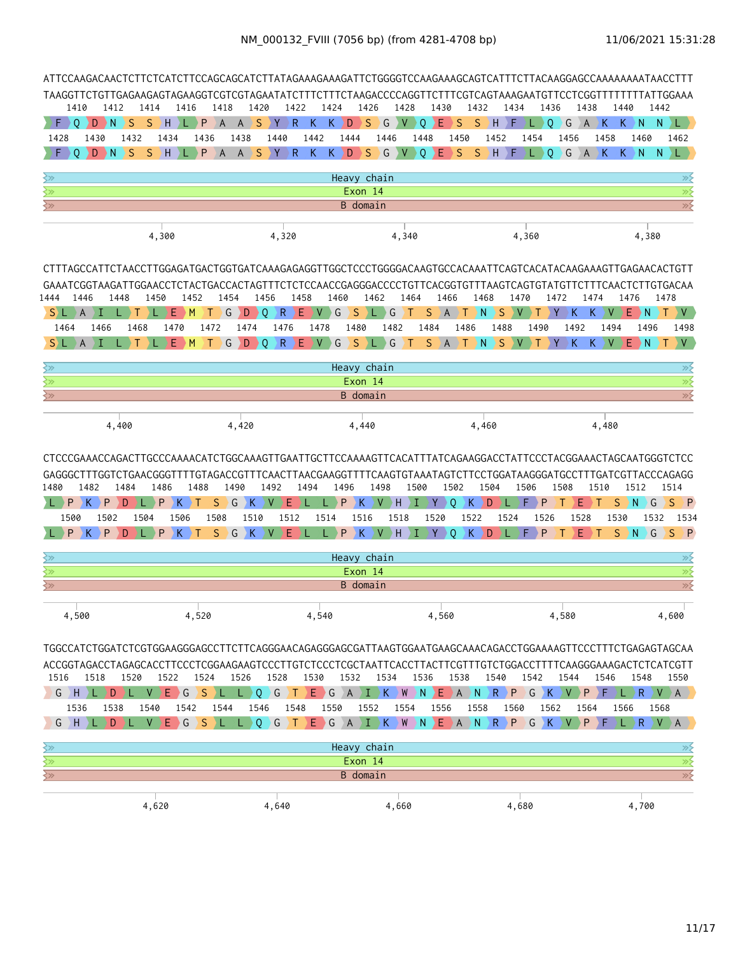| 1410<br>F.<br>⊇ 0                                  | D                                 | 1412<br>D N            | 1414<br>S     | $S$ H                            | 1416<br>P<br>¢                          | 1418<br>$\overline{A}$       | 1420<br>$A \ S$   | 1422<br>$Y$ $R$                 | K     | 1424<br>K<br>D    | 1426<br>$\rightarrow$ S | G                              | 1428<br>$\rightarrow$ V | 1430<br>Ε<br>0                                                                                               | S                      | 1432<br>S. | H                                | 1434<br>۰F | 1436<br>$L \rightarrow 0$ | $\big\} G$ | 1438<br>$\overline{A}$ | $\mathsf K$     | 1440<br>K<br>$\overline{N}$                 | 1442<br>N.<br>L.                                                                                                                                                                                                                                                            |
|----------------------------------------------------|-----------------------------------|------------------------|---------------|----------------------------------|-----------------------------------------|------------------------------|-------------------|---------------------------------|-------|-------------------|-------------------------|--------------------------------|-------------------------|--------------------------------------------------------------------------------------------------------------|------------------------|------------|----------------------------------|------------|---------------------------|------------|------------------------|-----------------|---------------------------------------------|-----------------------------------------------------------------------------------------------------------------------------------------------------------------------------------------------------------------------------------------------------------------------------|
| 1428                                               | 1430                              |                        | 1432          | 1434                             | 1436                                    | 1438                         |                   | 1440                            | 1442  | 1444              |                         | 1446                           |                         | 1448                                                                                                         | 1450                   |            | 1452                             |            | 1454                      | 1456       |                        | 1458            | 1460                                        | 1462                                                                                                                                                                                                                                                                        |
| $\Omega$                                           | D                                 | DΝ                     | S.<br>S.      | DH.                              |                                         | PA                           | A S               | $Y$ $R$                         |       | K K D S G V Q E   |                         |                                |                         |                                                                                                              | S                      |            | $S$ $H$ $F$                      |            | Q<br>L)                   |            |                        | GAKKN           |                                             | $N$ $L$                                                                                                                                                                                                                                                                     |
| ≷≫                                                 |                                   |                        |               |                                  |                                         |                              |                   |                                 |       |                   | Heavy chain             |                                |                         |                                                                                                              |                        |            |                                  |            |                           |            |                        |                 |                                             | $\gg$                                                                                                                                                                                                                                                                       |
| $\overline{\left\langle \mathbf{2}\right\rangle }$ |                                   |                        |               |                                  |                                         |                              |                   |                                 |       |                   | Exon 14                 |                                |                         |                                                                                                              |                        |            |                                  |            |                           |            |                        |                 |                                             | $\overline{\gg}$                                                                                                                                                                                                                                                            |
| ≷≫                                                 |                                   |                        |               |                                  |                                         |                              |                   |                                 |       |                   | <b>B</b> domain         |                                |                         |                                                                                                              |                        |            |                                  |            |                           |            |                        |                 |                                             | $\overline{\gg}$                                                                                                                                                                                                                                                            |
|                                                    |                                   |                        |               | 4,300                            |                                         |                              |                   | 4,320                           |       |                   |                         |                                | 4,340                   |                                                                                                              |                        |            |                                  | 4,360      |                           |            |                        |                 | 4,380                                       |                                                                                                                                                                                                                                                                             |
| 1444                                               | 1446                              | 1448                   |               | 1450                             | 1452                                    | 1454                         | 1456              |                                 | 1458  | 1460              |                         | 1462                           | 1464                    | 1466                                                                                                         |                        | 1468       |                                  | 1470       |                           | 1472       | 1474                   |                 | 1476                                        | CTTTAGCCATTCTAACCTTGGAGATGACTGGTGATCAAAGAGAGGTTGGCTCCCTGGGGACAAGTGCCACAAATTCAGTCACATACAAGAAAGTTGAGAACACTGTT<br>GAAATCGGTAAGATTGGAACCTCTACTGACCACTAGTTTCTCTCCAACCGAGGGACCCCTGTTCACGGTGTTTAAGTCAGTGTATGTTCTTTCAACTCTTGTGACAA<br>1478                                          |
| S) L                                               |                                   |                        |               | Е                                | ١M                                      | G                            | $D \rightarrow Q$ | R                               | EV.   | G                 | S                       | G<br><b>The Second Service</b> | $\blacklozenge$         | S<br>A                                                                                                       | ) T                    | ΣN         | S                                |            |                           | К          | K.                     | V               | E.<br>۰N.                                   | IV.                                                                                                                                                                                                                                                                         |
| 1464<br>$S$ $\perp$ $A$ $\perp$                    | 1466                              |                        | 1468          | 1470<br>$E$ $M$                  |                                         | 1472<br>$\top$ )             | 1474<br>G D O     | 1476                            | 1478  |                   | 1480                    | 1482                           |                         | 1484<br>R E V G S L G T S A T N S V T Y                                                                      | 1486                   |            | 1488                             |            | 1490                      | 1492       | $K_{\odot}$            | 1494<br>$K$ $V$ | 1496<br>$E$ N                               | 1498<br>$\vee$<br>$\top$                                                                                                                                                                                                                                                    |
| ≷≫                                                 |                                   |                        |               |                                  |                                         |                              |                   |                                 |       |                   | Heavy chain             |                                |                         |                                                                                                              |                        |            |                                  |            |                           |            |                        |                 |                                             | $\gg$                                                                                                                                                                                                                                                                       |
| $\overline{\mathbb{Z}}$                            |                                   |                        |               |                                  |                                         |                              |                   |                                 |       |                   | Exon 14                 |                                |                         |                                                                                                              |                        |            |                                  |            |                           |            |                        |                 |                                             | $\overline{\gg}$                                                                                                                                                                                                                                                            |
| $\overline{\mathbb{R}^2}$                          |                                   |                        |               |                                  |                                         |                              |                   |                                 |       |                   | B domain                |                                |                         |                                                                                                              |                        |            |                                  |            |                           |            |                        |                 |                                             | $\overline{\gg}$                                                                                                                                                                                                                                                            |
|                                                    |                                   | 4,400                  |               |                                  |                                         | 4,420                        |                   |                                 |       |                   | 4,440                   |                                |                         |                                                                                                              |                        | 4,460      |                                  |            |                           |            |                        | 4,480           |                                             |                                                                                                                                                                                                                                                                             |
| 1480<br>L)P<br>1500<br>P                           | 1482<br>K) P<br>$K \rightarrow P$ | 1484<br>D<br>1502<br>D | 1 L J<br>1504 | 1486<br>$P$ $K$ $T$<br>1506<br>P | 1488<br>$\rightarrow$ K $\rightarrow$ T | 1490<br>S.<br>1508<br>SGK VE | 1510              | 1492<br>$G$ $K$ $V$ $E$<br>1512 | 1494  | 1496<br>P<br>1514 | K.<br>1516              | 1498<br>$V$ $H$                | 1500<br>ΣL.<br>1518     | $Y \rightarrow$<br>1520<br>$\langle P \rangle K \rangle V \rangle H \rangle I \rangle Y \rangle Q \rangle$   | 1502<br>$\overline{Q}$ | K.<br>1522 | 1504<br>D<br>1524<br>$K$ $D$ $L$ | 1506<br>F  | P<br>1526<br>$F$ $P$      | 1508<br>Т  | Е<br>1528<br>Ε<br>DТ   | 1510<br>1530    | 1512<br>$S$ $N$<br>G<br>1532<br>$S$ $N$ $G$ | CTCCCGAAACCAGACTTGCCCAAAACATCTGGCAAAGTTGAATTGCTTCCAAAAGTTCACATTTATCAGAAGGACCTATTCCCTACGGAAACTAGCAATGGGTCTCC<br>GAGGGCTTTGGTCTGAACGGGTTTTGTAGACCGTTTCAACTTAACGAAGGTTTTCAAGTGTAAATAGTCTTCCTGGATAAGGGATGCCTTTGATCGTTACCCAGAGG<br>1514<br>$S \supset P$<br>1534<br>$S \nvert P$ |
| ≷≫                                                 |                                   |                        |               |                                  |                                         |                              |                   |                                 |       |                   | Heavy chain             |                                |                         |                                                                                                              |                        |            |                                  |            |                           |            |                        |                 |                                             | ≫⊱                                                                                                                                                                                                                                                                          |
| ≷≫                                                 |                                   |                        |               |                                  |                                         |                              |                   |                                 |       |                   | Exon 14                 |                                |                         |                                                                                                              |                        |            |                                  |            |                           |            |                        |                 |                                             | $\overline{\gg}$                                                                                                                                                                                                                                                            |
| $\left\langle \gg \right\rangle$                   |                                   |                        |               |                                  |                                         |                              |                   |                                 |       |                   | B domain                |                                |                         |                                                                                                              |                        |            |                                  |            |                           |            |                        |                 |                                             | $\overline{\gg}$                                                                                                                                                                                                                                                            |
| 4,500                                              |                                   |                        |               |                                  | 4,520                                   |                              |                   |                                 | 4,540 |                   |                         |                                |                         | 4,560                                                                                                        |                        |            |                                  |            |                           | 4,580      |                        |                 |                                             | 4,600                                                                                                                                                                                                                                                                       |
|                                                    |                                   |                        |               |                                  |                                         |                              |                   |                                 |       |                   |                         |                                |                         |                                                                                                              |                        |            |                                  |            |                           |            |                        |                 |                                             | TGGCCATCTGGATCTCGTGGAAGGGAGCCTTCTTCAGGGAACAGAGGGAGCGATTAAGTGGAATGAAGCAAACAGACCTGGAAAAGTTCCCTTTCTGAGAGTAGCAA<br>ACCGGTAGACCTAGAGCACCTTCCCTCGGAAGAAGTCCCTTGTCTCCCTCGCTAATTCACCTTACTTCGTTTGTCTGGACCTTTTCAAGGGAAAGACTCTCATCGTT                                                  |
| 1516                                               | 1518                              |                        | 1520          | 1522                             | 1524                                    | 1526                         |                   | 1528                            | 1530  | 1532              |                         | 1534                           |                         | 1536                                                                                                         | 1538                   |            | 1540                             |            | 1542                      | 1544       |                        | 1546            | 1548                                        | 1550                                                                                                                                                                                                                                                                        |
|                                                    | GHL                               | DIL                    |               | $V$ $E$ $G$                      |                                         | $S \ L \ L \ Q \ G$          |                   |                                 |       |                   |                         |                                |                         | $\left( T \to E \to G \to A \to I \to K \to W \to N \to E \to A \to N \to P \to G \to K \to V \to P \right)$ |                        |            |                                  |            |                           |            |                        | ΣF              | $L \rightarrow R$                           | $V$ $A$                                                                                                                                                                                                                                                                     |
| 1536                                               |                                   | 1538                   | 1540<br>V     |                                  | 1542                                    | 1544                         | 1546              | 1548                            |       | 1550              | 1552                    |                                | 1554                    | 1556                                                                                                         |                        | 1558       |                                  | 1560       | 1562                      |            | 1564                   |                 | 1566                                        | 1568                                                                                                                                                                                                                                                                        |
| $G$ $H$                                            |                                   | D                      |               | $E \ G$                          |                                         | $S$ ) L                      | L Q G             | $\top$                          |       |                   |                         |                                |                         | EGAIKWNEAN                                                                                                   |                        |            |                                  |            | $R$ $P$ $G$ $K$           | $\vee$     | P                      |                 | R                                           | $\overline{A}$                                                                                                                                                                                                                                                              |
| $\left\langle \gg \right\rangle$                   |                                   |                        |               |                                  |                                         |                              |                   |                                 |       |                   | Heavy chain             |                                |                         |                                                                                                              |                        |            |                                  |            |                           |            |                        |                 |                                             | $\gg$                                                                                                                                                                                                                                                                       |
| $\overline{\mathbb{R}^2}$                          |                                   |                        |               |                                  |                                         |                              |                   |                                 |       |                   | Exon 14                 |                                |                         |                                                                                                              |                        |            |                                  |            |                           |            |                        |                 |                                             | $\overline{\gg}$                                                                                                                                                                                                                                                            |
| $\overline{\mathbb{R}^2}$                          |                                   |                        |               |                                  |                                         |                              |                   |                                 |       |                   | <b>B</b> domain         |                                |                         |                                                                                                              |                        |            |                                  |            |                           |            |                        |                 |                                             | $\gg$                                                                                                                                                                                                                                                                       |
|                                                    |                                   |                        |               | 4,620                            |                                         |                              |                   | 4,640                           |       |                   |                         |                                | 4,660                   |                                                                                                              |                        |            |                                  | 4,680      |                           |            |                        |                 | 4,700                                       |                                                                                                                                                                                                                                                                             |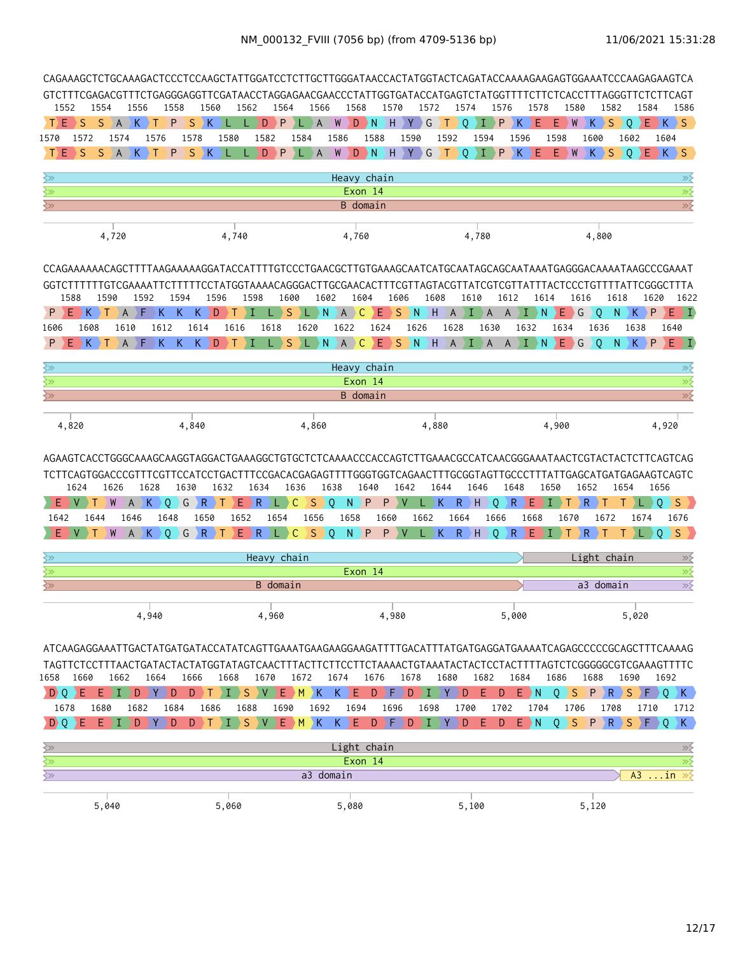| 1552                                               |                                                                                                                                                                                                                                    | 1554              | 1556      |                  | 1558                | 1560                 |            | 1562              | 1564              | 1566            |                             | 1568                         | 1570      |                 | 1572            | 1574                        |                     | 1576                    | 1578           |                                      | 1580                                                  | 1582                               |              | 1584         | 1586                                                |
|----------------------------------------------------|------------------------------------------------------------------------------------------------------------------------------------------------------------------------------------------------------------------------------------|-------------------|-----------|------------------|---------------------|----------------------|------------|-------------------|-------------------|-----------------|-----------------------------|------------------------------|-----------|-----------------|-----------------|-----------------------------|---------------------|-------------------------|----------------|--------------------------------------|-------------------------------------------------------|------------------------------------|--------------|--------------|-----------------------------------------------------|
| T)E.                                               | <sub>S</sub>                                                                                                                                                                                                                       | <sub>S</sub><br>A | K         | $\rightarrow$ T  | P                   | S<br>ΣК              |            | D.                | P                 | A               | W                           | D<br>DΝ                      | ΣH.       | Y               | ) G             | Т<br>0                      | L                   | D P                     | K<br>Е         | E.<br>$\rightarrow$ W                |                                                       | K<br><sub>S</sub>                  | $\mathbf{0}$ | Ε            | $K \ S$                                             |
| 1570                                               | 1572                                                                                                                                                                                                                               | 1574              |           | 1576             |                     | 1578                 | 1580       | 1582              |                   | 1584            | 1586                        | 1588                         |           | 1590            |                 | 1592                        | 1594                | 1596                    |                | 1598                                 | 1600                                                  |                                    | 1602         | 1604         |                                                     |
| TE                                                 | <sub>S</sub>                                                                                                                                                                                                                       | <sub>S</sub><br>A | K.        |                  | P                   | S<br>K               |            | D.                | P                 | A               | W                           | D N                          |           | H Y G           |                 | $\blacklozenge$<br>$\Omega$ |                     | P<br>ΣК.                | Ε              | E.                                   | W<br>K.                                               | <sub>S</sub>                       | $\Omega$     | $E$ $K$ $S$  |                                                     |
| ≷≫                                                 |                                                                                                                                                                                                                                    |                   |           |                  |                     |                      |            |                   |                   |                 |                             | Heavy chain                  |           |                 |                 |                             |                     |                         |                |                                      |                                                       |                                    |              |              | ≫                                                   |
| ≷≫                                                 |                                                                                                                                                                                                                                    |                   |           |                  |                     |                      |            |                   |                   |                 |                             | Exon 14                      |           |                 |                 |                             |                     |                         |                |                                      |                                                       |                                    |              |              | $\overline{\gg}$                                    |
| $\left\langle \gg \right\rangle$                   |                                                                                                                                                                                                                                    |                   |           |                  |                     |                      |            |                   |                   |                 |                             | <b>B</b> domain              |           |                 |                 |                             |                     |                         |                |                                      |                                                       |                                    |              |              | $\overline{\gg}$                                    |
|                                                    |                                                                                                                                                                                                                                    | 4,720             |           |                  |                     |                      | 4,740      |                   |                   |                 |                             | 4,760                        |           |                 |                 |                             | 4,780               |                         |                |                                      |                                                       | 4,800                              |              |              |                                                     |
|                                                    | CCAGAAAAAACAGCTTTTAAGAAAAAGGATACCATTTTGTCCCTGAACGCTTGTGAAAGCAATCATGCAATAGCAGCAATAAATGAGGGACAAAATAAGCCCGAAAT<br>GGTCTTTTTTGTCGAAAATTCTTTTTCCTATGGTAAAACAGGGACTTGCGAACACTTTCGTTAGTACGTTATCGTCGTTATTTACTCCCTGTTTTATTCGGGCTTTA<br>1588 | 1590              |           | 1592             | 1594                |                      | 1596       | 1598              | 1600              |                 | 1602                        | 1604                         | 1606      |                 | 1608            |                             | 1610                | 1612                    | 1614           |                                      | 1616                                                  | 1618                               |              | 1620         | 1622                                                |
| P.<br>1606                                         | F<br>1608                                                                                                                                                                                                                          |                   | A<br>1610 | ۱F.<br>K<br>1612 | K.                  | $\mathsf{K}$<br>1614 | D<br>1616  |                   | S<br>1618         | 1620            | $\overline{A}$<br>N<br>1622 | C                            | Е<br>1624 | S<br>N<br>1626  | $\rightarrow$ H | $A \mid I$<br>1628          | A<br>1630           | A                       | T<br>N<br>1632 | ٠E<br>1634                           | G                                                     | $\circ$<br>N<br>1636               | 1638         | $K \nvert P$ | $E \rightarrow I$<br>1640                           |
| P                                                  | $K$ ) T                                                                                                                                                                                                                            |                   | AF        | K.               | $\mathsf{K}$        | $K$ D                | ŀТ         | л                 | $L \rightarrow S$ | L N             |                             | A C                          |           |                 |                 |                             | E S N H A I A A I N |                         |                | DE.                                  | $\big\} G$                                            | $\circ$<br>N                       |              | $K \nvert P$ | $E \rightarrow I$                                   |
|                                                    |                                                                                                                                                                                                                                    |                   |           |                  |                     |                      |            |                   |                   |                 |                             |                              |           |                 |                 |                             |                     |                         |                |                                      |                                                       |                                    |              |              |                                                     |
| ≷≫<br>⊰≫                                           |                                                                                                                                                                                                                                    |                   |           |                  |                     |                      |            |                   |                   |                 |                             | Heavy chain<br>Exon 14       |           |                 |                 |                             |                     |                         |                |                                      |                                                       |                                    |              |              | ≫<br>$\overline{\gg}$                               |
| $\overline{\left\langle \mathrm{p}\right\rangle }$ |                                                                                                                                                                                                                                    |                   |           |                  |                     |                      |            |                   |                   |                 |                             | <b>B</b> domain              |           |                 |                 |                             |                     |                         |                |                                      |                                                       |                                    |              |              | $\overline{\mathscr{D}}$                            |
|                                                    |                                                                                                                                                                                                                                    |                   |           |                  |                     |                      |            |                   |                   |                 |                             |                              |           |                 |                 |                             |                     |                         |                |                                      |                                                       |                                    |              |              |                                                     |
|                                                    | 4,820                                                                                                                                                                                                                              |                   |           |                  |                     | 4,840                |            |                   |                   | 4,860           |                             |                              |           |                 | 4,880           |                             |                     |                         |                | 4,900                                |                                                       |                                    |              | 4,920        |                                                     |
|                                                    | 1624                                                                                                                                                                                                                               | 1626<br>W         | A         | 1628<br>K.       | 1630<br>$O$ $G$ $R$ |                      | 1632<br>E. | 1634<br>⊧R        |                   | 1636<br>S.<br>C | 1638<br>$\overline{Q}$      | 1640<br>N<br>P               | P         | 1642<br>V       | 1644<br>K       | R.                          | 1646<br>Н.<br>0     | 1648<br>R.              | E.             | 1650<br>L                            | 1652<br>R                                             |                                    | 1654         | 1656<br>0    | S.                                                  |
| 1642                                               | 1644                                                                                                                                                                                                                               |                   | 1646      |                  | 1648                | 1650                 | 1652       |                   | 1654              | 1656            |                             | 1658                         | 1660      | 1662            |                 | 1664                        |                     | 1666                    | 1668           | 1670                                 |                                                       | 1672                               | 1674         |              | 1676                                                |
|                                                    | ÞТ<br>⊢V                                                                                                                                                                                                                           | W                 | A         | K)               | $Q$ G $)$ R $)$ T   |                      |            | ERL               |                   | $\mathsf{C}$    | $S$ Q                       | $\langle N_{\perp}\rangle$ P | PV        |                 | $L$ $K$         |                             | $R$ $H$             | $\circ$<br>$\mathsf{R}$ | Ε              | $\left\langle 1 \right\rangle$<br>T. | $\overline{\phantom{a}}$ R $\overline{\phantom{a}}$ T |                                    | Т            | $\circ$      | $\langle S \rangle$                                 |
| ≷≫                                                 |                                                                                                                                                                                                                                    |                   |           |                  |                     |                      |            |                   | Heavy chain       |                 |                             |                              |           |                 |                 |                             |                     |                         |                |                                      | Light chain                                           |                                    |              |              | $\gg$                                               |
| ≰≫                                                 |                                                                                                                                                                                                                                    |                   |           |                  |                     |                      |            |                   |                   |                 |                             | Exon 14                      |           |                 |                 |                             |                     |                         |                |                                      |                                                       |                                    |              |              | $\overline{\gg}$                                    |
| ≷≫                                                 |                                                                                                                                                                                                                                    |                   |           |                  |                     |                      |            |                   | <b>B</b> domain   |                 |                             |                              |           |                 |                 |                             |                     |                         |                |                                      |                                                       | a3 domain                          |              |              | $\overline{\gg}$                                    |
|                                                    |                                                                                                                                                                                                                                    |                   |           | 4,940            |                     |                      |            |                   | 4,960             |                 |                             |                              | 4,980     |                 |                 |                             |                     | 5,000                   |                |                                      |                                                       |                                    | 5,020        |              |                                                     |
|                                                    |                                                                                                                                                                                                                                    |                   |           |                  |                     |                      |            |                   |                   |                 |                             |                              |           |                 |                 |                             |                     |                         |                |                                      |                                                       |                                    |              |              |                                                     |
|                                                    | 1658 1660                                                                                                                                                                                                                          | 1662              |           | 1664             |                     | 1666                 | 1668       | 1670              |                   | 1672            | 1674                        | 1676                         |           | 1678            |                 | 1680                        | 1682                | 1684                    |                | 1686                                 | 1688                                                  |                                    | 1690         | 1692         |                                                     |
|                                                    | $D$ O $E$                                                                                                                                                                                                                          |                   |           |                  |                     |                      |            | D T I S V E M K ) |                   |                 |                             | $K$ $E$                      |           | D }F }D }I }Y } |                 | D                           | → E →               | D                       | ∴E }N          | $\circ$                              |                                                       |                                    |              |              | $S$ $\rightarrow$ $R$ $S$ $\rightarrow$ $F$ $Q$ $K$ |
| 1678                                               |                                                                                                                                                                                                                                    | 1680              | 1682      |                  | 1684                | 1686                 |            | 1688              | 1690              | 1692            |                             | 1694                         | 1696      |                 | 1698            | 1700                        |                     | 1702                    | 1704           |                                      | 1706                                                  | 1708                               |              | 1710         | 1712                                                |
| D O                                                | F                                                                                                                                                                                                                                  | T.<br>F           | D         | Y                | D                   | D<br>т               | Т          | <sub>S</sub><br>V | E                 | M<br>K.         | K.                          | ΣE.<br>D.                    | DE.       | D               | ΙI              | Y<br>D                      | E.                  | D                       | $E$ N          | $0 \rightarrow S$                    |                                                       | $\rightarrow$ P $\rightarrow$<br>R | <sub>S</sub> | F.           | $0$ K                                               |

| <>>   |       | Light chain |       |         |  |
|-------|-------|-------------|-------|---------|--|
| <>>   |       | Exon 14     |       |         |  |
| く≫    |       | a3 domain   |       | $A3$ in |  |
|       |       |             |       |         |  |
| 5,040 | 5,060 | 5,080       | 5,100 | 5,120   |  |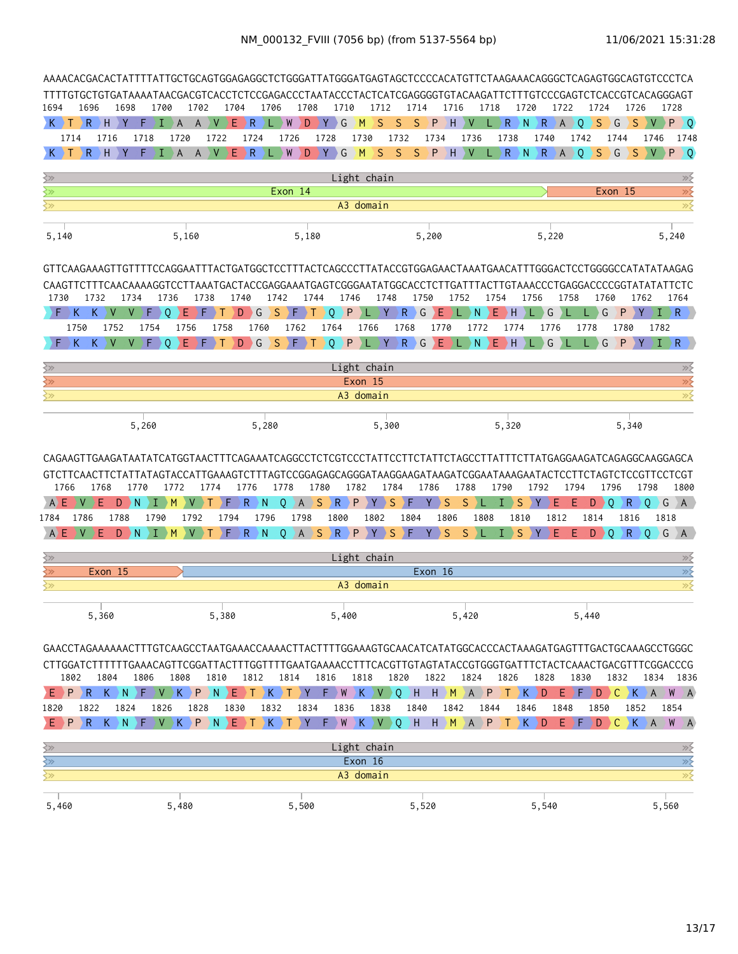|                                                          | AAAACACGACACTATTTTATTGCTGCAGTGGAGAGGCTCTGGGATTATGGGATGAGTAGCTCCCCACATGTTCTAAGAAACAGGGCTCAGAGTGGCAGTGTCCCTCA         |                       |                 |                 |                              |                                                                                                                                 |                      |                      |                                                                         |            |                                    |                                               |                       |                   |                |            |           |             |                       |                |                         |                      |           |                                                                                                                                       |
|----------------------------------------------------------|---------------------------------------------------------------------------------------------------------------------|-----------------------|-----------------|-----------------|------------------------------|---------------------------------------------------------------------------------------------------------------------------------|----------------------|----------------------|-------------------------------------------------------------------------|------------|------------------------------------|-----------------------------------------------|-----------------------|-------------------|----------------|------------|-----------|-------------|-----------------------|----------------|-------------------------|----------------------|-----------|---------------------------------------------------------------------------------------------------------------------------------------|
| 1694                                                     | TTTTGTGCTGTGATAAAATAACGACGTCACCTCTCCGAGACCCTAATACCCTACTCATCGAGGGGTGTACAAGATTCTTTGTCCCGAGTCTCACCGTCACAGGGAGT<br>1696 |                       | 1698            | 1700            | 1702                         |                                                                                                                                 | 1704                 | 1706                 |                                                                         | 1708       | 1710                               | 1712                                          |                       | 1714              | 1716           |            | 1718      | 1720        |                       | 1722           | 1724                    | 1726                 |           | 1728                                                                                                                                  |
|                                                          | R                                                                                                                   | H                     | Y<br>F          | L               | $\mathsf{A}$<br>$\mathsf{A}$ | ⊦V                                                                                                                              | Ε<br>⊧ R             |                      | $\mathsf{W}$                                                            | D          | Y<br>G                             | S<br>M                                        | S                     | S                 | P              | H.<br>V    | R         | N           | R                     | $\overline{A}$ | S<br>0                  | G<br>S               |           | P<br>) O                                                                                                                              |
|                                                          | 1714                                                                                                                | 1716                  | 1718            |                 | 1720                         | 1722                                                                                                                            |                      | 1724                 | 1726                                                                    |            | 1728                               | 1730                                          | 1732                  |                   | 1734           | 1736       |           | 1738        | 1740                  |                | 1742                    | 1744                 | 1746      | 1748                                                                                                                                  |
| $K$ ) T                                                  |                                                                                                                     | $R$ $H$               | Y<br>F.         | T.              | $\mathsf{A}$<br>$\mathsf{A}$ | $\vee$                                                                                                                          | Ε<br>$\rightarrow$ R |                      | W                                                                       | D          | $\rightarrow$ Y $\rightarrow$<br>G | M                                             | S<br>S                |                   | $S$ $P$        | $H$ $V$    |           | N<br>R      | $\langle R \rangle A$ |                | $\circ$<br><sub>S</sub> | ⊃ G<br>$\bullet$     | <b>DV</b> | $P$ 0                                                                                                                                 |
| $\gtrsim$                                                |                                                                                                                     |                       |                 |                 |                              |                                                                                                                                 |                      |                      |                                                                         |            |                                    | Light chain                                   |                       |                   |                |            |           |             |                       |                |                         |                      |           | $\gg$                                                                                                                                 |
| ≷≫                                                       |                                                                                                                     |                       |                 |                 |                              |                                                                                                                                 |                      |                      | Exon 14                                                                 |            |                                    |                                               |                       |                   |                |            |           |             |                       |                |                         | Exon 15              |           | $\overline{\gg}$                                                                                                                      |
| ≩≫                                                       |                                                                                                                     |                       |                 |                 |                              |                                                                                                                                 |                      |                      |                                                                         |            |                                    | A3 domain                                     |                       |                   |                |            |           |             |                       |                |                         |                      |           | $\overline{\gg}$                                                                                                                      |
| 5,140                                                    |                                                                                                                     |                       |                 |                 | 5,160                        |                                                                                                                                 |                      |                      |                                                                         | 5,180      |                                    |                                               |                       |                   | 5,200          |            |           |             | 5,220                 |                |                         |                      |           | 5,240                                                                                                                                 |
|                                                          | GTTCAAGAAAGTTGTTTTCCAGGAATTTACTGATGGCTCCTTTACTCAGCCCTTATACCGTGGAGAACTAAATGAACATTTGGGACTCCTGGGGCCATATATAAGAG         |                       |                 |                 |                              |                                                                                                                                 |                      |                      |                                                                         |            |                                    |                                               |                       |                   |                |            |           |             |                       |                |                         |                      |           |                                                                                                                                       |
|                                                          | CAAGTTCTTTCAACAAAAGGTCCTTAAATGACTACCGAGGAAATGAGTCGGGAATATGGCACCTCTTGATTTACTTGTAAACCCTGAGGACCCCGGTATATATTCTC         |                       |                 |                 |                              |                                                                                                                                 |                      |                      |                                                                         |            |                                    |                                               |                       |                   |                |            |           |             |                       |                |                         |                      |           |                                                                                                                                       |
| 1730                                                     | 1732                                                                                                                |                       | 1734            | 1736            |                              | 1738                                                                                                                            | 1740                 | 1742                 |                                                                         | 1744       | 1746                               |                                               | 1748                  | 1750              |                | 1752       | 1754      | 1756        |                       | 1758           | 1760                    |                      | 1762      | 1764                                                                                                                                  |
| ∑F :                                                     | K                                                                                                                   | $K \rightarrow$<br>V. | V.              | F.<br>$\Omega$  | E.                           | D F D<br>Τ                                                                                                                      | D                    | $\overline{G}$<br>S. | ♦                                                                       | Т          | $\circ$<br>P                       | Æ                                             | Y.                    | $R$ $G$           | E              | N.         | E.        | H.          | G                     |                | G                       | P                    | ΣY        | $I \rightarrow R$                                                                                                                     |
|                                                          | 1750<br>K<br>К                                                                                                      | 1752<br><sub>V</sub>  | V               | 1754<br>F.<br>0 | 1756<br>F                    | 1758                                                                                                                            | D                    | 1760<br>S.<br>) G    | 1762<br>ΣF.                                                             | т          | 1764<br>P<br>0 I                   | 1766<br>ΣL.                                   | 1768<br>.∋ <b>Υ</b> ⊃ | $R \rightarrow G$ | 1770<br>Ε      | 1772<br>N. | Ε         | 1774<br>H   | 1776<br>G             |                | 1778<br>G               | 1780<br>P            | 1782<br>Y | $I \rightarrow R$                                                                                                                     |
|                                                          |                                                                                                                     |                       |                 |                 |                              |                                                                                                                                 |                      |                      |                                                                         |            |                                    |                                               |                       |                   |                |            |           |             |                       |                |                         |                      |           |                                                                                                                                       |
| ╳╳                                                       |                                                                                                                     |                       |                 |                 |                              |                                                                                                                                 |                      |                      |                                                                         |            |                                    | Light chain                                   |                       |                   |                |            |           |             |                       |                |                         |                      |           | $\gg$                                                                                                                                 |
| $\overline{\mathbb{R}^2}$<br>≷≫                          |                                                                                                                     |                       |                 |                 |                              |                                                                                                                                 |                      |                      |                                                                         |            |                                    | Exon 15<br>A3 domain                          |                       |                   |                |            |           |             |                       |                |                         |                      |           | $\gg$<br>$\overline{\gg}$                                                                                                             |
|                                                          |                                                                                                                     |                       |                 |                 |                              |                                                                                                                                 |                      |                      |                                                                         |            |                                    |                                               |                       |                   |                |            |           |             |                       |                |                         |                      |           |                                                                                                                                       |
|                                                          |                                                                                                                     |                       | 5,260           |                 |                              |                                                                                                                                 |                      | 5,280                |                                                                         |            |                                    |                                               | 5,300                 |                   |                |            |           | 5,320       |                       |                |                         | 5,340                |           |                                                                                                                                       |
|                                                          |                                                                                                                     |                       |                 |                 |                              |                                                                                                                                 |                      |                      |                                                                         |            |                                    |                                               |                       |                   |                |            |           |             |                       |                |                         |                      |           |                                                                                                                                       |
|                                                          | CAGAAGTTGAAGATAATATCATGGTAACTTTCAGAAATCAGGCCTCTCGTCCCTATTCCTATTCTATTCTAGCCTTATTTCTTATGAGGAAGATCAGAGGCAAGGAGCA       |                       |                 |                 |                              |                                                                                                                                 |                      |                      |                                                                         |            |                                    |                                               |                       |                   |                |            |           |             |                       |                |                         |                      |           |                                                                                                                                       |
|                                                          | GTCTTCAACTTCTATTATAGTACCATTGAAAGTCTTTAGTCCGGAGAGCAGGGATAAGGAAGATAAGATCGGAATAAAGAATACTCCTTCTAGTCTCCGTTCCTCGT         |                       |                 |                 |                              |                                                                                                                                 |                      |                      |                                                                         |            |                                    |                                               |                       |                   |                |            |           |             |                       |                |                         |                      |           |                                                                                                                                       |
| 1766<br>A E                                              | V                                                                                                                   | 1768<br>Ε<br>D        | 1770<br>ΣN      | 1772<br>T<br>M  | v                            | 1774                                                                                                                            | 1776<br>R.           | N                    | 1778<br>$\circ$<br>A                                                    | 1780<br>S. | $\mathsf R$                        | 1782<br>P<br>Y                                | 1784<br>S             | F                 | 1786<br>S<br>Υ | 1788<br>S  | 1790<br>T | S           | 1792<br>F             | 1794<br>F      | D                       | 1796<br>R<br>$\circ$ | 1798      | 1800<br>$Q$ $G$ $A$                                                                                                                   |
| 1784                                                     | 1786                                                                                                                | 1788                  |                 | 1790            | 1792                         | 1794                                                                                                                            |                      | 1796                 | 1798                                                                    |            | 1800                               | 1802                                          |                       | 1804              | 1806           |            | 1808      | 1810        | 1812                  |                | 1814                    | 1816                 |           | 1818                                                                                                                                  |
| AE                                                       | V                                                                                                                   | Ε<br>D                | ۰N              | M               |                              |                                                                                                                                 | $\mathsf R$          | N                    | $\overline{0}$                                                          | AS         | $\mathsf{R}$ $\mathsf{P}$          | $Y \rightarrow$                               | <sub>S</sub>          | ۰F                | S<br>Y         | S          | T         | S           |                       | F              | D                       | $\Omega$<br>R.       | 0         | G A                                                                                                                                   |
|                                                          |                                                                                                                     |                       |                 |                 |                              |                                                                                                                                 |                      |                      |                                                                         |            |                                    |                                               |                       |                   |                |            |           |             |                       |                |                         |                      |           |                                                                                                                                       |
| $\overline{\left\langle \mathbf{3}\right\rangle }$<br>≷≫ |                                                                                                                     | Exon 15               |                 |                 |                              |                                                                                                                                 |                      |                      |                                                                         |            |                                    | Light chain                                   |                       |                   | Exon 16        |            |           |             |                       |                |                         |                      |           | $\gg$<br>$\overline{\gg}$                                                                                                             |
| ₹≫                                                       |                                                                                                                     |                       |                 |                 |                              |                                                                                                                                 |                      |                      |                                                                         |            |                                    | A3 domain                                     |                       |                   |                |            |           |             |                       |                |                         |                      |           | $\gg$                                                                                                                                 |
|                                                          |                                                                                                                     |                       |                 |                 |                              |                                                                                                                                 |                      |                      |                                                                         |            |                                    |                                               |                       |                   |                |            |           |             |                       |                |                         |                      |           |                                                                                                                                       |
|                                                          |                                                                                                                     | 5,360                 |                 |                 |                              | 5,380                                                                                                                           |                      |                      |                                                                         |            | 5,400                              |                                               |                       |                   |                | 5,420      |           |             |                       |                | 5,440                   |                      |           |                                                                                                                                       |
|                                                          |                                                                                                                     |                       |                 |                 |                              |                                                                                                                                 |                      |                      |                                                                         |            |                                    |                                               |                       |                   |                |            |           |             |                       |                |                         |                      |           |                                                                                                                                       |
|                                                          |                                                                                                                     |                       |                 |                 |                              |                                                                                                                                 |                      |                      |                                                                         |            |                                    |                                               |                       |                   |                |            |           |             |                       |                |                         |                      |           |                                                                                                                                       |
|                                                          |                                                                                                                     |                       |                 |                 |                              |                                                                                                                                 |                      |                      |                                                                         |            |                                    |                                               |                       |                   |                |            |           |             |                       |                |                         |                      |           |                                                                                                                                       |
| EPP)                                                     | 1802<br>R.                                                                                                          | 1804<br>K)            | 1806<br>$N$ $F$ |                 | 1808<br>V K P N              | 1810                                                                                                                            | YE.                  | 1812                 | 1814<br>$\rightarrow$ T $\rightarrow$ K $\rightarrow$ T $\rightarrow$ Y |            | 1816                               | 1818<br>$F$ W $K$ $V$ $Q$ $H$ $H$ $M$ $A$ $P$ | 1820                  |                   | 1822           | 1824       | 1826      | $T$ $K$ $D$ | 1828                  | E ) F          | 1830<br>D               | 1832                 |           | 1834 1836<br>$\rightarrow$ C $\rightarrow$ K $\rightarrow$ A $\rightarrow$ M $\rightarrow$ A $\rightarrow$                            |
| 1820                                                     | 1822                                                                                                                |                       | 1824            | 1826            | 1828                         |                                                                                                                                 | 1830                 | 1832                 |                                                                         | 1834       | 1836                               | 1838                                          |                       | 1840              | 1842           |            | 1844      | 1846        |                       | 1848           | 1850                    | 1852                 |           | 1854                                                                                                                                  |
|                                                          | E P R                                                                                                               |                       |                 |                 |                              | $K$ $\setminus$ N $\setminus$ F $\setminus$ V $\setminus$ K $\setminus$ P $\setminus$ N $\setminus$ E $\setminus$ T $\setminus$ |                      | $K$ ) T              |                                                                         | Y.         |                                    |                                               |                       |                   |                |            |           |             |                       |                |                         |                      |           | F ) W } K > V > Q > H > H <mark>&gt; M &gt; A &gt; P &gt; T   K &gt; D &gt; E &gt; F &gt; D &gt; C &gt; K &gt; A &gt; W &gt; A</mark> |
|                                                          |                                                                                                                     |                       |                 |                 |                              |                                                                                                                                 |                      |                      |                                                                         |            |                                    | Light chain                                   |                       |                   |                |            |           |             |                       |                |                         |                      |           |                                                                                                                                       |
| $\geq$<br>$\overline{\mathbb{R}^2}$                      |                                                                                                                     |                       |                 |                 |                              |                                                                                                                                 |                      |                      |                                                                         |            |                                    | Exon 16                                       |                       |                   |                |            |           |             |                       |                |                         |                      |           | $\gg \leq$<br>$\overline{\gg}$                                                                                                        |
| $\sum$                                                   |                                                                                                                     |                       |                 |                 |                              |                                                                                                                                 |                      |                      |                                                                         |            |                                    | A3 domain                                     |                       |                   |                |            |           |             |                       |                |                         |                      |           | $\overline{\gg}$                                                                                                                      |
|                                                          |                                                                                                                     |                       |                 |                 |                              |                                                                                                                                 |                      |                      |                                                                         |            |                                    |                                               |                       |                   |                |            |           |             |                       |                |                         |                      |           |                                                                                                                                       |

| 5,460 | .480 | , 500 | $F \cap \Omega$<br>,520 | $-10$<br>, 540 | , 560 |
|-------|------|-------|-------------------------|----------------|-------|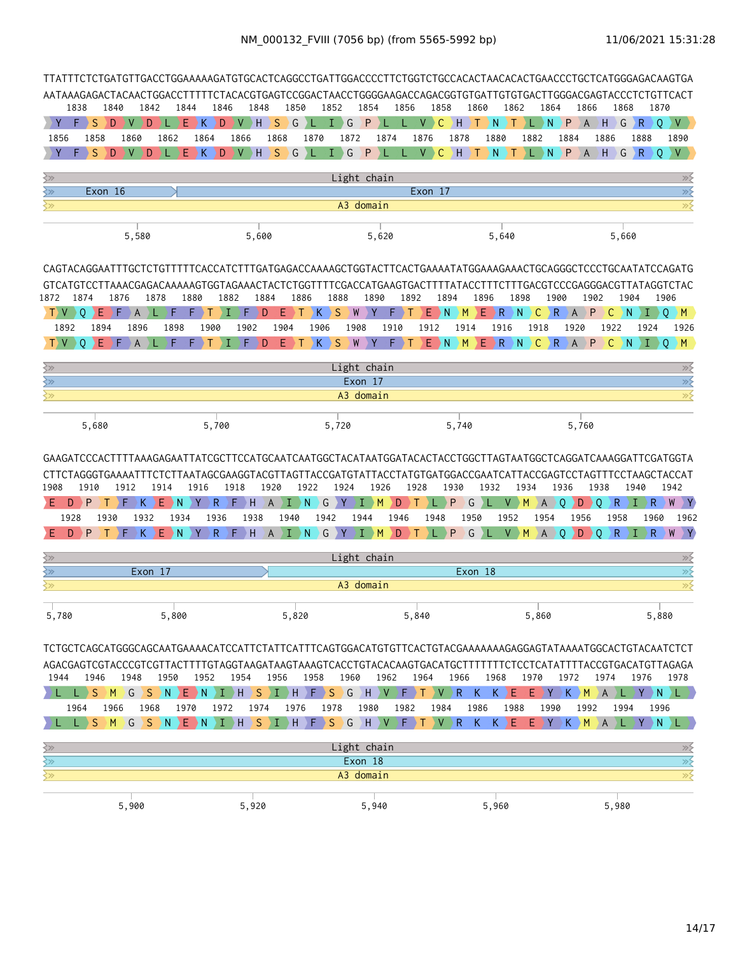|                                 |                             |                 |                   |                                                       | TTATTTCTCTGATGTTGACCTGGAAAAAGATGTGCACTCAGGCCTGATTGGACCCCTTCTGGTCTGCCACACTAACACACTGAACCCTGCTCATGGGAGACAAGTGA                                                                                                                |                           |      |                         |                         |            |                                         |                           |                  |            |                 |                               |                                       |                    |                      |                                               |
|---------------------------------|-----------------------------|-----------------|-------------------|-------------------------------------------------------|----------------------------------------------------------------------------------------------------------------------------------------------------------------------------------------------------------------------------|---------------------------|------|-------------------------|-------------------------|------------|-----------------------------------------|---------------------------|------------------|------------|-----------------|-------------------------------|---------------------------------------|--------------------|----------------------|-----------------------------------------------|
|                                 |                             |                 |                   |                                                       | AATAAAGAGACTACAACTGGACCTTTTTCTACACGTGAGTCCGGACTAACCTGGGGAAGACCAGACGGTGTGATTGTGTGACTTGGGACGAGTACCCTCTGTTCACT                                                                                                                |                           |      |                         |                         |            |                                         |                           |                  |            |                 |                               |                                       |                    |                      |                                               |
|                                 | 1838<br>1840<br>S<br>D<br>F | 1842<br>∣V<br>D | 1844<br>E.        | K.                                                    | 1846<br>1848<br>$\mathsf{V}\rightarrow \mathsf{H}$ .<br>D                                                                                                                                                                  | 1850<br><sub>S</sub><br>G | ۰L   | 1852<br>G<br>T.         | 1854<br>P               | 1856       | 1858<br><sub>C</sub><br>$V \rightarrow$ | ) H                       | 1860<br>N<br>T   | 1862<br>T  | 1864<br>⊦L⇒N    | P                             | 1866<br>$\mathsf H$<br>$\overline{A}$ | 1868<br>$\big\} G$ | 1870<br>$\mathsf{R}$ | $\circ$<br>V                                  |
| 1856                            | 1858                        | 1860            | 1862              | 1864                                                  | 1866                                                                                                                                                                                                                       | 1868                      | 1870 | 1872                    | 1874                    |            | 1876                                    | 1878                      | 1880             |            | 1882            | 1884                          | 1886                                  |                    | 1888                 | 1890                                          |
|                                 | S<br>D                      |                 | Е                 | K                                                     | D<br>$\mathsf{V}\rightarrow\mathsf{H}$ .                                                                                                                                                                                   | S.<br>G                   | ¢    | $\big\} G$<br>I.        | $\mathbf{P}$            |            | V<br>$\mathsf{C}$                       | -) H                      | ) N<br>Т         | т          | L N             | $\overline{P}$ $\overline{A}$ |                                       | $H \ G$            | R                    | $\Omega$<br>V                                 |
| ≷≫                              |                             |                 |                   |                                                       |                                                                                                                                                                                                                            |                           |      |                         | Light chain             |            |                                         |                           |                  |            |                 |                               |                                       |                    |                      | $\gg$                                         |
| $\Leftrightarrow$               | Exon 16                     |                 |                   |                                                       |                                                                                                                                                                                                                            |                           |      |                         |                         |            | Exon 17                                 |                           |                  |            |                 |                               |                                       |                    |                      | $\overline{\gg}$                              |
| ≩≫                              |                             |                 |                   |                                                       |                                                                                                                                                                                                                            |                           |      |                         | A3 domain               |            |                                         |                           |                  |            |                 |                               |                                       |                    |                      | $\overline{\gg}$                              |
|                                 |                             | 5,580           |                   |                                                       | 5,600                                                                                                                                                                                                                      |                           |      |                         | 5,620                   |            |                                         |                           |                  | 5,640      |                 |                               |                                       | 5,660              |                      |                                               |
|                                 |                             |                 |                   |                                                       |                                                                                                                                                                                                                            |                           |      |                         |                         |            |                                         |                           |                  |            |                 |                               |                                       |                    |                      |                                               |
|                                 |                             |                 |                   |                                                       |                                                                                                                                                                                                                            |                           |      |                         |                         |            |                                         |                           |                  |            |                 |                               |                                       |                    |                      |                                               |
| 1872                            | 1874<br>Е                   | 1876<br>A       | 1878              | 1880                                                  | 1882                                                                                                                                                                                                                       | 1884<br>Е<br>D            | 1886 | 1888<br>$K \ S$<br>W    | 1890<br>$\blacklozenge$ | 1892<br>F. | Ε                                       | 1894<br><sup>N</sup><br>M | 1896<br>Ε<br>D R | 1898<br>N. | C.              | 1900<br>R.<br>A               | 1902<br>P                             | 1904<br>С<br>N     |                      | 1906<br>$\circ$<br>$\rightarrow$ M $_{\odot}$ |
| 1892                            | 1894                        | 1896            | 1898              | 1900                                                  | 1902                                                                                                                                                                                                                       | 1904                      | 1906 | 1908                    |                         | 1910       | 1912                                    | 1914                      |                  | 1916       | 1918            | 1920                          |                                       | 1922               | 1924                 | 1926                                          |
| $T$ V $-$                       | ٠E.<br>$\circ$              | Ø<br>A          | F                 |                                                       |                                                                                                                                                                                                                            | Е<br>D                    |      | K S W Y                 |                         | F.         | $E$ N                                   |                           | $M \ E R$        |            | $N$ $C$ $R$ $A$ |                               |                                       | $P$ $C$ $N$        | л                    | $O$ $M$                                       |
| ≩≫                              |                             |                 |                   |                                                       |                                                                                                                                                                                                                            |                           |      |                         | Light chain             |            |                                         |                           |                  |            |                 |                               |                                       |                    |                      | $\gg \xi$                                     |
| $\left\langle \gg\right\rangle$ |                             |                 |                   |                                                       |                                                                                                                                                                                                                            |                           |      |                         | Exon 17                 |            |                                         |                           |                  |            |                 |                               |                                       |                    |                      | $\overline{\gg}$                              |
| ⋚≫                              |                             |                 |                   |                                                       |                                                                                                                                                                                                                            |                           |      |                         | A3 domain               |            |                                         |                           |                  |            |                 |                               |                                       |                    |                      | $\overline{\gg}$                              |
|                                 |                             |                 |                   |                                                       |                                                                                                                                                                                                                            |                           |      |                         |                         |            |                                         |                           |                  |            |                 |                               |                                       |                    |                      |                                               |
|                                 | 5,680                       |                 |                   | 5,700                                                 |                                                                                                                                                                                                                            |                           |      | 5,720                   |                         |            |                                         | 5,740                     |                  |            |                 |                               | 5,760                                 |                    |                      |                                               |
|                                 |                             |                 |                   |                                                       |                                                                                                                                                                                                                            |                           |      |                         |                         |            |                                         |                           |                  |            |                 |                               |                                       |                    |                      |                                               |
|                                 |                             |                 |                   |                                                       |                                                                                                                                                                                                                            |                           |      |                         |                         |            |                                         |                           |                  |            |                 |                               |                                       |                    |                      |                                               |
|                                 |                             |                 |                   |                                                       |                                                                                                                                                                                                                            |                           |      |                         |                         |            |                                         |                           |                  |            |                 |                               |                                       |                    |                      |                                               |
| 1908                            | 1910                        | 1912            | 1914              | 1916                                                  | 1918                                                                                                                                                                                                                       | 1920                      | 1922 | 1924                    | 1926                    | 1928       |                                         | 1930                      | 1932             |            | 1934            | 1936                          | 1938                                  |                    | 1940                 | 1942                                          |
| D                               | P                           | K.<br>F.        | E N               | $\left\langle \mathbf{Y}\right\rangle$<br>R.          | $F$ H                                                                                                                                                                                                                      | A IN)                     |      | G Y                     | I)<br>M                 | D)<br>л.   |                                         | G<br>P                    | ♦                | V          | M<br>λA         | 0                             | $\rightarrow$ Q<br>D                  | $R \rightarrow I$  | R                    | W Y                                           |
| 1928                            | 1930                        | 1932            | 1934              | 1936                                                  | 1938                                                                                                                                                                                                                       | 1940                      | 1942 |                         | 1944                    | 1946       | 1948                                    | 1950                      |                  | 1952       | 1954            |                               | 1956                                  | 1958               | 1960                 | 1962                                          |
| E<br>D.                         | P<br>T                      | ₱<br>K.         | $E \rightarrow N$ | $R_{\odot}$<br>$\left\langle \mathbf{Y}\right\rangle$ | $F$ H                                                                                                                                                                                                                      | $\overline{A}$            |      | ) I ) N ) G ) Y ) I ) M |                         | D T        | $L \rightarrow P$                       |                           | $G \setminus L$  | V          | M<br>A          | 0                             | D<br>0 (                              | $R_{\odot}$        | R.<br>) L            | W Y                                           |
| $\leftrightarrow$               |                             |                 |                   |                                                       |                                                                                                                                                                                                                            |                           |      |                         | Light chain             |            |                                         |                           |                  |            |                 |                               |                                       |                    |                      | $\gg$                                         |
| $\gtrsim$                       |                             | Exon 17         |                   |                                                       |                                                                                                                                                                                                                            |                           |      |                         |                         |            |                                         |                           | Exon 18          |            |                 |                               |                                       |                    |                      | $\overline{\gg}$                              |
| ≷≫                              |                             |                 |                   |                                                       |                                                                                                                                                                                                                            |                           |      |                         | A3 domain               |            |                                         |                           |                  |            |                 |                               |                                       |                    |                      | $\overline{\gg}$                              |
| 5,780                           |                             |                 | 5,800             |                                                       |                                                                                                                                                                                                                            | 5,820                     |      |                         |                         | 5,840      |                                         |                           |                  |            | 5,860           |                               |                                       |                    |                      | 5,880                                         |
|                                 |                             |                 |                   |                                                       |                                                                                                                                                                                                                            |                           |      |                         |                         |            |                                         |                           |                  |            |                 |                               |                                       |                    |                      |                                               |
|                                 |                             |                 |                   |                                                       | TCTGCTCAGCATGGGCAGCAATGAAAACATCCATTCTATTCATTTCAGTGGACATGTGTTCACTGTACGAAAAAAAGAGGAGTATAAAATGGCACTGTACAATCTCT<br>AGACGAGTCGTACCCGTCGTTACTTTTGTAGGTAAGATAAGTAAAGTCACCTGTACACAAGTGACATGCTTTTTTTCTCCTCATATTTTACCGTGACATGTTAGAGA |                           |      |                         |                         |            |                                         |                           |                  |            |                 |                               |                                       |                    |                      |                                               |
| 1944                            | 1946                        | 1948            | 1950              | 1952                                                  | 1954                                                                                                                                                                                                                       | 1956                      | 1958 | 1960                    | 1962                    |            | 1964                                    | 1966                      | 1968             |            | 1970            | 1972                          | 1974                                  |                    | 1976                 | 1978                                          |
|                                 | $L \rightarrow S$           |                 |                   |                                                       | AMAGASAN ENAIHASIAHAFASAGHAVAFATAVARI                                                                                                                                                                                      |                           |      |                         |                         |            |                                         |                           | K.               | $K$ $E$    |                 | EYX KM                        | <sup>A</sup>                          | ) L )              |                      | YNDL)                                         |
|                                 | 1964<br>1966<br>S           | 1968            | 1970              |                                                       | 1972<br>1974                                                                                                                                                                                                               | 1976                      |      | 1978                    | 1980                    | 1982<br>F  | 1984                                    |                           | 1986             | 1988       | 1990            |                               | 1992                                  | 1994<br>D L        | D N                  | 1996                                          |
|                                 |                             | $M$ $G$         | $S \ N$           |                                                       | ENIHSIHFSGHV                                                                                                                                                                                                               |                           |      |                         |                         |            |                                         | $V$ $R$                   | $K_{\odot}$      | $K$ $E$    |                 | E)Y)K)M                       | $\overline{A}$                        |                    |                      |                                               |
| ≩≫                              |                             |                 |                   |                                                       |                                                                                                                                                                                                                            |                           |      |                         | Light chain             |            |                                         |                           |                  |            |                 |                               |                                       |                    |                      | $\gg \succeq$                                 |
| $\overline{\mathbb{R}}$         |                             |                 |                   |                                                       |                                                                                                                                                                                                                            |                           |      |                         | Exon 18                 |            |                                         |                           |                  |            |                 |                               |                                       |                    |                      |                                               |
| $\sum$                          |                             |                 |                   |                                                       |                                                                                                                                                                                                                            |                           |      |                         | A3 domain               |            |                                         |                           |                  |            |                 |                               |                                       |                    |                      | $\frac{1}{\frac{2}{x}}$                       |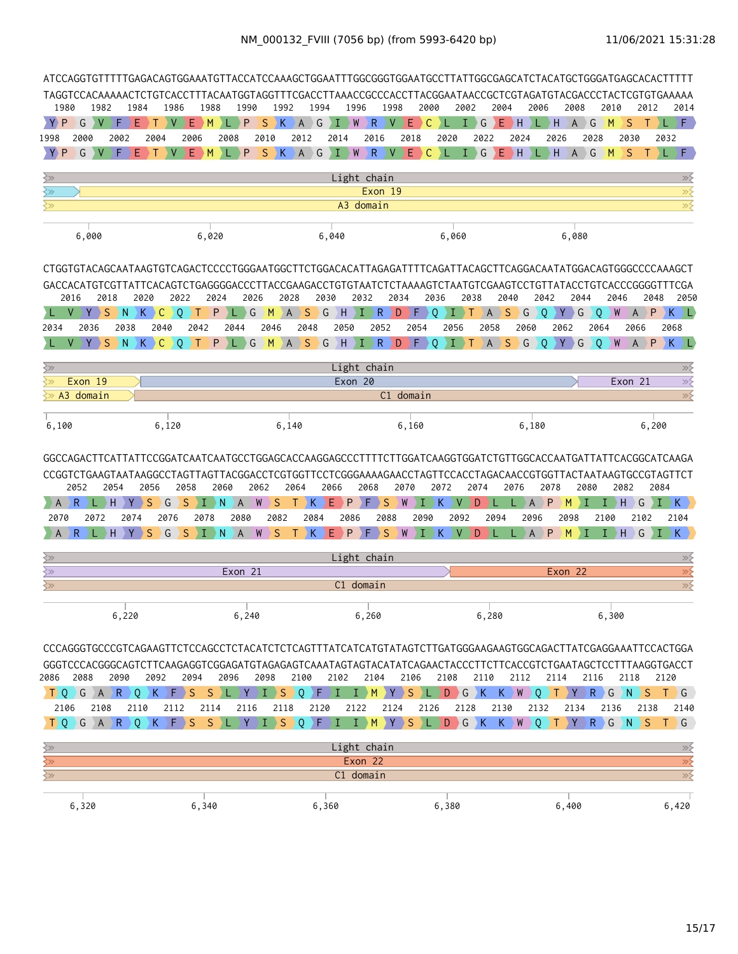|                                             |                                                                        |                                                                                                                             |                                                                                                                                                 |                                   |                                                      | ATCCAGGTGTTTTTGAGACAGTGGAAATGTTACCATCCAAAGCTGGAATTTGGCGGGTGGAATGCCTTATTGGCGAGCATCTACATGCTGGGATGAGCACACTTTTT |                                                                                                                                                         |                   |                                   |                       |                   |                                                                                                                                                 |                          |                     |                             |                 |                 |                           |                |                |                               |                       |                 |                                                                                 |                           |
|---------------------------------------------|------------------------------------------------------------------------|-----------------------------------------------------------------------------------------------------------------------------|-------------------------------------------------------------------------------------------------------------------------------------------------|-----------------------------------|------------------------------------------------------|-------------------------------------------------------------------------------------------------------------|---------------------------------------------------------------------------------------------------------------------------------------------------------|-------------------|-----------------------------------|-----------------------|-------------------|-------------------------------------------------------------------------------------------------------------------------------------------------|--------------------------|---------------------|-----------------------------|-----------------|-----------------|---------------------------|----------------|----------------|-------------------------------|-----------------------|-----------------|---------------------------------------------------------------------------------|---------------------------|
| 1980                                        | 1982                                                                   | TAGGTCCACAAAAACTCTGTCACCTTTACAATGGTAGGTTTCGACCTTAAACCGCCCACCTTACGGAATAACCGCTCGTAGATGTACGACCCTACTCGTGTGAAAAA<br>1984         | 1986                                                                                                                                            | 1988                              |                                                      | 1990                                                                                                        | 1992                                                                                                                                                    |                   | 1994                              | 1996                  |                   | 1998                                                                                                                                            | 2000                     |                     | 2002                        | 2004            |                 | 2006                      |                | 2008           |                               | 2010                  | 2012            |                                                                                 | 2014                      |
| Y <sub>P</sub>                              | G<br>V                                                                 | F<br>Е                                                                                                                      | V                                                                                                                                               | E.<br>ИŊ                          |                                                      | S<br>P                                                                                                      | K                                                                                                                                                       | $A$ $G$           | л                                 | $\mathsf{W}$          | $\mathsf{R}$      | $\vee$                                                                                                                                          | E.<br>C                  |                     | T                           | G<br>E.         | $\rightarrow$ H |                           | E)H            | A              | G                             | M                     | S               |                                                                                 | LDF.                      |
| 1998                                        | 2000                                                                   | 2002                                                                                                                        | 2004                                                                                                                                            | 2006                              | 2008                                                 | 2010                                                                                                        |                                                                                                                                                         | 2012              |                                   | 2014                  | 2016              |                                                                                                                                                 | 2018                     | 2020                |                             | 2022            | 2024            |                           | 2026           |                | 2028                          |                       | 2030            | 2032                                                                            |                           |
| Y<br>P                                      | G                                                                      | F<br>Е                                                                                                                      | V                                                                                                                                               | E.<br>M                           |                                                      | P<br>S.                                                                                                     | $\mathbf{K}$                                                                                                                                            | A G               |                                   | $I \nightharpoonup W$ | $\mathsf{R}$      | $\vee$                                                                                                                                          | E.<br>C.                 |                     | T.                          | G<br>E          | DH.             | )L)H                      |                | A              | G                             | M                     | S<br>т          | ) L. J                                                                          | F.                        |
| $\left\langle \gg \right\rangle$            |                                                                        |                                                                                                                             |                                                                                                                                                 |                                   |                                                      |                                                                                                             |                                                                                                                                                         |                   |                                   | Light chain           |                   |                                                                                                                                                 |                          |                     |                             |                 |                 |                           |                |                |                               |                       |                 |                                                                                 | $\gg$                     |
| $\left\langle \gg \right\rangle$<br>≷≫      |                                                                        |                                                                                                                             |                                                                                                                                                 |                                   |                                                      |                                                                                                             |                                                                                                                                                         |                   |                                   | A3 domain             | Exon 19           |                                                                                                                                                 |                          |                     |                             |                 |                 |                           |                |                |                               |                       |                 |                                                                                 | $\gg$<br>$\overline{\gg}$ |
|                                             |                                                                        |                                                                                                                             |                                                                                                                                                 |                                   |                                                      |                                                                                                             |                                                                                                                                                         |                   |                                   |                       |                   |                                                                                                                                                 |                          |                     |                             |                 |                 |                           |                |                |                               |                       |                 |                                                                                 |                           |
|                                             | 6,000                                                                  |                                                                                                                             |                                                                                                                                                 | 6,020                             |                                                      |                                                                                                             |                                                                                                                                                         |                   | 6,040                             |                       |                   |                                                                                                                                                 |                          | 6,060               |                             |                 |                 |                           |                | 6,080          |                               |                       |                 |                                                                                 |                           |
|                                             |                                                                        |                                                                                                                             |                                                                                                                                                 |                                   |                                                      |                                                                                                             |                                                                                                                                                         |                   |                                   |                       |                   |                                                                                                                                                 |                          |                     |                             |                 |                 |                           |                |                |                               |                       |                 |                                                                                 |                           |
|                                             |                                                                        | CTGGTGTACAGCAATAAGTGTCAGACTCCCCTGGGAATGGCTTCTGGACACATTAGAGATTTTCAGATTACAGCTTCAGGACAATATGGACAGTGGGCCCCAAAGCT                 |                                                                                                                                                 |                                   |                                                      |                                                                                                             |                                                                                                                                                         |                   |                                   |                       |                   |                                                                                                                                                 |                          |                     |                             |                 |                 |                           |                |                |                               |                       |                 |                                                                                 |                           |
|                                             | 2016                                                                   | GACCACATGTCGTTATTCACAGTCTGAGGGGACCCTTACCGAAGACCTGTGTAATCTCTAAAAGTCTAATGTCGAAGTCCTGTTATACCTGTCACCCGGGGTTTCGA<br>2018<br>2020 |                                                                                                                                                 | 2022                              | 2024                                                 | 2026                                                                                                        | 2028                                                                                                                                                    |                   | 2030                              |                       | 2032              | 2034                                                                                                                                            |                          | 2036                | 2038                        |                 | 2040            | 2042                      |                | 2044           |                               | 2046                  |                 | 2048                                                                            | 2050                      |
|                                             |                                                                        | S<br>ΣN<br>K.                                                                                                               |                                                                                                                                                 | 0                                 | P                                                    | G                                                                                                           | M                                                                                                                                                       | <sub>S</sub><br>A | G                                 | H                     | R<br>Т.           | D                                                                                                                                               | F                        | 0                   |                             | $\overline{A}$  | S<br>G          | 0                         |                | G              | 0                             | W                     | $\overline{A}$  | P                                                                               | K)L                       |
| 2034                                        | 2036                                                                   | 2038                                                                                                                        | 2040                                                                                                                                            | 2042                              | 2044                                                 |                                                                                                             | 2046                                                                                                                                                    | 2048              |                                   | 2050                  | 2052              |                                                                                                                                                 | 2054                     | 2056                |                             | 2058            |                 | 2060                      | 2062           |                | 2064                          |                       | 2066            |                                                                                 | 2068                      |
|                                             | $V$ $Y$ $S$                                                            | $\rightarrow$ N                                                                                                             | $K$ C 0                                                                                                                                         | $\rightarrow$ T                   | P                                                    | $\angle L$ $\angle G$                                                                                       |                                                                                                                                                         |                   |                                   | M A S G H I R D F Q   |                   |                                                                                                                                                 |                          |                     | $\vert I \vert$ T           | AS              | $\bigcirc$      |                           | 0 Y            | G              | $\mathbf{0}$                  | W                     | $\overline{A}$  |                                                                                 | $P$ $K$ $L$               |
| ≷≫                                          |                                                                        |                                                                                                                             |                                                                                                                                                 |                                   |                                                      |                                                                                                             |                                                                                                                                                         |                   |                                   | Light chain           |                   |                                                                                                                                                 |                          |                     |                             |                 |                 |                           |                |                |                               |                       |                 |                                                                                 | $\gg$                     |
|                                             | Exon 19                                                                |                                                                                                                             |                                                                                                                                                 |                                   |                                                      |                                                                                                             |                                                                                                                                                         |                   |                                   | Exon 20               |                   |                                                                                                                                                 |                          |                     |                             |                 |                 |                           |                |                |                               |                       | Exon 21         |                                                                                 | $\times$                  |
|                                             | A3 domain                                                              |                                                                                                                             |                                                                                                                                                 |                                   |                                                      |                                                                                                             |                                                                                                                                                         |                   |                                   |                       |                   | C1 domain                                                                                                                                       |                          |                     |                             |                 |                 |                           |                |                |                               |                       |                 |                                                                                 | $\overline{\gg}$          |
| 6,100                                       |                                                                        |                                                                                                                             | 6,120                                                                                                                                           |                                   |                                                      |                                                                                                             | 6,140                                                                                                                                                   |                   |                                   |                       |                   |                                                                                                                                                 | 6,160                    |                     |                             |                 |                 | 6,180                     |                |                |                               |                       |                 | 6,200                                                                           |                           |
|                                             |                                                                        |                                                                                                                             |                                                                                                                                                 |                                   |                                                      |                                                                                                             |                                                                                                                                                         |                   |                                   |                       |                   |                                                                                                                                                 |                          |                     |                             |                 |                 |                           |                |                |                               |                       |                 |                                                                                 |                           |
| A<br>2070<br>A                              | 2052<br>R.<br>2072<br>R.<br>) L D                                      | 2054<br>H<br>Y<br>2074<br>H<br>Y                                                                                            | CCGGTCTGAAGTAATAAGGCCTAGTTAGTTACGGACCTCGTGGTTCCTCGGGAAAAGAACCTAGTTCCACCTAGACAACCGTGGTTACTAATAAGTGCCGTAGTTCT<br>2056<br>G<br>S<br>2076<br>S<br>G | 2058<br>S<br>п<br>2078<br>S<br>Œ. | 2060<br>۰N<br>A<br>$\rightarrow$ N<br>$\overline{A}$ | 2062<br>W<br>2080<br>W                                                                                      | S<br>2082<br>S                                                                                                                                          | 2064<br>Т<br>Т    | 2066<br>Ε<br>K<br>2084<br>E.<br>к | P<br>2086<br>P        | 2068<br>› F<br>F. | GGCCAGACTTCATTATTCCGGATCAATCAATGCCTGGAGCACCAAGGAGCCCTTTTCTTGGATCAAGGTGGATCTGTTGGCACCAATGATTATTCACGGCATCAAGA<br>2070<br>S<br>W<br>2088<br>S<br>W | T.<br>2090<br>$\bf \Phi$ | 2072<br>K<br>K<br>V | 2074<br>V<br>D<br>2092<br>D | H.<br>2094<br>н | 2076<br>L.      | A<br>2096<br>$\mathsf{A}$ | 2078<br>P<br>P | M<br>2098<br>M | 2080<br>Ι<br>2100<br>T.<br>I. | 2082<br>H)<br>Ι.<br>H | G<br>2102<br>G  | 2084<br>$\left\langle \Gamma \right\rangle K \left\langle \Gamma \right\rangle$ | 2104<br>$I$ $K$ )         |
|                                             |                                                                        |                                                                                                                             |                                                                                                                                                 |                                   |                                                      |                                                                                                             |                                                                                                                                                         |                   |                                   |                       |                   |                                                                                                                                                 |                          |                     |                             |                 |                 |                           |                |                |                               |                       |                 |                                                                                 |                           |
| $\overline{\Huge \searrow}$<br>≷≫           |                                                                        |                                                                                                                             |                                                                                                                                                 |                                   |                                                      | Exon 21                                                                                                     |                                                                                                                                                         |                   |                                   | Light chain           |                   |                                                                                                                                                 |                          |                     |                             |                 |                 |                           | Exon 22        |                |                               |                       |                 |                                                                                 | $\gg$<br>$\gg$            |
| ≷≫                                          |                                                                        |                                                                                                                             |                                                                                                                                                 |                                   |                                                      |                                                                                                             |                                                                                                                                                         |                   |                                   | C1 domain             |                   |                                                                                                                                                 |                          |                     |                             |                 |                 |                           |                |                |                               |                       |                 |                                                                                 | $\overline{\gg}$          |
|                                             |                                                                        |                                                                                                                             |                                                                                                                                                 |                                   |                                                      |                                                                                                             |                                                                                                                                                         |                   |                                   |                       |                   |                                                                                                                                                 |                          |                     |                             |                 |                 |                           |                |                |                               |                       |                 |                                                                                 |                           |
|                                             |                                                                        | 6,220                                                                                                                       |                                                                                                                                                 |                                   |                                                      | 6,240                                                                                                       |                                                                                                                                                         |                   |                                   |                       | 6,260             |                                                                                                                                                 |                          |                     |                             | 6,280           |                 |                           |                |                |                               | 6,300                 |                 |                                                                                 |                           |
|                                             |                                                                        | CCCAGGGTGCCCGTCAGAAGTTCTCCAGCCTCTACATCTCTCAGTTTATCATCATGTATAGTCTTGATGGGAAGAAGTGGCAGACTTATCGAGGAAATTCCACTGGA                 |                                                                                                                                                 |                                   |                                                      |                                                                                                             |                                                                                                                                                         |                   |                                   |                       |                   |                                                                                                                                                 |                          |                     |                             |                 |                 |                           |                |                |                               |                       |                 |                                                                                 |                           |
|                                             |                                                                        | GGGTCCCACGGGCAGTCTTCAAGAGGTCGGAGATGTAGAGAGTCAAATAGTAGTACATATCAGAACTACCCTTCTTCACCGTCTGAATAGCTCCTTTAAGGTGACCT                 |                                                                                                                                                 |                                   |                                                      |                                                                                                             |                                                                                                                                                         |                   |                                   |                       |                   |                                                                                                                                                 |                          |                     |                             |                 |                 |                           |                |                |                               |                       |                 |                                                                                 |                           |
|                                             | 2088                                                                   | 2090                                                                                                                        | 2092                                                                                                                                            | 2094                              | 2096                                                 | 2098<br>Y.                                                                                                  |                                                                                                                                                         | 2100              | ΣF                                | 2102<br>Т.            | 2104              |                                                                                                                                                 | 2106                     | 2108                |                             | 2110            | 2112            |                           | 2114           |                | 2116                          |                       | 2118            | 2120                                                                            |                           |
| 2106                                        | $\top$ Q $\setminus$ G $\setminus$ A $\setminus$ R $\setminus$<br>2108 | $\vert 0 \rangle$<br>2110                                                                                                   | $K$ $F$ $S$<br>2112                                                                                                                             | 2114                              | $S$ ) L $\left\langle \right\rangle$                 | 2116                                                                                                        | $\left  \begin{array}{c} 1 \end{array} \right $ $\left  \begin{array}{c} S \end{array} \right $ $\left  \begin{array}{c} Q \end{array} \right $<br>2118 |                   | 2120                              | Т.<br>2122            | $\mathsf{M}$      | Y > S<br>2124                                                                                                                                   | 2126                     | LDGK)               | 2128                        | 2130            | K W Q T         | 2132                      |                | 2134           |                               | Y R G N<br>2136       | S.<br>2138      |                                                                                 | $T \ G$<br>2140           |
|                                             | $\top$ O $\setminus$ G $\setminus$ A $\setminus$ R $\setminus$         | $\circ$                                                                                                                     | $\left\langle \mathsf{F}\right\rangle$<br>$\kappa$                                                                                              | <sub>S</sub><br><sub>S</sub>      |                                                      | Y                                                                                                           | $\mathsf S$                                                                                                                                             | $\overline{)0}$   | ΣF                                | $\mathsf{T}$<br>T     | M                 | Y                                                                                                                                               | <sub>S</sub>             | LDGKKWQT            |                             |                 |                 |                           |                | $ Y\rangle$    |                               |                       | $R$ $G$ $N$ $S$ |                                                                                 | T G                       |
|                                             |                                                                        |                                                                                                                             |                                                                                                                                                 |                                   |                                                      |                                                                                                             |                                                                                                                                                         |                   |                                   |                       |                   |                                                                                                                                                 |                          |                     |                             |                 |                 |                           |                |                |                               |                       |                 |                                                                                 |                           |
| ⊰≫<br>$\overline{\mathbb{R}^2}$             |                                                                        |                                                                                                                             |                                                                                                                                                 |                                   |                                                      |                                                                                                             |                                                                                                                                                         |                   |                                   | Light chain           | Exon 22           |                                                                                                                                                 |                          |                     |                             |                 |                 |                           |                |                |                               |                       |                 |                                                                                 | $\gg$<br>$\gg$            |
| 2086<br>$\left\langle \gamma \right\rangle$ |                                                                        |                                                                                                                             |                                                                                                                                                 |                                   |                                                      |                                                                                                             |                                                                                                                                                         |                   |                                   | C1 domain             |                   |                                                                                                                                                 |                          |                     |                             |                 |                 |                           |                |                |                               |                       |                 |                                                                                 | $\gg$                     |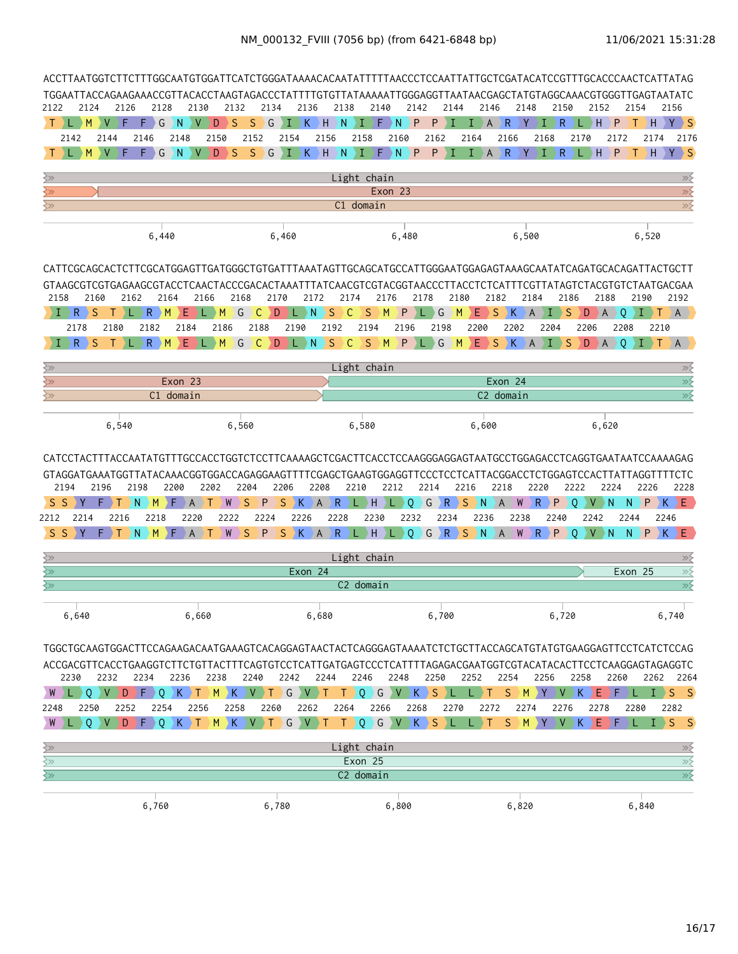| TGGAATTACCAGAAGAAACCGTTACACCTAAGTAGACCCTATTTTGTGTTATAAAAATTGGGAGGTTAATAACGAGCTATGTAGGCAAACGTGGGTTGAGTAATATC                 |                                                                                                             |                        |                                           | ACCTTAATGGTCTTCTTTGGCAATGTGGATTCATCTGGGATAAAACACAATATTTTTAACCCTCCAATTATTGCTCGATACATCCGTTTGCACCCAACTCATTATAG |                                  |                   |                    |                     |       |                                |                |                           |                                                                               |        |                 |                |         |                                      |
|-----------------------------------------------------------------------------------------------------------------------------|-------------------------------------------------------------------------------------------------------------|------------------------|-------------------------------------------|-------------------------------------------------------------------------------------------------------------|----------------------------------|-------------------|--------------------|---------------------|-------|--------------------------------|----------------|---------------------------|-------------------------------------------------------------------------------|--------|-----------------|----------------|---------|--------------------------------------|
| 2122<br>2124<br>2126                                                                                                        | 2128                                                                                                        | 2130<br>2132           | 2134                                      | 2136                                                                                                        | 2138                             |                   | 2140               | 2142                | 2144  | 2146                           |                | 2148                      | 2150                                                                          |        | 2152            |                | 2154    | 2156                                 |
| V<br>M<br>F                                                                                                                 | G<br>F<br>N                                                                                                 | S<br>D                 | S<br>G                                    | $K_{\odot}$                                                                                                 | Η<br>N                           | I.                | $\mathsf{N}$<br>F) | P<br>P              | I.    | I.<br>$\overline{A}$           | $\mathsf{R}$   | ) Y                       | I.<br>R.                                                                      |        | H               | P              | H.      | Y > S                                |
| 2142<br>2144                                                                                                                | 2148<br>2146                                                                                                | 2150                   | 2152                                      | 2154                                                                                                        | 2156                             | 2158              | 2160               |                     | 2162  | 2164                           | 2166           |                           | 2168                                                                          | 2170   |                 | 2172           | 2174    | 2176                                 |
| $\vee$<br>M                                                                                                                 | G<br>N<br>F                                                                                                 | $D \rightarrow S$<br>V |                                           | $S$ $G$ $I$ $K$                                                                                             | $\mathsf{H}$ )<br>$\overline{N}$ | Œ.                | $F \rightarrow N$  | $\overline{P}$<br>P | T     | $\mathbf{I}$<br>$\overline{A}$ | $\mathsf{R}$   | Y                         | R.<br>T.                                                                      |        | H               | P              |         | HYS                                  |
| ⊰≫                                                                                                                          |                                                                                                             |                        |                                           |                                                                                                             |                                  | Light chain       |                    |                     |       |                                |                |                           |                                                                               |        |                 |                |         | $\gg \succeq$                        |
| $\overline{\left\langle \mathbf{v}\right\rangle }$                                                                          |                                                                                                             |                        |                                           |                                                                                                             |                                  |                   | Exon 23            |                     |       |                                |                |                           |                                                                               |        |                 |                |         | $\gg$                                |
| $\left\langle \gg \right\rangle$                                                                                            |                                                                                                             |                        |                                           |                                                                                                             |                                  | C1 domain         |                    |                     |       |                                |                |                           |                                                                               |        |                 |                |         | $\overline{\gg}$                     |
|                                                                                                                             | 6,440                                                                                                       |                        |                                           | 6,460                                                                                                       |                                  |                   | 6,480              |                     |       |                                |                | 6,500                     |                                                                               |        |                 |                | 6,520   |                                      |
| CATTCGCAGCACTCTTCGCATGGAGTTGATGGGCTGTGATTTAAATAGTTGCAGCATGCCATTGGGAATGGAGAGTAAAGCAATATCAGATGCACAGATTACTGCTT                 |                                                                                                             |                        |                                           |                                                                                                             |                                  |                   |                    |                     |       |                                |                |                           |                                                                               |        |                 |                |         |                                      |
|                                                                                                                             |                                                                                                             |                        |                                           |                                                                                                             |                                  |                   |                    |                     |       |                                |                |                           |                                                                               |        |                 |                |         |                                      |
| GTAAGCGTCGTGAGAAGCGTACCTCAACTACCCGACACTAAATTTATCAACGTCGTACGGTAACCCTTACCTCTCATTTCGTTATAGTCTACGTGTCTAATGACGAA<br>2158<br>2160 | 2162<br>2164                                                                                                | 2166                   | 2168                                      | 2170                                                                                                        | 2172                             | 2174              | 2176               | 2178                |       | 2180                           | 2182           | 2184                      |                                                                               | 2186   | 2188            |                | 2190    | 2192                                 |
| R.<br>S                                                                                                                     | Ε<br>$R$ $M$                                                                                                | M<br>¢                 | $\big)$ G<br><b>C</b><br>$\sum_{i=1}^{n}$ | ⊦L → N                                                                                                      | S                                | S<br>$\bullet$    | M<br>P             |                     | G     | M<br>E.                        | S<br>K         | $\overline{A}$            | L                                                                             | D<br>S | $\mathsf{A}$    | $\circ$        |         | T A                                  |
| 2178<br>2180                                                                                                                | 2182<br>2184                                                                                                | 2186                   | 2188                                      | 2190                                                                                                        | 2192                             | 2194              | 2196               |                     | 2198  | 2200                           | 2202           |                           | 2204                                                                          | 2206   |                 | 2208           |         | 2210                                 |
| S<br>R<br>Τ                                                                                                                 | R<br>M<br>E                                                                                                 | M                      | G<br>$\mathsf{C}$<br>Ð                    | Æ<br>۰N                                                                                                     | S                                | S.<br>C           | P<br>M             |                     | G     | Ε.<br>M                        | S.<br>) K .    | $\overline{A}$            | Т.                                                                            | S<br>D | $\overline{A}$  | $\Omega$       | DT.     | AA                                   |
| ≷≫                                                                                                                          |                                                                                                             |                        |                                           |                                                                                                             |                                  | Light chain       |                    |                     |       |                                |                |                           |                                                                               |        |                 |                |         | $\gg$                                |
| $\overline{\mathbb{R}^2}$                                                                                                   | Exon 23                                                                                                     |                        |                                           |                                                                                                             |                                  |                   |                    |                     |       |                                | Exon 24        |                           |                                                                               |        |                 |                |         | $\overline{\gg}$                     |
| ≷≫                                                                                                                          | C1 domain                                                                                                   |                        |                                           |                                                                                                             |                                  |                   |                    |                     |       |                                | C2 domain      |                           |                                                                               |        |                 |                |         | $\overline{\gg}$                     |
|                                                                                                                             |                                                                                                             |                        |                                           |                                                                                                             |                                  |                   |                    |                     |       |                                |                |                           |                                                                               |        |                 |                |         |                                      |
| 6,540                                                                                                                       |                                                                                                             |                        | 6,560                                     |                                                                                                             |                                  | 6,580             |                    |                     |       | 6,600                          |                |                           |                                                                               |        | 6,620           |                |         |                                      |
|                                                                                                                             |                                                                                                             |                        |                                           |                                                                                                             |                                  |                   |                    |                     |       |                                |                |                           |                                                                               |        |                 |                |         |                                      |
| GTAGGATGAAATGGTTATACAAACGGTGGACCAGAGGAAGTTTTCGAGCTGAAGTGGAGGTTCCCTCCTCATTACGGACCTCTGGAGTCCACTTATTAGGTTTTCTC                 | CATCCTACTTTACCAATATGTTTGCCACCTGGTCTCCTTCAAAAGCTCGACTTCACCTCCAAGGGAGGAGTAATGCCTGGAGACCTCAGGTGAATAATCCAAAAGAG |                        |                                           |                                                                                                             |                                  |                   |                    |                     |       |                                |                |                           |                                                                               |        |                 |                |         |                                      |
| 2194<br>2196                                                                                                                | 2198<br>2200                                                                                                | 2202                   | 2204                                      | 2206                                                                                                        | 2208                             | 2210              | 2212               | 2214                |       | 2216                           | 2218           | 2220                      |                                                                               | 2222   |                 | 2224           | 2226    | 2228                                 |
| S S<br>Y<br>Т                                                                                                               | N<br>M<br>F<br>A                                                                                            | W<br>Т                 | S<br>P                                    | <sub>S</sub><br>ΙK.                                                                                         | $\overline{A}$<br>R.             | ΣH<br>УL.         | D.                 | $\circ$<br>G        | R     | $\rightarrow$ S<br>) N         | $\overline{A}$ | W<br>R.                   | P                                                                             | 0      | v               | $\mathsf{N}$   | N.<br>P | $K \nE$                              |
| 2212<br>2214<br>2216<br>S S                                                                                                 | 2218<br>2220<br>$\rightarrow$ N<br>M<br>F<br>A                                                              | 2222<br>W              | 2224<br>S<br>P                            | 2226<br><sub>S</sub><br>$K$ $A$                                                                             | 2228<br>R                        | 2230              |                    | 2232                | 2234  | 2236<br>LHLQGRSNA              |                | 2238<br>W<br>$\mathsf{R}$ | 2240<br>P                                                                     | Ω      | 2242<br>V       | 2244<br>N<br>N | P       | 2246<br>K<br>ΣE                      |
|                                                                                                                             |                                                                                                             |                        |                                           |                                                                                                             |                                  |                   |                    |                     |       |                                |                |                           |                                                                               |        |                 |                |         |                                      |
| $\gtrsim$<br>≷≫                                                                                                             |                                                                                                             |                        |                                           | Exon 24                                                                                                     |                                  | Light chain       |                    |                     |       |                                |                |                           |                                                                               |        |                 |                | Exon 25 | $\gg \xi$                            |
| ≷≫                                                                                                                          |                                                                                                             |                        |                                           |                                                                                                             |                                  | C2 domain         |                    |                     |       |                                |                |                           |                                                                               |        |                 |                |         | $\overline{\gg}$<br>$\overline{\gg}$ |
|                                                                                                                             |                                                                                                             |                        |                                           |                                                                                                             |                                  |                   |                    |                     |       |                                |                |                           |                                                                               |        |                 |                |         |                                      |
| 6,640                                                                                                                       |                                                                                                             | 6,660                  |                                           |                                                                                                             | 6,680                            |                   |                    |                     | 6,700 |                                |                |                           | 6,720                                                                         |        |                 |                |         | 6,740                                |
|                                                                                                                             |                                                                                                             |                        |                                           |                                                                                                             |                                  |                   |                    |                     |       |                                |                |                           |                                                                               |        |                 |                |         |                                      |
|                                                                                                                             |                                                                                                             |                        |                                           |                                                                                                             |                                  |                   |                    |                     |       |                                |                |                           |                                                                               |        |                 |                |         |                                      |
| 2232<br>2230                                                                                                                | 2234<br>2236                                                                                                | 2238                   | 2240                                      | 2242                                                                                                        | 2244                             | 2246              | 2248               |                     | 2250  | 2252                           | 2254           |                           | 2256                                                                          | 2258   |                 | 2260           |         | 2262 2264                            |
| $\Omega$<br>$\vee$<br>D                                                                                                     | FQKTMKVTGVTTQGVKSLLT                                                                                        |                        |                                           |                                                                                                             |                                  |                   |                    |                     |       |                                | S              |                           | $\rightarrow$ M $\rightarrow$ Y $\rightarrow$ V $\rightarrow$ K $\rightarrow$ |        | Ε               | D.F.           | T.      | $S_S$                                |
| 2250<br>2252<br>2248                                                                                                        | 2254                                                                                                        | 2258<br>2256           | 2260                                      | 2262                                                                                                        | 2264                             |                   | 2266               | 2268                | 2270  | 2272                           |                | 2274                      | 2276                                                                          |        | 2278            |                | 2280    | 2282                                 |
| $\Omega$<br>) V                                                                                                             | $D \rightarrow F$<br>$K \nightharpoonup T$<br>0                                                             |                        | M K V T G V T                             |                                                                                                             |                                  | T Q G V K S L L T |                    |                     |       |                                | S              | M Y                       |                                                                               |        | $V$ $K$ $E$ $F$ |                | I       | $S$ $S$                              |
| $\gtrsim$                                                                                                                   |                                                                                                             |                        |                                           |                                                                                                             |                                  | Light chain       |                    |                     |       |                                |                |                           |                                                                               |        |                 |                |         | $\gg$                                |

55